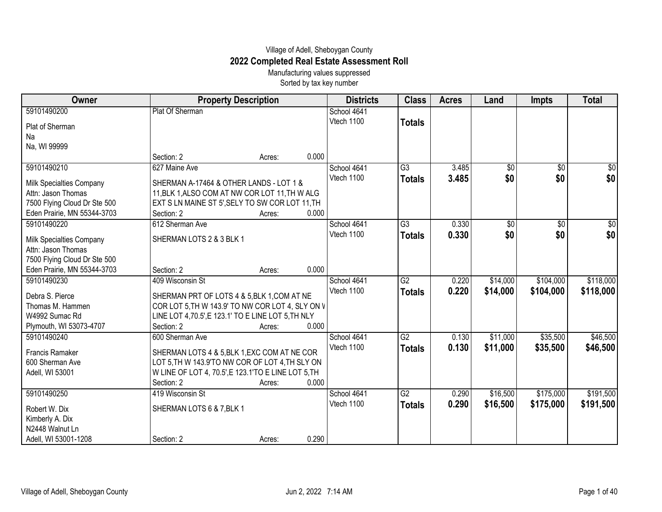## Village of Adell, Sheboygan County **2022 Completed Real Estate Assessment Roll**

Manufacturing values suppressed Sorted by tax key number

| Owner                        | <b>Property Description</b>                         |       | <b>Districts</b> | <b>Class</b>    | <b>Acres</b> | Land            | <b>Impts</b>    | <b>Total</b>  |
|------------------------------|-----------------------------------------------------|-------|------------------|-----------------|--------------|-----------------|-----------------|---------------|
| 59101490200                  | Plat Of Sherman                                     |       | School 4641      |                 |              |                 |                 |               |
| Plat of Sherman              |                                                     |       | Vtech 1100       | <b>Totals</b>   |              |                 |                 |               |
| Na                           |                                                     |       |                  |                 |              |                 |                 |               |
| Na, WI 99999                 |                                                     |       |                  |                 |              |                 |                 |               |
|                              | Section: 2<br>Acres:                                | 0.000 |                  |                 |              |                 |                 |               |
| 59101490210                  | 627 Maine Ave                                       |       | School 4641      | $\overline{G3}$ | 3.485        | $\overline{50}$ | $\overline{50}$ | $\frac{1}{2}$ |
| Milk Specialties Company     | SHERMAN A-17464 & OTHER LANDS - LOT 1 &             |       | Vtech 1100       | <b>Totals</b>   | 3.485        | \$0             | \$0             | \$0           |
| Attn: Jason Thomas           | 11, BLK 1, ALSO COM AT NW COR LOT 11, TH W ALG      |       |                  |                 |              |                 |                 |               |
| 7500 Flying Cloud Dr Ste 500 | EXT S LN MAINE ST 5', SELY TO SW COR LOT 11, TH     |       |                  |                 |              |                 |                 |               |
| Eden Prairie, MN 55344-3703  | Section: 2<br>Acres:                                | 0.000 |                  |                 |              |                 |                 |               |
| 59101490220                  | 612 Sherman Ave                                     |       | School 4641      | $\overline{G3}$ | 0.330        | $\overline{60}$ | $\overline{50}$ | \$0           |
| Milk Specialties Company     | SHERMAN LOTS 2 & 3 BLK 1                            |       | Vtech 1100       | <b>Totals</b>   | 0.330        | \$0             | \$0             | \$0           |
| Attn: Jason Thomas           |                                                     |       |                  |                 |              |                 |                 |               |
| 7500 Flying Cloud Dr Ste 500 |                                                     |       |                  |                 |              |                 |                 |               |
| Eden Prairie, MN 55344-3703  | Section: 2<br>Acres:                                | 0.000 |                  |                 |              |                 |                 |               |
| 59101490230                  | 409 Wisconsin St                                    |       | School 4641      | G2              | 0.220        | \$14,000        | \$104,000       | \$118,000     |
|                              |                                                     |       | Vtech 1100       | <b>Totals</b>   | 0.220        | \$14,000        | \$104,000       | \$118,000     |
| Debra S. Pierce              | SHERMAN PRT OF LOTS 4 & 5, BLK 1, COM AT NE         |       |                  |                 |              |                 |                 |               |
| Thomas M. Hammen             | COR LOT 5, TH W 143.9' TO NW COR LOT 4, SLY ON V    |       |                  |                 |              |                 |                 |               |
| W4992 Sumac Rd               | LINE LOT 4,70.5', E 123.1' TO E LINE LOT 5, TH NLY  |       |                  |                 |              |                 |                 |               |
| Plymouth, WI 53073-4707      | Section: 2<br>Acres:                                | 0.000 |                  |                 |              |                 |                 |               |
| 59101490240                  | 600 Sherman Ave                                     |       | School 4641      | G2              | 0.130        | \$11,000        | \$35,500        | \$46,500      |
| Francis Ramaker              | SHERMAN LOTS 4 & 5, BLK 1, EXC COM AT NE COR        |       | Vtech 1100       | <b>Totals</b>   | 0.130        | \$11,000        | \$35,500        | \$46,500      |
| 600 Sherman Ave              | LOT 5, TH W 143.9'TO NW COR OF LOT 4, TH SLY ON     |       |                  |                 |              |                 |                 |               |
| Adell, WI 53001              | W LINE OF LOT 4, 70.5', E 123.1'TO E LINE LOT 5, TH |       |                  |                 |              |                 |                 |               |
|                              | Section: 2<br>Acres:                                | 0.000 |                  |                 |              |                 |                 |               |
| 59101490250                  | 419 Wisconsin St                                    |       | School 4641      | G2              | 0.290        | \$16,500        | \$175,000       | \$191,500     |
| Robert W. Dix                | SHERMAN LOTS 6 & 7, BLK 1                           |       | Vtech 1100       | <b>Totals</b>   | 0.290        | \$16,500        | \$175,000       | \$191,500     |
| Kimberly A. Dix              |                                                     |       |                  |                 |              |                 |                 |               |
| N2448 Walnut Ln              |                                                     |       |                  |                 |              |                 |                 |               |
| Adell, WI 53001-1208         | Section: 2<br>Acres:                                | 0.290 |                  |                 |              |                 |                 |               |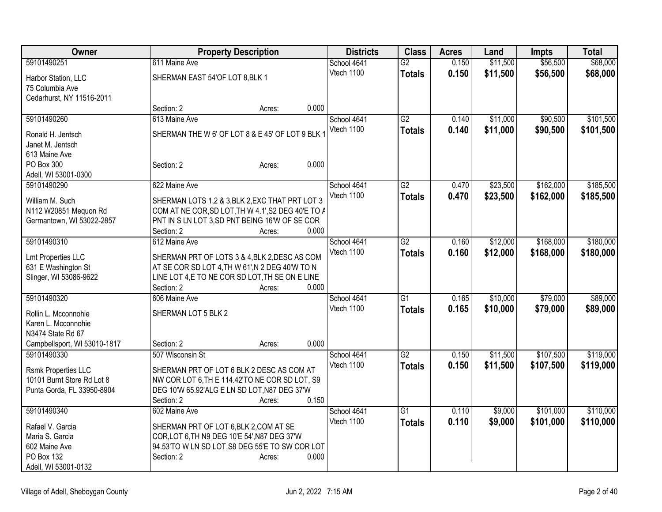| Owner                        |                                                    | <b>Property Description</b> |       | <b>Districts</b> | <b>Class</b>    | <b>Acres</b> | Land     | <b>Impts</b> | <b>Total</b> |
|------------------------------|----------------------------------------------------|-----------------------------|-------|------------------|-----------------|--------------|----------|--------------|--------------|
| 59101490251                  | 611 Maine Ave                                      |                             |       | School 4641      | $\overline{G2}$ | 0.150        | \$11,500 | \$56,500     | \$68,000     |
| Harbor Station, LLC          | SHERMAN EAST 54'OF LOT 8, BLK 1                    |                             |       | Vtech 1100       | <b>Totals</b>   | 0.150        | \$11,500 | \$56,500     | \$68,000     |
| 75 Columbia Ave              |                                                    |                             |       |                  |                 |              |          |              |              |
| Cedarhurst, NY 11516-2011    |                                                    |                             |       |                  |                 |              |          |              |              |
|                              | Section: 2                                         | Acres:                      | 0.000 |                  |                 |              |          |              |              |
| 59101490260                  | 613 Maine Ave                                      |                             |       | School 4641      | G2              | 0.140        | \$11,000 | \$90,500     | \$101,500    |
| Ronald H. Jentsch            | SHERMAN THE W 6' OF LOT 8 & E 45' OF LOT 9 BLK 1   |                             |       | Vtech 1100       | <b>Totals</b>   | 0.140        | \$11,000 | \$90,500     | \$101,500    |
| Janet M. Jentsch             |                                                    |                             |       |                  |                 |              |          |              |              |
| 613 Maine Ave                |                                                    |                             |       |                  |                 |              |          |              |              |
| PO Box 300                   | Section: 2                                         | Acres:                      | 0.000 |                  |                 |              |          |              |              |
| Adell, WI 53001-0300         |                                                    |                             |       |                  |                 |              |          |              |              |
| 59101490290                  | 622 Maine Ave                                      |                             |       | School 4641      | $\overline{G2}$ | 0.470        | \$23,500 | \$162,000    | \$185,500    |
|                              |                                                    |                             |       | Vtech 1100       | <b>Totals</b>   | 0.470        | \$23,500 | \$162,000    | \$185,500    |
| William M. Such              | SHERMAN LOTS 1,2 & 3, BLK 2, EXC THAT PRT LOT 3    |                             |       |                  |                 |              |          |              |              |
| N112 W20851 Mequon Rd        | COM AT NE COR, SD LOT, TH W 4.1', S2 DEG 40'E TO A |                             |       |                  |                 |              |          |              |              |
| Germantown, WI 53022-2857    | PNT IN S LN LOT 3,SD PNT BEING 16'W OF SE COR      |                             |       |                  |                 |              |          |              |              |
|                              | Section: 2                                         | Acres:                      | 0.000 |                  |                 |              |          |              |              |
| 59101490310                  | 612 Maine Ave                                      |                             |       | School 4641      | G2              | 0.160        | \$12,000 | \$168,000    | \$180,000    |
| <b>Lmt Properties LLC</b>    | SHERMAN PRT OF LOTS 3 & 4, BLK 2, DESC AS COM      |                             |       | Vtech 1100       | <b>Totals</b>   | 0.160        | \$12,000 | \$168,000    | \$180,000    |
| 631 E Washington St          | AT SE COR SD LOT 4, TH W 61', N 2 DEG 40'W TO N    |                             |       |                  |                 |              |          |              |              |
| Slinger, WI 53086-9622       | LINE LOT 4,E TO NE COR SD LOT, TH SE ON E LINE     |                             |       |                  |                 |              |          |              |              |
|                              | Section: 2                                         | Acres:                      | 0.000 |                  |                 |              |          |              |              |
| 59101490320                  | 606 Maine Ave                                      |                             |       | School 4641      | $\overline{G1}$ | 0.165        | \$10,000 | \$79,000     | \$89,000     |
|                              |                                                    |                             |       | Vtech 1100       | <b>Totals</b>   | 0.165        | \$10,000 | \$79,000     | \$89,000     |
| Rollin L. Mcconnohie         | SHERMAN LOT 5 BLK 2                                |                             |       |                  |                 |              |          |              |              |
| Karen L. Mcconnohie          |                                                    |                             |       |                  |                 |              |          |              |              |
| N3474 State Rd 67            |                                                    |                             |       |                  |                 |              |          |              |              |
| Campbellsport, WI 53010-1817 | Section: 2                                         | Acres:                      | 0.000 |                  |                 |              |          |              |              |
| 59101490330                  | 507 Wisconsin St                                   |                             |       | School 4641      | $\overline{G2}$ | 0.150        | \$11,500 | \$107,500    | \$119,000    |
| <b>Rsmk Properties LLC</b>   | SHERMAN PRT OF LOT 6 BLK 2 DESC AS COM AT          |                             |       | Vtech 1100       | <b>Totals</b>   | 0.150        | \$11,500 | \$107,500    | \$119,000    |
| 10101 Burnt Store Rd Lot 8   | NW COR LOT 6, TH E 114.42'TO NE COR SD LOT, S9     |                             |       |                  |                 |              |          |              |              |
| Punta Gorda, FL 33950-8904   | DEG 10'W 65.92'ALG E LN SD LOT, N87 DEG 37'W       |                             |       |                  |                 |              |          |              |              |
|                              | Section: 2                                         | Acres:                      | 0.150 |                  |                 |              |          |              |              |
| 59101490340                  | 602 Maine Ave                                      |                             |       | School 4641      | $\overline{G1}$ | 0.110        | \$9,000  | \$101,000    | \$110,000    |
| Rafael V. Garcia             | SHERMAN PRT OF LOT 6, BLK 2, COM AT SE             |                             |       | Vtech 1100       | <b>Totals</b>   | 0.110        | \$9,000  | \$101,000    | \$110,000    |
| Maria S. Garcia              | COR, LOT 6, TH N9 DEG 10'E 54', N87 DEG 37'W       |                             |       |                  |                 |              |          |              |              |
| 602 Maine Ave                | 94.53'TO W LN SD LOT, S8 DEG 55'E TO SW COR LOT    |                             |       |                  |                 |              |          |              |              |
| PO Box 132                   | Section: 2                                         | Acres:                      | 0.000 |                  |                 |              |          |              |              |
| Adell, WI 53001-0132         |                                                    |                             |       |                  |                 |              |          |              |              |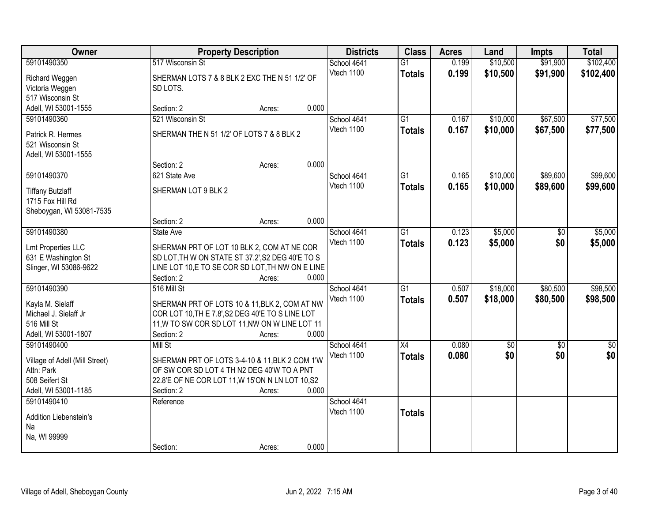| Owner                                       |                                                  | <b>Property Description</b> |       | <b>Districts</b> | <b>Class</b>    | <b>Acres</b> | Land            | <b>Impts</b>    | <b>Total</b>    |
|---------------------------------------------|--------------------------------------------------|-----------------------------|-------|------------------|-----------------|--------------|-----------------|-----------------|-----------------|
| 59101490350                                 | 517 Wisconsin St                                 |                             |       | School 4641      | $\overline{G1}$ | 0.199        | \$10,500        | \$91,900        | \$102,400       |
| Richard Weggen                              | SHERMAN LOTS 7 & 8 BLK 2 EXC THE N 51 1/2' OF    |                             |       | Vtech 1100       | <b>Totals</b>   | 0.199        | \$10,500        | \$91,900        | \$102,400       |
| Victoria Weggen                             | SD LOTS.                                         |                             |       |                  |                 |              |                 |                 |                 |
| 517 Wisconsin St                            |                                                  |                             |       |                  |                 |              |                 |                 |                 |
| Adell, WI 53001-1555                        | Section: 2                                       | Acres:                      | 0.000 |                  |                 |              |                 |                 |                 |
| 59101490360                                 | 521 Wisconsin St                                 |                             |       | School 4641      | $\overline{G1}$ | 0.167        | \$10,000        | \$67,500        | \$77,500        |
| Patrick R. Hermes                           | SHERMAN THE N 51 1/2' OF LOTS 7 & 8 BLK 2        |                             |       | Vtech 1100       | <b>Totals</b>   | 0.167        | \$10,000        | \$67,500        | \$77,500        |
| 521 Wisconsin St                            |                                                  |                             |       |                  |                 |              |                 |                 |                 |
| Adell, WI 53001-1555                        |                                                  |                             |       |                  |                 |              |                 |                 |                 |
|                                             | Section: 2                                       | Acres:                      | 0.000 |                  |                 |              |                 |                 |                 |
| 59101490370                                 | 621 State Ave                                    |                             |       | School 4641      | G1              | 0.165        | \$10,000        | \$89,600        | \$99,600        |
|                                             |                                                  |                             |       | Vtech 1100       | <b>Totals</b>   | 0.165        | \$10,000        | \$89,600        | \$99,600        |
| <b>Tiffany Butzlaff</b><br>1715 Fox Hill Rd | SHERMAN LOT 9 BLK 2                              |                             |       |                  |                 |              |                 |                 |                 |
| Sheboygan, WI 53081-7535                    |                                                  |                             |       |                  |                 |              |                 |                 |                 |
|                                             | Section: 2                                       | Acres:                      | 0.000 |                  |                 |              |                 |                 |                 |
| 59101490380                                 | State Ave                                        |                             |       | School 4641      | G1              | 0.123        | \$5,000         | \$0             | \$5,000         |
|                                             |                                                  |                             |       | Vtech 1100       | <b>Totals</b>   | 0.123        | \$5,000         | \$0             | \$5,000         |
| <b>Lmt Properties LLC</b>                   | SHERMAN PRT OF LOT 10 BLK 2, COM AT NE COR       |                             |       |                  |                 |              |                 |                 |                 |
| 631 E Washington St                         | SD LOT, TH W ON STATE ST 37.2', S2 DEG 40'E TO S |                             |       |                  |                 |              |                 |                 |                 |
| Slinger, WI 53086-9622                      | LINE LOT 10,E TO SE COR SD LOT, TH NW ON E LINE  |                             |       |                  |                 |              |                 |                 |                 |
|                                             | Section: 2                                       | Acres:                      | 0.000 |                  |                 |              |                 |                 |                 |
| 59101490390                                 | 516 Mill St                                      |                             |       | School 4641      | $\overline{G1}$ | 0.507        | \$18,000        | \$80,500        | \$98,500        |
| Kayla M. Sielaff                            | SHERMAN PRT OF LOTS 10 & 11, BLK 2, COM AT NW    |                             |       | Vtech 1100       | <b>Totals</b>   | 0.507        | \$18,000        | \$80,500        | \$98,500        |
| Michael J. Sielaff Jr                       | COR LOT 10, TH E 7.8', S2 DEG 40'E TO S LINE LOT |                             |       |                  |                 |              |                 |                 |                 |
| 516 Mill St                                 | 11, W TO SW COR SD LOT 11, NW ON W LINE LOT 11   |                             |       |                  |                 |              |                 |                 |                 |
| Adell, WI 53001-1807                        | Section: 2                                       | Acres:                      | 0.000 |                  |                 |              |                 |                 |                 |
| 59101490400                                 | Mill St                                          |                             |       | School 4641      | $\overline{X4}$ | 0.080        | $\overline{60}$ | $\overline{50}$ | $\overline{50}$ |
| Village of Adell (Mill Street)              | SHERMAN PRT OF LOTS 3-4-10 & 11, BLK 2 COM 1'W   |                             |       | Vtech 1100       | <b>Totals</b>   | 0.080        | \$0             | \$0             | \$0             |
| Attn: Park                                  | OF SW COR SD LOT 4 TH N2 DEG 40'W TO A PNT       |                             |       |                  |                 |              |                 |                 |                 |
| 508 Seifert St                              | 22.8'E OF NE COR LOT 11, W 15'ON N LN LOT 10, S2 |                             |       |                  |                 |              |                 |                 |                 |
| Adell, WI 53001-1185                        | Section: 2                                       | Acres:                      | 0.000 |                  |                 |              |                 |                 |                 |
| 59101490410                                 | Reference                                        |                             |       | School 4641      |                 |              |                 |                 |                 |
| Addition Liebenstein's                      |                                                  |                             |       | Vtech 1100       | <b>Totals</b>   |              |                 |                 |                 |
| Na                                          |                                                  |                             |       |                  |                 |              |                 |                 |                 |
| Na, WI 99999                                |                                                  |                             |       |                  |                 |              |                 |                 |                 |
|                                             | Section:                                         | Acres:                      | 0.000 |                  |                 |              |                 |                 |                 |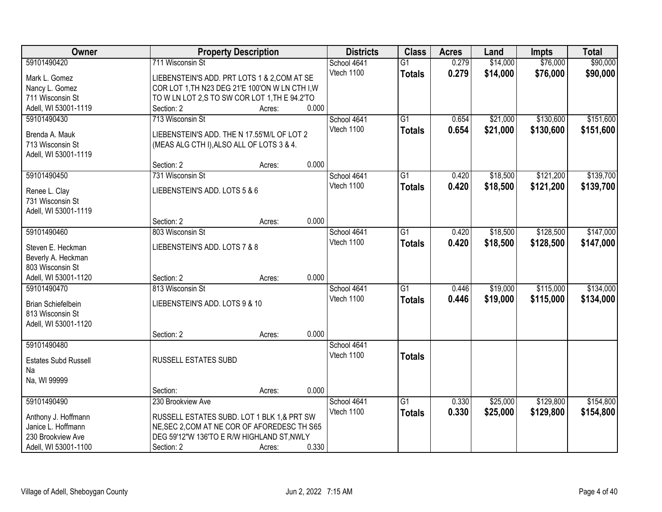| Owner                       |                                                 | <b>Property Description</b> |       | <b>Districts</b> | <b>Class</b>    | <b>Acres</b> | Land     | <b>Impts</b> | <b>Total</b> |
|-----------------------------|-------------------------------------------------|-----------------------------|-------|------------------|-----------------|--------------|----------|--------------|--------------|
| 59101490420                 | 711 Wisconsin St                                |                             |       | School 4641      | $\overline{G1}$ | 0.279        | \$14,000 | \$76,000     | \$90,000     |
| Mark L. Gomez               | LIEBENSTEIN'S ADD. PRT LOTS 1 & 2, COM AT SE    |                             |       | Vtech 1100       | <b>Totals</b>   | 0.279        | \$14,000 | \$76,000     | \$90,000     |
| Nancy L. Gomez              | COR LOT 1, TH N23 DEG 21'E 100'ON W LN CTH I, W |                             |       |                  |                 |              |          |              |              |
| 711 Wisconsin St            | TO W LN LOT 2,S TO SW COR LOT 1, TH E 94.2'TO   |                             |       |                  |                 |              |          |              |              |
| Adell, WI 53001-1119        | Section: 2                                      | Acres:                      | 0.000 |                  |                 |              |          |              |              |
| 59101490430                 | 713 Wisconsin St                                |                             |       | School 4641      | $\overline{G1}$ | 0.654        | \$21,000 | \$130,600    | \$151,600    |
|                             |                                                 |                             |       | Vtech 1100       | <b>Totals</b>   | 0.654        | \$21,000 | \$130,600    | \$151,600    |
| Brenda A. Mauk              | LIEBENSTEIN'S ADD. THE N 17.55'M/L OF LOT 2     |                             |       |                  |                 |              |          |              |              |
| 713 Wisconsin St            | (MEAS ALG CTH I), ALSO ALL OF LOTS 3 & 4.       |                             |       |                  |                 |              |          |              |              |
| Adell, WI 53001-1119        |                                                 |                             | 0.000 |                  |                 |              |          |              |              |
|                             | Section: 2<br>731 Wisconsin St                  | Acres:                      |       |                  | $\overline{G1}$ |              |          | \$121,200    | \$139,700    |
| 59101490450                 |                                                 |                             |       | School 4641      |                 | 0.420        | \$18,500 |              |              |
| Renee L. Clay               | LIEBENSTEIN'S ADD. LOTS 5 & 6                   |                             |       | Vtech 1100       | <b>Totals</b>   | 0.420        | \$18,500 | \$121,200    | \$139,700    |
| 731 Wisconsin St            |                                                 |                             |       |                  |                 |              |          |              |              |
| Adell, WI 53001-1119        |                                                 |                             |       |                  |                 |              |          |              |              |
|                             | Section: 2                                      | Acres:                      | 0.000 |                  |                 |              |          |              |              |
| 59101490460                 | 803 Wisconsin St                                |                             |       | School 4641      | G1              | 0.420        | \$18,500 | \$128,500    | \$147,000    |
| Steven E. Heckman           | LIEBENSTEIN'S ADD. LOTS 7 & 8                   |                             |       | Vtech 1100       | <b>Totals</b>   | 0.420        | \$18,500 | \$128,500    | \$147,000    |
| Beverly A. Heckman          |                                                 |                             |       |                  |                 |              |          |              |              |
| 803 Wisconsin St            |                                                 |                             |       |                  |                 |              |          |              |              |
| Adell, WI 53001-1120        | Section: 2                                      | Acres:                      | 0.000 |                  |                 |              |          |              |              |
| 59101490470                 | 813 Wisconsin St                                |                             |       | School 4641      | $\overline{G1}$ | 0.446        | \$19,000 | \$115,000    | \$134,000    |
|                             |                                                 |                             |       | Vtech 1100       | <b>Totals</b>   | 0.446        | \$19,000 | \$115,000    | \$134,000    |
| Brian Schiefelbein          | LIEBENSTEIN'S ADD. LOTS 9 & 10                  |                             |       |                  |                 |              |          |              |              |
| 813 Wisconsin St            |                                                 |                             |       |                  |                 |              |          |              |              |
| Adell, WI 53001-1120        |                                                 |                             |       |                  |                 |              |          |              |              |
|                             | Section: 2                                      | Acres:                      | 0.000 |                  |                 |              |          |              |              |
| 59101490480                 |                                                 |                             |       | School 4641      |                 |              |          |              |              |
| <b>Estates Subd Russell</b> | RUSSELL ESTATES SUBD                            |                             |       | Vtech 1100       | <b>Totals</b>   |              |          |              |              |
| Na                          |                                                 |                             |       |                  |                 |              |          |              |              |
| Na, WI 99999                |                                                 |                             |       |                  |                 |              |          |              |              |
|                             | Section:                                        | Acres:                      | 0.000 |                  |                 |              |          |              |              |
| 59101490490                 | 230 Brookview Ave                               |                             |       | School 4641      | G1              | 0.330        | \$25,000 | \$129,800    | \$154,800    |
| Anthony J. Hoffmann         | RUSSELL ESTATES SUBD. LOT 1 BLK 1,& PRT SW      |                             |       | Vtech 1100       | <b>Totals</b>   | 0.330        | \$25,000 | \$129,800    | \$154,800    |
| Janice L. Hoffmann          | NE, SEC 2, COM AT NE COR OF AFOREDESC TH S65    |                             |       |                  |                 |              |          |              |              |
| 230 Brookview Ave           | DEG 59'12"W 136'TO E R/W HIGHLAND ST, NWLY      |                             |       |                  |                 |              |          |              |              |
| Adell, WI 53001-1100        | Section: 2                                      | Acres:                      | 0.330 |                  |                 |              |          |              |              |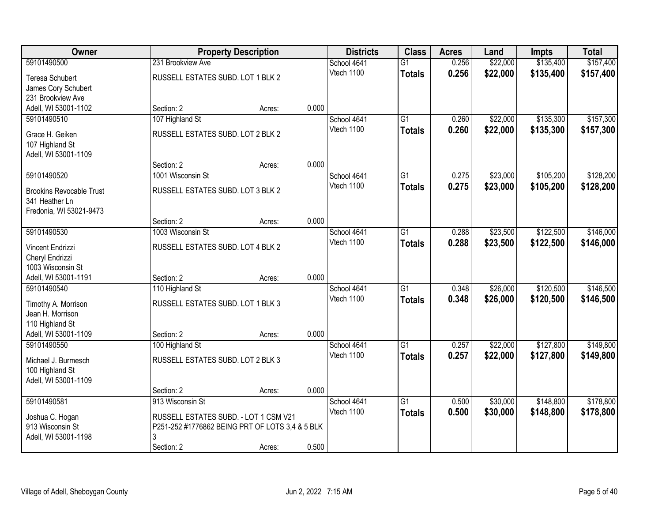| Owner                           |                                                 | <b>Property Description</b> |       | <b>Districts</b> | <b>Class</b>    | <b>Acres</b> | Land     | <b>Impts</b> | <b>Total</b> |
|---------------------------------|-------------------------------------------------|-----------------------------|-------|------------------|-----------------|--------------|----------|--------------|--------------|
| 59101490500                     | 231 Brookview Ave                               |                             |       | School 4641      | $\overline{G1}$ | 0.256        | \$22,000 | \$135,400    | \$157,400    |
| Teresa Schubert                 | RUSSELL ESTATES SUBD. LOT 1 BLK 2               |                             |       | Vtech 1100       | <b>Totals</b>   | 0.256        | \$22,000 | \$135,400    | \$157,400    |
| James Cory Schubert             |                                                 |                             |       |                  |                 |              |          |              |              |
| 231 Brookview Ave               |                                                 |                             |       |                  |                 |              |          |              |              |
| Adell, WI 53001-1102            | Section: 2                                      | Acres:                      | 0.000 |                  |                 |              |          |              |              |
| 59101490510                     | 107 Highland St                                 |                             |       | School 4641      | $\overline{G1}$ | 0.260        | \$22,000 | \$135,300    | \$157,300    |
| Grace H. Geiken                 | RUSSELL ESTATES SUBD. LOT 2 BLK 2               |                             |       | Vtech 1100       | <b>Totals</b>   | 0.260        | \$22,000 | \$135,300    | \$157,300    |
| 107 Highland St                 |                                                 |                             |       |                  |                 |              |          |              |              |
| Adell, WI 53001-1109            |                                                 |                             |       |                  |                 |              |          |              |              |
|                                 | Section: 2                                      | Acres:                      | 0.000 |                  |                 |              |          |              |              |
| 59101490520                     | 1001 Wisconsin St                               |                             |       | School 4641      | G1              | 0.275        | \$23,000 | \$105,200    | \$128,200    |
| <b>Brookins Revocable Trust</b> | RUSSELL ESTATES SUBD. LOT 3 BLK 2               |                             |       | Vtech 1100       | <b>Totals</b>   | 0.275        | \$23,000 | \$105,200    | \$128,200    |
| 341 Heather Ln                  |                                                 |                             |       |                  |                 |              |          |              |              |
| Fredonia, WI 53021-9473         |                                                 |                             |       |                  |                 |              |          |              |              |
|                                 | Section: 2                                      | Acres:                      | 0.000 |                  |                 |              |          |              |              |
| 59101490530                     | 1003 Wisconsin St                               |                             |       | School 4641      | G1              | 0.288        | \$23,500 | \$122,500    | \$146,000    |
| Vincent Endrizzi                | RUSSELL ESTATES SUBD. LOT 4 BLK 2               |                             |       | Vtech 1100       | <b>Totals</b>   | 0.288        | \$23,500 | \$122,500    | \$146,000    |
| Cheryl Endrizzi                 |                                                 |                             |       |                  |                 |              |          |              |              |
| 1003 Wisconsin St               |                                                 |                             |       |                  |                 |              |          |              |              |
| Adell, WI 53001-1191            | Section: 2                                      | Acres:                      | 0.000 |                  |                 |              |          |              |              |
| 59101490540                     | 110 Highland St                                 |                             |       | School 4641      | $\overline{G1}$ | 0.348        | \$26,000 | \$120,500    | \$146,500    |
| Timothy A. Morrison             | RUSSELL ESTATES SUBD. LOT 1 BLK 3               |                             |       | Vtech 1100       | <b>Totals</b>   | 0.348        | \$26,000 | \$120,500    | \$146,500    |
| Jean H. Morrison                |                                                 |                             |       |                  |                 |              |          |              |              |
| 110 Highland St                 |                                                 |                             |       |                  |                 |              |          |              |              |
| Adell, WI 53001-1109            | Section: 2                                      | Acres:                      | 0.000 |                  |                 |              |          |              |              |
| 59101490550                     | 100 Highland St                                 |                             |       | School 4641      | $\overline{G1}$ | 0.257        | \$22,000 | \$127,800    | \$149,800    |
| Michael J. Burmesch             | RUSSELL ESTATES SUBD. LOT 2 BLK 3               |                             |       | Vtech 1100       | <b>Totals</b>   | 0.257        | \$22,000 | \$127,800    | \$149,800    |
| 100 Highland St                 |                                                 |                             |       |                  |                 |              |          |              |              |
| Adell, WI 53001-1109            |                                                 |                             |       |                  |                 |              |          |              |              |
|                                 | Section: 2                                      | Acres:                      | 0.000 |                  |                 |              |          |              |              |
| 59101490581                     | 913 Wisconsin St                                |                             |       | School 4641      | $\overline{G1}$ | 0.500        | \$30,000 | \$148,800    | \$178,800    |
| Joshua C. Hogan                 | RUSSELL ESTATES SUBD. - LOT 1 CSM V21           |                             |       | Vtech 1100       | <b>Totals</b>   | 0.500        | \$30,000 | \$148,800    | \$178,800    |
| 913 Wisconsin St                | P251-252 #1776862 BEING PRT OF LOTS 3,4 & 5 BLK |                             |       |                  |                 |              |          |              |              |
| Adell, WI 53001-1198            | 3                                               |                             |       |                  |                 |              |          |              |              |
|                                 | Section: 2                                      | Acres:                      | 0.500 |                  |                 |              |          |              |              |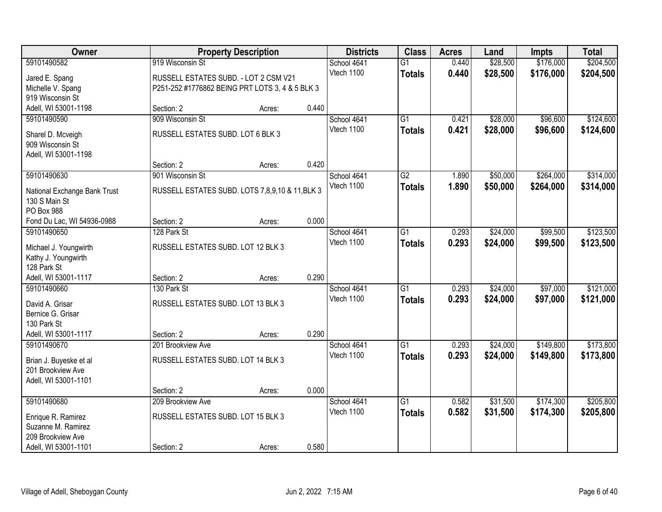| Owner                                         |                                                 | <b>Property Description</b> |       | <b>Districts</b>          | <b>Class</b>    | <b>Acres</b> | Land     | <b>Impts</b> | <b>Total</b> |
|-----------------------------------------------|-------------------------------------------------|-----------------------------|-------|---------------------------|-----------------|--------------|----------|--------------|--------------|
| 59101490582                                   | 919 Wisconsin St                                |                             |       | School 4641               | $\overline{G1}$ | 0.440        | \$28,500 | \$176,000    | \$204,500    |
| Jared E. Spang                                | RUSSELL ESTATES SUBD. - LOT 2 CSM V21           |                             |       | Vtech 1100                | <b>Totals</b>   | 0.440        | \$28,500 | \$176,000    | \$204,500    |
| Michelle V. Spang                             | P251-252 #1776862 BEING PRT LOTS 3, 4 & 5 BLK 3 |                             |       |                           |                 |              |          |              |              |
| 919 Wisconsin St                              |                                                 |                             |       |                           |                 |              |          |              |              |
| Adell, WI 53001-1198                          | Section: 2                                      | Acres:                      | 0.440 |                           |                 |              |          |              |              |
| 59101490590                                   | 909 Wisconsin St                                |                             |       | School 4641               | $\overline{G1}$ | 0.421        | \$28,000 | \$96,600     | \$124,600    |
| Sharel D. Mcveigh                             | RUSSELL ESTATES SUBD. LOT 6 BLK 3               |                             |       | Vtech 1100                | <b>Totals</b>   | 0.421        | \$28,000 | \$96,600     | \$124,600    |
| 909 Wisconsin St                              |                                                 |                             |       |                           |                 |              |          |              |              |
| Adell, WI 53001-1198                          |                                                 |                             |       |                           |                 |              |          |              |              |
|                                               | Section: 2                                      | Acres:                      | 0.420 |                           |                 |              |          |              |              |
| 59101490630                                   | 901 Wisconsin St                                |                             |       | School 4641               | G2              | 1.890        | \$50,000 | \$264,000    | \$314,000    |
|                                               | RUSSELL ESTATES SUBD. LOTS 7,8,9,10 & 11, BLK 3 |                             |       | Vtech 1100                | <b>Totals</b>   | 1.890        | \$50,000 | \$264,000    | \$314,000    |
| National Exchange Bank Trust<br>130 S Main St |                                                 |                             |       |                           |                 |              |          |              |              |
| PO Box 988                                    |                                                 |                             |       |                           |                 |              |          |              |              |
| Fond Du Lac, WI 54936-0988                    | Section: 2                                      | Acres:                      | 0.000 |                           |                 |              |          |              |              |
| 59101490650                                   | 128 Park St                                     |                             |       | School 4641               | G1              | 0.293        | \$24,000 | \$99,500     | \$123,500    |
|                                               |                                                 |                             |       | Vtech 1100                | <b>Totals</b>   | 0.293        | \$24,000 | \$99,500     | \$123,500    |
| Michael J. Youngwirth                         | RUSSELL ESTATES SUBD. LOT 12 BLK 3              |                             |       |                           |                 |              |          |              |              |
| Kathy J. Youngwirth<br>128 Park St            |                                                 |                             |       |                           |                 |              |          |              |              |
| Adell, WI 53001-1117                          | Section: 2                                      | Acres:                      | 0.290 |                           |                 |              |          |              |              |
| 59101490660                                   | 130 Park St                                     |                             |       | School 4641               | $\overline{G1}$ | 0.293        | \$24,000 | \$97,000     | \$121,000    |
|                                               |                                                 |                             |       | Vtech 1100                | <b>Totals</b>   | 0.293        | \$24,000 | \$97,000     | \$121,000    |
| David A. Grisar                               | RUSSELL ESTATES SUBD. LOT 13 BLK 3              |                             |       |                           |                 |              |          |              |              |
| Bernice G. Grisar<br>130 Park St              |                                                 |                             |       |                           |                 |              |          |              |              |
| Adell, WI 53001-1117                          | Section: 2                                      | Acres:                      | 0.290 |                           |                 |              |          |              |              |
| 59101490670                                   | 201 Brookview Ave                               |                             |       | School 4641               | $\overline{G1}$ | 0.293        | \$24,000 | \$149,800    | \$173,800    |
|                                               |                                                 |                             |       | Vtech 1100                | <b>Totals</b>   | 0.293        | \$24,000 | \$149,800    | \$173,800    |
| Brian J. Buyeske et al                        | RUSSELL ESTATES SUBD. LOT 14 BLK 3              |                             |       |                           |                 |              |          |              |              |
| 201 Brookview Ave                             |                                                 |                             |       |                           |                 |              |          |              |              |
| Adell, WI 53001-1101                          |                                                 |                             |       |                           |                 |              |          |              |              |
|                                               | Section: 2                                      | Acres:                      | 0.000 |                           | $\overline{G1}$ |              |          |              |              |
| 59101490680                                   | 209 Brookview Ave                               |                             |       | School 4641<br>Vtech 1100 |                 | 0.582        | \$31,500 | \$174,300    | \$205,800    |
| Enrique R. Ramirez                            | RUSSELL ESTATES SUBD. LOT 15 BLK 3              |                             |       |                           | <b>Totals</b>   | 0.582        | \$31,500 | \$174,300    | \$205,800    |
| Suzanne M. Ramirez                            |                                                 |                             |       |                           |                 |              |          |              |              |
| 209 Brookview Ave                             |                                                 |                             |       |                           |                 |              |          |              |              |
| Adell, WI 53001-1101                          | Section: 2                                      | Acres:                      | 0.580 |                           |                 |              |          |              |              |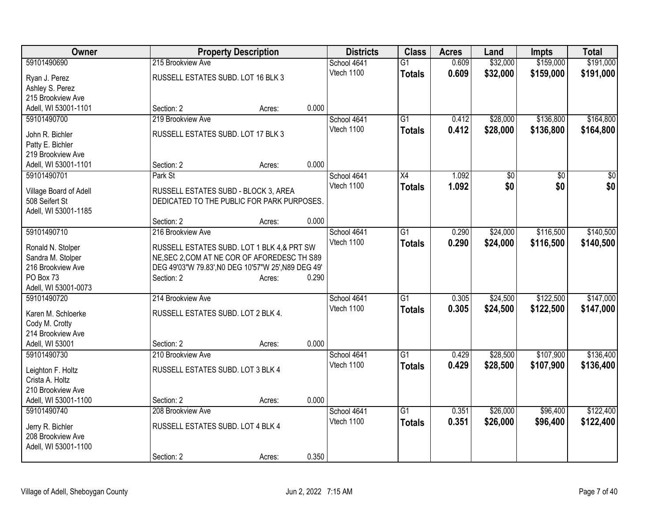| \$159,000<br>\$32,000<br>\$191,000<br>59101490690<br>215 Brookview Ave<br>$\overline{G1}$<br>0.609<br>School 4641<br>Vtech 1100<br>0.609<br>\$32,000<br>\$159,000<br>\$191,000<br><b>Totals</b><br>RUSSELL ESTATES SUBD. LOT 16 BLK 3<br>Ryan J. Perez<br>Ashley S. Perez<br>215 Brookview Ave<br>0.000<br>Adell, WI 53001-1101<br>Section: 2<br>Acres:<br>\$136,800<br>59101490700<br>219 Brookview Ave<br>$\overline{G1}$<br>\$28,000<br>School 4641<br>0.412<br>0.412<br>Vtech 1100<br>\$28,000<br>\$136,800<br>\$164,800<br><b>Totals</b><br>RUSSELL ESTATES SUBD. LOT 17 BLK 3<br>John R. Bichler<br>Patty E. Bichler<br>219 Brookview Ave<br>0.000<br>Section: 2<br>Adell, WI 53001-1101<br>Acres:<br>59101490701<br>Park St<br>1.092<br>$\overline{50}$<br>$\overline{30}$<br>School 4641<br>X4<br>\$0<br>Vtech 1100<br>\$0<br>\$0<br>\$0<br>1.092<br><b>Totals</b><br>RUSSELL ESTATES SUBD - BLOCK 3, AREA<br>Village Board of Adell<br>508 Seifert St<br>DEDICATED TO THE PUBLIC FOR PARK PURPOSES.<br>Adell, WI 53001-1185<br>0.000<br>Section: 2<br>Acres:<br>$\overline{G1}$<br>\$116,500<br>59101490710<br>216 Brookview Ave<br>School 4641<br>0.290<br>\$24,000<br>Vtech 1100<br>0.290<br>\$24,000<br>\$116,500<br>\$140,500<br><b>Totals</b><br>Ronald N. Stolper<br>RUSSELL ESTATES SUBD. LOT 1 BLK 4,& PRT SW<br>NE, SEC 2, COM AT NE COR OF AFOREDESC TH S89<br>Sandra M. Stolper<br>216 Brookview Ave<br>DEG 49'03"W 79.83', NO DEG 10'57"W 25', N89 DEG 49'<br>PO Box 73<br>Section: 2<br>0.290<br>Acres:<br>Adell, WI 53001-0073<br>\$122,500<br>59101490720<br>$\overline{G1}$<br>0.305<br>\$24,500<br>214 Brookview Ave<br>School 4641<br>Vtech 1100<br>0.305<br>\$24,500<br>\$122,500<br>\$147,000<br><b>Totals</b><br>RUSSELL ESTATES SUBD. LOT 2 BLK 4.<br>Karen M. Schloerke<br>Cody M. Crotty<br>214 Brookview Ave<br>0.000<br>Adell, WI 53001<br>Section: 2<br>Acres:<br>$\overline{G1}$<br>\$28,500<br>\$107,900<br>59101490730<br>School 4641<br>0.429<br>210 Brookview Ave<br>0.429<br>Vtech 1100<br>\$28,500<br>\$107,900<br>\$136,400<br><b>Totals</b><br>RUSSELL ESTATES SUBD. LOT 3 BLK 4<br>Leighton F. Holtz<br>Crista A. Holtz<br>210 Brookview Ave<br>0.000<br>Adell, WI 53001-1100<br>Section: 2<br>Acres:<br>59101490740<br>$\overline{G1}$<br>\$26,000<br>\$96,400<br>208 Brookview Ave<br>School 4641<br>0.351<br>0.351<br>\$122,400<br>Vtech 1100<br>\$26,000<br>\$96,400<br><b>Totals</b><br>RUSSELL ESTATES SUBD. LOT 4 BLK 4<br>Jerry R. Bichler<br>208 Brookview Ave<br>Adell, WI 53001-1100 | Owner | <b>Property Description</b> | <b>Districts</b> | <b>Class</b> | <b>Acres</b> | Land | <b>Impts</b> | <b>Total</b> |
|-----------------------------------------------------------------------------------------------------------------------------------------------------------------------------------------------------------------------------------------------------------------------------------------------------------------------------------------------------------------------------------------------------------------------------------------------------------------------------------------------------------------------------------------------------------------------------------------------------------------------------------------------------------------------------------------------------------------------------------------------------------------------------------------------------------------------------------------------------------------------------------------------------------------------------------------------------------------------------------------------------------------------------------------------------------------------------------------------------------------------------------------------------------------------------------------------------------------------------------------------------------------------------------------------------------------------------------------------------------------------------------------------------------------------------------------------------------------------------------------------------------------------------------------------------------------------------------------------------------------------------------------------------------------------------------------------------------------------------------------------------------------------------------------------------------------------------------------------------------------------------------------------------------------------------------------------------------------------------------------------------------------------------------------------------------------------------------------------------------------------------------------------------------------------------------------------------------------------------------------------------------------------------------------------------------------------------------------------------------------------------------------------------------------------------------------------------------------------------------------------------------------------------------------------|-------|-----------------------------|------------------|--------------|--------------|------|--------------|--------------|
|                                                                                                                                                                                                                                                                                                                                                                                                                                                                                                                                                                                                                                                                                                                                                                                                                                                                                                                                                                                                                                                                                                                                                                                                                                                                                                                                                                                                                                                                                                                                                                                                                                                                                                                                                                                                                                                                                                                                                                                                                                                                                                                                                                                                                                                                                                                                                                                                                                                                                                                                               |       |                             |                  |              |              |      |              |              |
| \$164,800<br>\$140,500                                                                                                                                                                                                                                                                                                                                                                                                                                                                                                                                                                                                                                                                                                                                                                                                                                                                                                                                                                                                                                                                                                                                                                                                                                                                                                                                                                                                                                                                                                                                                                                                                                                                                                                                                                                                                                                                                                                                                                                                                                                                                                                                                                                                                                                                                                                                                                                                                                                                                                                        |       |                             |                  |              |              |      |              |              |
|                                                                                                                                                                                                                                                                                                                                                                                                                                                                                                                                                                                                                                                                                                                                                                                                                                                                                                                                                                                                                                                                                                                                                                                                                                                                                                                                                                                                                                                                                                                                                                                                                                                                                                                                                                                                                                                                                                                                                                                                                                                                                                                                                                                                                                                                                                                                                                                                                                                                                                                                               |       |                             |                  |              |              |      |              |              |
|                                                                                                                                                                                                                                                                                                                                                                                                                                                                                                                                                                                                                                                                                                                                                                                                                                                                                                                                                                                                                                                                                                                                                                                                                                                                                                                                                                                                                                                                                                                                                                                                                                                                                                                                                                                                                                                                                                                                                                                                                                                                                                                                                                                                                                                                                                                                                                                                                                                                                                                                               |       |                             |                  |              |              |      |              |              |
|                                                                                                                                                                                                                                                                                                                                                                                                                                                                                                                                                                                                                                                                                                                                                                                                                                                                                                                                                                                                                                                                                                                                                                                                                                                                                                                                                                                                                                                                                                                                                                                                                                                                                                                                                                                                                                                                                                                                                                                                                                                                                                                                                                                                                                                                                                                                                                                                                                                                                                                                               |       |                             |                  |              |              |      |              |              |
|                                                                                                                                                                                                                                                                                                                                                                                                                                                                                                                                                                                                                                                                                                                                                                                                                                                                                                                                                                                                                                                                                                                                                                                                                                                                                                                                                                                                                                                                                                                                                                                                                                                                                                                                                                                                                                                                                                                                                                                                                                                                                                                                                                                                                                                                                                                                                                                                                                                                                                                                               |       |                             |                  |              |              |      |              |              |
|                                                                                                                                                                                                                                                                                                                                                                                                                                                                                                                                                                                                                                                                                                                                                                                                                                                                                                                                                                                                                                                                                                                                                                                                                                                                                                                                                                                                                                                                                                                                                                                                                                                                                                                                                                                                                                                                                                                                                                                                                                                                                                                                                                                                                                                                                                                                                                                                                                                                                                                                               |       |                             |                  |              |              |      |              |              |
|                                                                                                                                                                                                                                                                                                                                                                                                                                                                                                                                                                                                                                                                                                                                                                                                                                                                                                                                                                                                                                                                                                                                                                                                                                                                                                                                                                                                                                                                                                                                                                                                                                                                                                                                                                                                                                                                                                                                                                                                                                                                                                                                                                                                                                                                                                                                                                                                                                                                                                                                               |       |                             |                  |              |              |      |              |              |
|                                                                                                                                                                                                                                                                                                                                                                                                                                                                                                                                                                                                                                                                                                                                                                                                                                                                                                                                                                                                                                                                                                                                                                                                                                                                                                                                                                                                                                                                                                                                                                                                                                                                                                                                                                                                                                                                                                                                                                                                                                                                                                                                                                                                                                                                                                                                                                                                                                                                                                                                               |       |                             |                  |              |              |      |              |              |
|                                                                                                                                                                                                                                                                                                                                                                                                                                                                                                                                                                                                                                                                                                                                                                                                                                                                                                                                                                                                                                                                                                                                                                                                                                                                                                                                                                                                                                                                                                                                                                                                                                                                                                                                                                                                                                                                                                                                                                                                                                                                                                                                                                                                                                                                                                                                                                                                                                                                                                                                               |       |                             |                  |              |              |      |              |              |
|                                                                                                                                                                                                                                                                                                                                                                                                                                                                                                                                                                                                                                                                                                                                                                                                                                                                                                                                                                                                                                                                                                                                                                                                                                                                                                                                                                                                                                                                                                                                                                                                                                                                                                                                                                                                                                                                                                                                                                                                                                                                                                                                                                                                                                                                                                                                                                                                                                                                                                                                               |       |                             |                  |              |              |      |              |              |
|                                                                                                                                                                                                                                                                                                                                                                                                                                                                                                                                                                                                                                                                                                                                                                                                                                                                                                                                                                                                                                                                                                                                                                                                                                                                                                                                                                                                                                                                                                                                                                                                                                                                                                                                                                                                                                                                                                                                                                                                                                                                                                                                                                                                                                                                                                                                                                                                                                                                                                                                               |       |                             |                  |              |              |      |              |              |
|                                                                                                                                                                                                                                                                                                                                                                                                                                                                                                                                                                                                                                                                                                                                                                                                                                                                                                                                                                                                                                                                                                                                                                                                                                                                                                                                                                                                                                                                                                                                                                                                                                                                                                                                                                                                                                                                                                                                                                                                                                                                                                                                                                                                                                                                                                                                                                                                                                                                                                                                               |       |                             |                  |              |              |      |              |              |
|                                                                                                                                                                                                                                                                                                                                                                                                                                                                                                                                                                                                                                                                                                                                                                                                                                                                                                                                                                                                                                                                                                                                                                                                                                                                                                                                                                                                                                                                                                                                                                                                                                                                                                                                                                                                                                                                                                                                                                                                                                                                                                                                                                                                                                                                                                                                                                                                                                                                                                                                               |       |                             |                  |              |              |      |              |              |
|                                                                                                                                                                                                                                                                                                                                                                                                                                                                                                                                                                                                                                                                                                                                                                                                                                                                                                                                                                                                                                                                                                                                                                                                                                                                                                                                                                                                                                                                                                                                                                                                                                                                                                                                                                                                                                                                                                                                                                                                                                                                                                                                                                                                                                                                                                                                                                                                                                                                                                                                               |       |                             |                  |              |              |      |              |              |
| \$147,000<br>\$136,400<br>\$122,400                                                                                                                                                                                                                                                                                                                                                                                                                                                                                                                                                                                                                                                                                                                                                                                                                                                                                                                                                                                                                                                                                                                                                                                                                                                                                                                                                                                                                                                                                                                                                                                                                                                                                                                                                                                                                                                                                                                                                                                                                                                                                                                                                                                                                                                                                                                                                                                                                                                                                                           |       |                             |                  |              |              |      |              |              |
|                                                                                                                                                                                                                                                                                                                                                                                                                                                                                                                                                                                                                                                                                                                                                                                                                                                                                                                                                                                                                                                                                                                                                                                                                                                                                                                                                                                                                                                                                                                                                                                                                                                                                                                                                                                                                                                                                                                                                                                                                                                                                                                                                                                                                                                                                                                                                                                                                                                                                                                                               |       |                             |                  |              |              |      |              |              |
|                                                                                                                                                                                                                                                                                                                                                                                                                                                                                                                                                                                                                                                                                                                                                                                                                                                                                                                                                                                                                                                                                                                                                                                                                                                                                                                                                                                                                                                                                                                                                                                                                                                                                                                                                                                                                                                                                                                                                                                                                                                                                                                                                                                                                                                                                                                                                                                                                                                                                                                                               |       |                             |                  |              |              |      |              |              |
|                                                                                                                                                                                                                                                                                                                                                                                                                                                                                                                                                                                                                                                                                                                                                                                                                                                                                                                                                                                                                                                                                                                                                                                                                                                                                                                                                                                                                                                                                                                                                                                                                                                                                                                                                                                                                                                                                                                                                                                                                                                                                                                                                                                                                                                                                                                                                                                                                                                                                                                                               |       |                             |                  |              |              |      |              |              |
|                                                                                                                                                                                                                                                                                                                                                                                                                                                                                                                                                                                                                                                                                                                                                                                                                                                                                                                                                                                                                                                                                                                                                                                                                                                                                                                                                                                                                                                                                                                                                                                                                                                                                                                                                                                                                                                                                                                                                                                                                                                                                                                                                                                                                                                                                                                                                                                                                                                                                                                                               |       |                             |                  |              |              |      |              |              |
|                                                                                                                                                                                                                                                                                                                                                                                                                                                                                                                                                                                                                                                                                                                                                                                                                                                                                                                                                                                                                                                                                                                                                                                                                                                                                                                                                                                                                                                                                                                                                                                                                                                                                                                                                                                                                                                                                                                                                                                                                                                                                                                                                                                                                                                                                                                                                                                                                                                                                                                                               |       |                             |                  |              |              |      |              |              |
|                                                                                                                                                                                                                                                                                                                                                                                                                                                                                                                                                                                                                                                                                                                                                                                                                                                                                                                                                                                                                                                                                                                                                                                                                                                                                                                                                                                                                                                                                                                                                                                                                                                                                                                                                                                                                                                                                                                                                                                                                                                                                                                                                                                                                                                                                                                                                                                                                                                                                                                                               |       |                             |                  |              |              |      |              |              |
|                                                                                                                                                                                                                                                                                                                                                                                                                                                                                                                                                                                                                                                                                                                                                                                                                                                                                                                                                                                                                                                                                                                                                                                                                                                                                                                                                                                                                                                                                                                                                                                                                                                                                                                                                                                                                                                                                                                                                                                                                                                                                                                                                                                                                                                                                                                                                                                                                                                                                                                                               |       |                             |                  |              |              |      |              |              |
|                                                                                                                                                                                                                                                                                                                                                                                                                                                                                                                                                                                                                                                                                                                                                                                                                                                                                                                                                                                                                                                                                                                                                                                                                                                                                                                                                                                                                                                                                                                                                                                                                                                                                                                                                                                                                                                                                                                                                                                                                                                                                                                                                                                                                                                                                                                                                                                                                                                                                                                                               |       |                             |                  |              |              |      |              |              |
|                                                                                                                                                                                                                                                                                                                                                                                                                                                                                                                                                                                                                                                                                                                                                                                                                                                                                                                                                                                                                                                                                                                                                                                                                                                                                                                                                                                                                                                                                                                                                                                                                                                                                                                                                                                                                                                                                                                                                                                                                                                                                                                                                                                                                                                                                                                                                                                                                                                                                                                                               |       |                             |                  |              |              |      |              |              |
|                                                                                                                                                                                                                                                                                                                                                                                                                                                                                                                                                                                                                                                                                                                                                                                                                                                                                                                                                                                                                                                                                                                                                                                                                                                                                                                                                                                                                                                                                                                                                                                                                                                                                                                                                                                                                                                                                                                                                                                                                                                                                                                                                                                                                                                                                                                                                                                                                                                                                                                                               |       |                             |                  |              |              |      |              |              |
|                                                                                                                                                                                                                                                                                                                                                                                                                                                                                                                                                                                                                                                                                                                                                                                                                                                                                                                                                                                                                                                                                                                                                                                                                                                                                                                                                                                                                                                                                                                                                                                                                                                                                                                                                                                                                                                                                                                                                                                                                                                                                                                                                                                                                                                                                                                                                                                                                                                                                                                                               |       |                             |                  |              |              |      |              |              |
|                                                                                                                                                                                                                                                                                                                                                                                                                                                                                                                                                                                                                                                                                                                                                                                                                                                                                                                                                                                                                                                                                                                                                                                                                                                                                                                                                                                                                                                                                                                                                                                                                                                                                                                                                                                                                                                                                                                                                                                                                                                                                                                                                                                                                                                                                                                                                                                                                                                                                                                                               |       |                             |                  |              |              |      |              |              |
|                                                                                                                                                                                                                                                                                                                                                                                                                                                                                                                                                                                                                                                                                                                                                                                                                                                                                                                                                                                                                                                                                                                                                                                                                                                                                                                                                                                                                                                                                                                                                                                                                                                                                                                                                                                                                                                                                                                                                                                                                                                                                                                                                                                                                                                                                                                                                                                                                                                                                                                                               |       |                             |                  |              |              |      |              |              |
|                                                                                                                                                                                                                                                                                                                                                                                                                                                                                                                                                                                                                                                                                                                                                                                                                                                                                                                                                                                                                                                                                                                                                                                                                                                                                                                                                                                                                                                                                                                                                                                                                                                                                                                                                                                                                                                                                                                                                                                                                                                                                                                                                                                                                                                                                                                                                                                                                                                                                                                                               |       |                             |                  |              |              |      |              |              |
|                                                                                                                                                                                                                                                                                                                                                                                                                                                                                                                                                                                                                                                                                                                                                                                                                                                                                                                                                                                                                                                                                                                                                                                                                                                                                                                                                                                                                                                                                                                                                                                                                                                                                                                                                                                                                                                                                                                                                                                                                                                                                                                                                                                                                                                                                                                                                                                                                                                                                                                                               |       |                             |                  |              |              |      |              |              |
|                                                                                                                                                                                                                                                                                                                                                                                                                                                                                                                                                                                                                                                                                                                                                                                                                                                                                                                                                                                                                                                                                                                                                                                                                                                                                                                                                                                                                                                                                                                                                                                                                                                                                                                                                                                                                                                                                                                                                                                                                                                                                                                                                                                                                                                                                                                                                                                                                                                                                                                                               |       |                             |                  |              |              |      |              |              |
|                                                                                                                                                                                                                                                                                                                                                                                                                                                                                                                                                                                                                                                                                                                                                                                                                                                                                                                                                                                                                                                                                                                                                                                                                                                                                                                                                                                                                                                                                                                                                                                                                                                                                                                                                                                                                                                                                                                                                                                                                                                                                                                                                                                                                                                                                                                                                                                                                                                                                                                                               |       |                             |                  |              |              |      |              |              |
|                                                                                                                                                                                                                                                                                                                                                                                                                                                                                                                                                                                                                                                                                                                                                                                                                                                                                                                                                                                                                                                                                                                                                                                                                                                                                                                                                                                                                                                                                                                                                                                                                                                                                                                                                                                                                                                                                                                                                                                                                                                                                                                                                                                                                                                                                                                                                                                                                                                                                                                                               |       |                             |                  |              |              |      |              |              |
|                                                                                                                                                                                                                                                                                                                                                                                                                                                                                                                                                                                                                                                                                                                                                                                                                                                                                                                                                                                                                                                                                                                                                                                                                                                                                                                                                                                                                                                                                                                                                                                                                                                                                                                                                                                                                                                                                                                                                                                                                                                                                                                                                                                                                                                                                                                                                                                                                                                                                                                                               |       |                             |                  |              |              |      |              |              |
|                                                                                                                                                                                                                                                                                                                                                                                                                                                                                                                                                                                                                                                                                                                                                                                                                                                                                                                                                                                                                                                                                                                                                                                                                                                                                                                                                                                                                                                                                                                                                                                                                                                                                                                                                                                                                                                                                                                                                                                                                                                                                                                                                                                                                                                                                                                                                                                                                                                                                                                                               |       |                             |                  |              |              |      |              |              |
|                                                                                                                                                                                                                                                                                                                                                                                                                                                                                                                                                                                                                                                                                                                                                                                                                                                                                                                                                                                                                                                                                                                                                                                                                                                                                                                                                                                                                                                                                                                                                                                                                                                                                                                                                                                                                                                                                                                                                                                                                                                                                                                                                                                                                                                                                                                                                                                                                                                                                                                                               |       |                             |                  |              |              |      |              |              |
| 0.350<br>Section: 2<br>Acres:                                                                                                                                                                                                                                                                                                                                                                                                                                                                                                                                                                                                                                                                                                                                                                                                                                                                                                                                                                                                                                                                                                                                                                                                                                                                                                                                                                                                                                                                                                                                                                                                                                                                                                                                                                                                                                                                                                                                                                                                                                                                                                                                                                                                                                                                                                                                                                                                                                                                                                                 |       |                             |                  |              |              |      |              |              |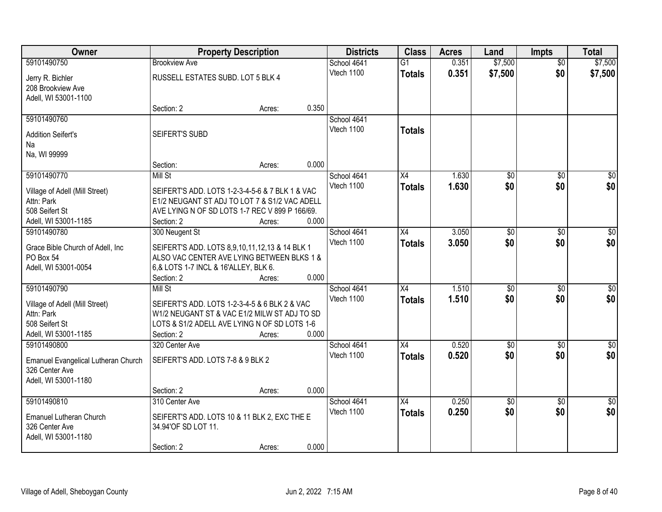| Owner                                          | <b>Property Description</b>                                                                   |        |       | <b>Districts</b> | <b>Class</b>    | <b>Acres</b> | Land            | <b>Impts</b>    | <b>Total</b>     |
|------------------------------------------------|-----------------------------------------------------------------------------------------------|--------|-------|------------------|-----------------|--------------|-----------------|-----------------|------------------|
| 59101490750                                    | <b>Brookview Ave</b>                                                                          |        |       | School 4641      | $\overline{G1}$ | 0.351        | \$7,500         | $\overline{50}$ | \$7,500          |
| Jerry R. Bichler                               | RUSSELL ESTATES SUBD. LOT 5 BLK 4                                                             |        |       | Vtech 1100       | <b>Totals</b>   | 0.351        | \$7,500         | \$0             | \$7,500          |
| 208 Brookview Ave                              |                                                                                               |        |       |                  |                 |              |                 |                 |                  |
| Adell, WI 53001-1100                           |                                                                                               |        |       |                  |                 |              |                 |                 |                  |
|                                                | Section: 2                                                                                    | Acres: | 0.350 |                  |                 |              |                 |                 |                  |
| 59101490760                                    |                                                                                               |        |       | School 4641      |                 |              |                 |                 |                  |
| <b>Addition Seifert's</b>                      | SEIFERT'S SUBD                                                                                |        |       | Vtech 1100       | <b>Totals</b>   |              |                 |                 |                  |
| Na                                             |                                                                                               |        |       |                  |                 |              |                 |                 |                  |
| Na, WI 99999                                   |                                                                                               |        |       |                  |                 |              |                 |                 |                  |
|                                                | Section:                                                                                      | Acres: | 0.000 |                  |                 |              |                 |                 |                  |
| 59101490770                                    | Mill St                                                                                       |        |       | School 4641      | X4              | 1.630        | \$0             | \$0             | $\overline{50}$  |
| Village of Adell (Mill Street)                 | SEIFERT'S ADD. LOTS 1-2-3-4-5-6 & 7 BLK 1 & VAC                                               |        |       | Vtech 1100       | <b>Totals</b>   | 1.630        | \$0             | \$0             | \$0              |
| Attn: Park                                     | E1/2 NEUGANT ST ADJ TO LOT 7 & S1/2 VAC ADELL                                                 |        |       |                  |                 |              |                 |                 |                  |
| 508 Seifert St                                 | AVE LYING N OF SD LOTS 1-7 REC V 899 P 166/69.                                                |        |       |                  |                 |              |                 |                 |                  |
| Adell, WI 53001-1185                           | Section: 2                                                                                    | Acres: | 0.000 |                  |                 |              |                 |                 |                  |
| 59101490780                                    | 300 Neugent St                                                                                |        |       | School 4641      | X4              | 3.050        | \$0             | $\sqrt{6}$      | $\sqrt{50}$      |
|                                                |                                                                                               |        |       | Vtech 1100       | <b>Totals</b>   | 3.050        | \$0             | \$0             | \$0              |
| Grace Bible Church of Adell, Inc.<br>PO Box 54 | SEIFERT'S ADD. LOTS 8,9,10,11,12,13 & 14 BLK 1<br>ALSO VAC CENTER AVE LYING BETWEEN BLKS 1 &  |        |       |                  |                 |              |                 |                 |                  |
| Adell, WI 53001-0054                           | 6,& LOTS 1-7 INCL & 16'ALLEY, BLK 6.                                                          |        |       |                  |                 |              |                 |                 |                  |
|                                                | Section: 2                                                                                    | Acres: | 0.000 |                  |                 |              |                 |                 |                  |
| 59101490790                                    | Mill St                                                                                       |        |       | School 4641      | $\overline{X4}$ | 1.510        | $\overline{50}$ | $\overline{50}$ | $\overline{50}$  |
|                                                |                                                                                               |        |       | Vtech 1100       | <b>Totals</b>   | 1.510        | \$0             | \$0             | \$0              |
| Village of Adell (Mill Street)                 | SEIFERT'S ADD. LOTS 1-2-3-4-5 & 6 BLK 2 & VAC<br>W1/2 NEUGANT ST & VAC E1/2 MILW ST ADJ TO SD |        |       |                  |                 |              |                 |                 |                  |
| Attn: Park<br>508 Seifert St                   | LOTS & S1/2 ADELL AVE LYING N OF SD LOTS 1-6                                                  |        |       |                  |                 |              |                 |                 |                  |
| Adell, WI 53001-1185                           | Section: 2                                                                                    | Acres: | 0.000 |                  |                 |              |                 |                 |                  |
| 59101490800                                    | 320 Center Ave                                                                                |        |       | School 4641      | X4              | 0.520        | $\overline{50}$ | $\overline{50}$ | $\overline{\$0}$ |
|                                                |                                                                                               |        |       | Vtech 1100       | <b>Totals</b>   | 0.520        | \$0             | \$0             | \$0              |
| Emanuel Evangelical Lutheran Church            | SEIFERT'S ADD. LOTS 7-8 & 9 BLK 2                                                             |        |       |                  |                 |              |                 |                 |                  |
| 326 Center Ave                                 |                                                                                               |        |       |                  |                 |              |                 |                 |                  |
| Adell, WI 53001-1180                           | Section: 2                                                                                    | Acres: | 0.000 |                  |                 |              |                 |                 |                  |
| 59101490810                                    | 310 Center Ave                                                                                |        |       | School 4641      | X4              | 0.250        | $\overline{50}$ | $\overline{50}$ | $\overline{30}$  |
|                                                |                                                                                               |        |       | Vtech 1100       | <b>Totals</b>   | 0.250        | \$0             | \$0             | \$0              |
| Emanuel Lutheran Church                        | SEIFERT'S ADD. LOTS 10 & 11 BLK 2, EXC THE E                                                  |        |       |                  |                 |              |                 |                 |                  |
| 326 Center Ave                                 | 34.94'OF SD LOT 11.                                                                           |        |       |                  |                 |              |                 |                 |                  |
| Adell, WI 53001-1180                           |                                                                                               |        |       |                  |                 |              |                 |                 |                  |
|                                                | Section: 2                                                                                    | Acres: | 0.000 |                  |                 |              |                 |                 |                  |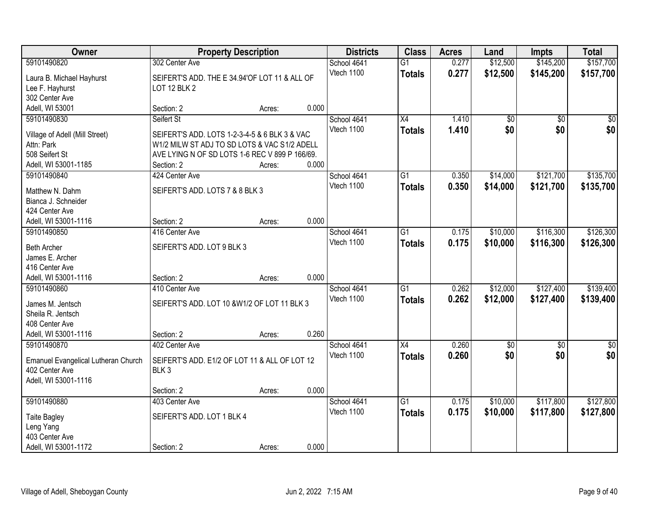| Owner                                 | <b>Property Description</b>                    |        |       | <b>Districts</b> | <b>Class</b>    | <b>Acres</b> | Land            | <b>Impts</b>    | <b>Total</b> |
|---------------------------------------|------------------------------------------------|--------|-------|------------------|-----------------|--------------|-----------------|-----------------|--------------|
| 59101490820                           | 302 Center Ave                                 |        |       | School 4641      | $\overline{G1}$ | 0.277        | \$12,500        | \$145,200       | \$157,700    |
| Laura B. Michael Hayhurst             | SEIFERT'S ADD. THE E 34.94'OF LOT 11 & ALL OF  |        |       | Vtech 1100       | <b>Totals</b>   | 0.277        | \$12,500        | \$145,200       | \$157,700    |
| Lee F. Hayhurst                       | LOT 12 BLK 2                                   |        |       |                  |                 |              |                 |                 |              |
| 302 Center Ave                        |                                                |        |       |                  |                 |              |                 |                 |              |
| Adell, WI 53001                       | Section: 2                                     | Acres: | 0.000 |                  |                 |              |                 |                 |              |
| 59101490830                           | Seifert St                                     |        |       | School 4641      | $\overline{X4}$ | 1.410        | \$0             | $\overline{50}$ | \$0          |
|                                       |                                                |        |       | Vtech 1100       | <b>Totals</b>   | 1.410        | \$0             | \$0             | \$0          |
| Village of Adell (Mill Street)        | SEIFERT'S ADD. LOTS 1-2-3-4-5 & 6 BLK 3 & VAC  |        |       |                  |                 |              |                 |                 |              |
| Attn: Park                            | W1/2 MILW ST ADJ TO SD LOTS & VAC S1/2 ADELL   |        |       |                  |                 |              |                 |                 |              |
| 508 Seifert St                        | AVE LYING N OF SD LOTS 1-6 REC V 899 P 166/69. |        |       |                  |                 |              |                 |                 |              |
| Adell, WI 53001-1185                  | Section: 2                                     | Acres: | 0.000 |                  |                 |              |                 |                 |              |
| 59101490840                           | 424 Center Ave                                 |        |       | School 4641      | G1              | 0.350        | \$14,000        | \$121,700       | \$135,700    |
| Matthew N. Dahm                       | SEIFERT'S ADD. LOTS 7 & 8 BLK 3                |        |       | Vtech 1100       | <b>Totals</b>   | 0.350        | \$14,000        | \$121,700       | \$135,700    |
| Bianca J. Schneider                   |                                                |        |       |                  |                 |              |                 |                 |              |
| 424 Center Ave                        |                                                |        |       |                  |                 |              |                 |                 |              |
| Adell, WI 53001-1116                  | Section: 2                                     | Acres: | 0.000 |                  |                 |              |                 |                 |              |
| 59101490850                           | 416 Center Ave                                 |        |       | School 4641      | G1              | 0.175        | \$10,000        | \$116,300       | \$126,300    |
|                                       |                                                |        |       | Vtech 1100       |                 | 0.175        | \$10,000        |                 |              |
| <b>Beth Archer</b>                    | SEIFERT'S ADD. LOT 9 BLK 3                     |        |       |                  | <b>Totals</b>   |              |                 | \$116,300       | \$126,300    |
| James E. Archer                       |                                                |        |       |                  |                 |              |                 |                 |              |
| 416 Center Ave                        |                                                |        |       |                  |                 |              |                 |                 |              |
| Adell, WI 53001-1116                  | Section: 2                                     | Acres: | 0.000 |                  |                 |              |                 |                 |              |
| 59101490860                           | 410 Center Ave                                 |        |       | School 4641      | $\overline{G1}$ | 0.262        | \$12,000        | \$127,400       | \$139,400    |
|                                       | SEIFERT'S ADD. LOT 10 & W1/2 OF LOT 11 BLK 3   |        |       | Vtech 1100       | <b>Totals</b>   | 0.262        | \$12,000        | \$127,400       | \$139,400    |
| James M. Jentsch<br>Sheila R. Jentsch |                                                |        |       |                  |                 |              |                 |                 |              |
| 408 Center Ave                        |                                                |        |       |                  |                 |              |                 |                 |              |
| Adell, WI 53001-1116                  | Section: 2                                     |        | 0.260 |                  |                 |              |                 |                 |              |
|                                       |                                                | Acres: |       |                  |                 |              |                 |                 |              |
| 59101490870                           | 402 Center Ave                                 |        |       | School 4641      | X4              | 0.260        | $\overline{50}$ | \$0             | $\sqrt{50}$  |
| Emanuel Evangelical Lutheran Church   | SEIFERT'S ADD. E1/2 OF LOT 11 & ALL OF LOT 12  |        |       | Vtech 1100       | <b>Totals</b>   | 0.260        | \$0             | \$0             | \$0          |
| 402 Center Ave                        | BLK <sub>3</sub>                               |        |       |                  |                 |              |                 |                 |              |
| Adell, WI 53001-1116                  |                                                |        |       |                  |                 |              |                 |                 |              |
|                                       | Section: 2                                     | Acres: | 0.000 |                  |                 |              |                 |                 |              |
| 59101490880                           | 403 Center Ave                                 |        |       | School 4641      | $\overline{G1}$ | 0.175        | \$10,000        | \$117,800       | \$127,800    |
|                                       |                                                |        |       | Vtech 1100       | <b>Totals</b>   | 0.175        | \$10,000        | \$117,800       | \$127,800    |
| <b>Taite Bagley</b>                   | SEIFERT'S ADD. LOT 1 BLK 4                     |        |       |                  |                 |              |                 |                 |              |
| Leng Yang                             |                                                |        |       |                  |                 |              |                 |                 |              |
| 403 Center Ave                        |                                                |        |       |                  |                 |              |                 |                 |              |
| Adell, WI 53001-1172                  | Section: 2                                     | Acres: | 0.000 |                  |                 |              |                 |                 |              |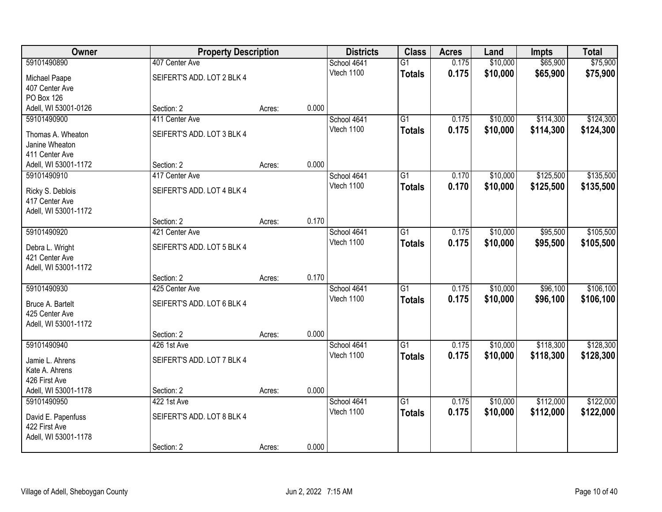| Owner                                 | <b>Property Description</b>  |        |       | <b>Districts</b>          | <b>Class</b>    | <b>Acres</b> | Land     | <b>Impts</b> | <b>Total</b> |
|---------------------------------------|------------------------------|--------|-------|---------------------------|-----------------|--------------|----------|--------------|--------------|
| 59101490890                           | 407 Center Ave               |        |       | School 4641               | $\overline{G1}$ | 0.175        | \$10,000 | \$65,900     | \$75,900     |
| Michael Paape                         | SEIFERT'S ADD. LOT 2 BLK 4   |        |       | Vtech 1100                | <b>Totals</b>   | 0.175        | \$10,000 | \$65,900     | \$75,900     |
| 407 Center Ave                        |                              |        |       |                           |                 |              |          |              |              |
| <b>PO Box 126</b>                     |                              |        |       |                           |                 |              |          |              |              |
| Adell, WI 53001-0126                  | Section: 2                   | Acres: | 0.000 |                           |                 |              |          |              |              |
| 59101490900                           | 411 Center Ave               |        |       | School 4641               | $\overline{G1}$ | 0.175        | \$10,000 | \$114,300    | \$124,300    |
| Thomas A. Wheaton                     | SEIFERT'S ADD. LOT 3 BLK 4   |        |       | Vtech 1100                | <b>Totals</b>   | 0.175        | \$10,000 | \$114,300    | \$124,300    |
| Janine Wheaton                        |                              |        |       |                           |                 |              |          |              |              |
| 411 Center Ave                        |                              |        |       |                           |                 |              |          |              |              |
| Adell, WI 53001-1172                  | Section: 2                   | Acres: | 0.000 |                           |                 |              |          |              |              |
| 59101490910                           | 417 Center Ave               |        |       | School 4641               | G1              | 0.170        | \$10,000 | \$125,500    | \$135,500    |
| Ricky S. Deblois                      | SEIFERT'S ADD. LOT 4 BLK 4   |        |       | Vtech 1100                | <b>Totals</b>   | 0.170        | \$10,000 | \$125,500    | \$135,500    |
| 417 Center Ave                        |                              |        |       |                           |                 |              |          |              |              |
| Adell, WI 53001-1172                  |                              |        |       |                           |                 |              |          |              |              |
|                                       | Section: 2                   | Acres: | 0.170 |                           |                 |              |          |              |              |
| 59101490920                           | 421 Center Ave               |        |       | School 4641<br>Vtech 1100 | G1              | 0.175        | \$10,000 | \$95,500     | \$105,500    |
| Debra L. Wright                       | SEIFERT'S ADD. LOT 5 BLK 4   |        |       |                           | <b>Totals</b>   | 0.175        | \$10,000 | \$95,500     | \$105,500    |
| 421 Center Ave                        |                              |        |       |                           |                 |              |          |              |              |
| Adell, WI 53001-1172                  |                              |        |       |                           |                 |              |          |              |              |
| 59101490930                           | Section: 2<br>425 Center Ave | Acres: | 0.170 |                           | $\overline{G1}$ | 0.175        | \$10,000 | \$96,100     | \$106,100    |
|                                       |                              |        |       | School 4641<br>Vtech 1100 | <b>Totals</b>   | 0.175        | \$10,000 | \$96,100     | \$106,100    |
| Bruce A. Bartelt                      | SEIFERT'S ADD. LOT 6 BLK 4   |        |       |                           |                 |              |          |              |              |
| 425 Center Ave                        |                              |        |       |                           |                 |              |          |              |              |
| Adell, WI 53001-1172                  |                              |        | 0.000 |                           |                 |              |          |              |              |
| 59101490940                           | Section: 2<br>426 1st Ave    | Acres: |       | School 4641               | $\overline{G1}$ | 0.175        | \$10,000 | \$118,300    | \$128,300    |
|                                       |                              |        |       | Vtech 1100                | <b>Totals</b>   | 0.175        | \$10,000 | \$118,300    | \$128,300    |
| Jamie L. Ahrens                       | SEIFERT'S ADD. LOT 7 BLK 4   |        |       |                           |                 |              |          |              |              |
| Kate A. Ahrens<br>426 First Ave       |                              |        |       |                           |                 |              |          |              |              |
| Adell, WI 53001-1178                  | Section: 2                   | Acres: | 0.000 |                           |                 |              |          |              |              |
| 59101490950                           | 422 1st Ave                  |        |       | School 4641               | $\overline{G1}$ | 0.175        | \$10,000 | \$112,000    | \$122,000    |
|                                       |                              |        |       | Vtech 1100                | <b>Totals</b>   | 0.175        | \$10,000 | \$112,000    | \$122,000    |
| David E. Papenfuss                    | SEIFERT'S ADD. LOT 8 BLK 4   |        |       |                           |                 |              |          |              |              |
| 422 First Ave<br>Adell, WI 53001-1178 |                              |        |       |                           |                 |              |          |              |              |
|                                       | Section: 2                   | Acres: | 0.000 |                           |                 |              |          |              |              |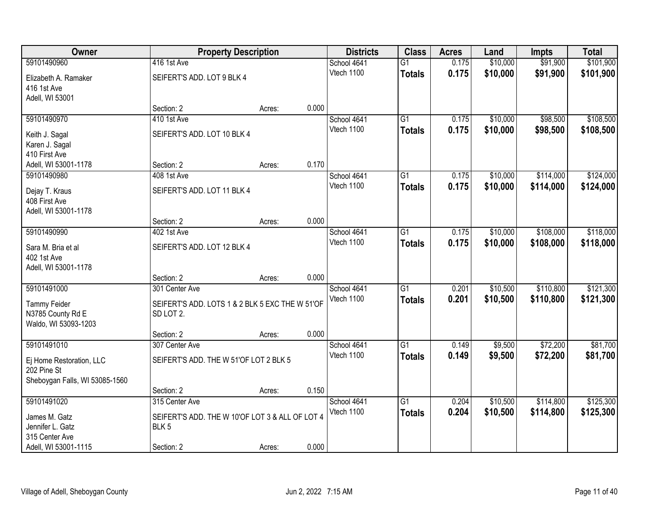| Owner                          | <b>Property Description</b>                     |        |       | <b>Districts</b> | <b>Class</b>    | <b>Acres</b> | Land     | <b>Impts</b> | <b>Total</b> |
|--------------------------------|-------------------------------------------------|--------|-------|------------------|-----------------|--------------|----------|--------------|--------------|
| 59101490960                    | 416 1st Ave                                     |        |       | School 4641      | $\overline{G1}$ | 0.175        | \$10,000 | \$91,900     | \$101,900    |
| Elizabeth A. Ramaker           | SEIFERT'S ADD. LOT 9 BLK 4                      |        |       | Vtech 1100       | <b>Totals</b>   | 0.175        | \$10,000 | \$91,900     | \$101,900    |
| 416 1st Ave                    |                                                 |        |       |                  |                 |              |          |              |              |
| Adell, WI 53001                |                                                 |        |       |                  |                 |              |          |              |              |
|                                | Section: 2                                      | Acres: | 0.000 |                  |                 |              |          |              |              |
| 59101490970                    | 410 1st Ave                                     |        |       | School 4641      | $\overline{G1}$ | 0.175        | \$10,000 | \$98,500     | \$108,500    |
| Keith J. Sagal                 | SEIFERT'S ADD. LOT 10 BLK 4                     |        |       | Vtech 1100       | <b>Totals</b>   | 0.175        | \$10,000 | \$98,500     | \$108,500    |
| Karen J. Sagal                 |                                                 |        |       |                  |                 |              |          |              |              |
| 410 First Ave                  |                                                 |        |       |                  |                 |              |          |              |              |
| Adell, WI 53001-1178           | Section: 2                                      | Acres: | 0.170 |                  |                 |              |          |              |              |
| 59101490980                    | 408 1st Ave                                     |        |       | School 4641      | G1              | 0.175        | \$10,000 | \$114,000    | \$124,000    |
| Dejay T. Kraus                 | SEIFERT'S ADD. LOT 11 BLK 4                     |        |       | Vtech 1100       | <b>Totals</b>   | 0.175        | \$10,000 | \$114,000    | \$124,000    |
| 408 First Ave                  |                                                 |        |       |                  |                 |              |          |              |              |
| Adell, WI 53001-1178           |                                                 |        |       |                  |                 |              |          |              |              |
|                                | Section: 2                                      | Acres: | 0.000 |                  |                 |              |          |              |              |
| 59101490990                    | 402 1st Ave                                     |        |       | School 4641      | G1              | 0.175        | \$10,000 | \$108,000    | \$118,000    |
| Sara M. Bria et al             | SEIFERT'S ADD. LOT 12 BLK 4                     |        |       | Vtech 1100       | <b>Totals</b>   | 0.175        | \$10,000 | \$108,000    | \$118,000    |
| 402 1st Ave                    |                                                 |        |       |                  |                 |              |          |              |              |
| Adell, WI 53001-1178           |                                                 |        |       |                  |                 |              |          |              |              |
|                                | Section: 2                                      | Acres: | 0.000 |                  |                 |              |          |              |              |
| 59101491000                    | 301 Center Ave                                  |        |       | School 4641      | $\overline{G1}$ | 0.201        | \$10,500 | \$110,800    | \$121,300    |
| <b>Tammy Feider</b>            | SEIFERT'S ADD. LOTS 1 & 2 BLK 5 EXC THE W 51'OF |        |       | Vtech 1100       | <b>Totals</b>   | 0.201        | \$10,500 | \$110,800    | \$121,300    |
| N3785 County Rd E              | SD LOT 2.                                       |        |       |                  |                 |              |          |              |              |
| Waldo, WI 53093-1203           |                                                 |        |       |                  |                 |              |          |              |              |
|                                | Section: 2                                      | Acres: | 0.000 |                  |                 |              |          |              |              |
| 59101491010                    | 307 Center Ave                                  |        |       | School 4641      | $\overline{G1}$ | 0.149        | \$9,500  | \$72,200     | \$81,700     |
| Ej Home Restoration, LLC       | SEIFERT'S ADD. THE W 51'OF LOT 2 BLK 5          |        |       | Vtech 1100       | <b>Totals</b>   | 0.149        | \$9,500  | \$72,200     | \$81,700     |
| 202 Pine St                    |                                                 |        |       |                  |                 |              |          |              |              |
| Sheboygan Falls, WI 53085-1560 |                                                 |        |       |                  |                 |              |          |              |              |
|                                | Section: 2                                      | Acres: | 0.150 |                  |                 |              |          |              |              |
| 59101491020                    | 315 Center Ave                                  |        |       | School 4641      | $\overline{G1}$ | 0.204        | \$10,500 | \$114,800    | \$125,300    |
| James M. Gatz                  | SEIFERT'S ADD. THE W 10'OF LOT 3 & ALL OF LOT 4 |        |       | Vtech 1100       | <b>Totals</b>   | 0.204        | \$10,500 | \$114,800    | \$125,300    |
| Jennifer L. Gatz               | BLK <sub>5</sub>                                |        |       |                  |                 |              |          |              |              |
| 315 Center Ave                 |                                                 |        |       |                  |                 |              |          |              |              |
| Adell, WI 53001-1115           | Section: 2                                      | Acres: | 0.000 |                  |                 |              |          |              |              |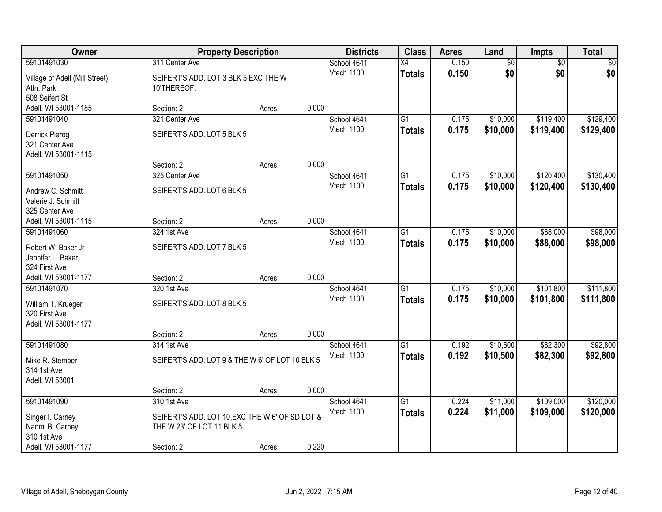| Owner                                                                      |                                                                              | <b>Property Description</b> |       | <b>Districts</b>          | <b>Class</b>                     | <b>Acres</b>   | Land                 | <b>Impts</b>           | <b>Total</b>           |
|----------------------------------------------------------------------------|------------------------------------------------------------------------------|-----------------------------|-------|---------------------------|----------------------------------|----------------|----------------------|------------------------|------------------------|
| 59101491030                                                                | 311 Center Ave                                                               |                             |       | School 4641               | $\overline{X4}$                  | 0.150          | $\overline{60}$      | $\overline{50}$        | \$0                    |
| Village of Adell (Mill Street)<br>Attn: Park<br>508 Seifert St             | SEIFERT'S ADD. LOT 3 BLK 5 EXC THE W<br>10'THEREOF.                          |                             |       | Vtech 1100                | <b>Totals</b>                    | 0.150          | \$0                  | \$0                    | \$0                    |
| Adell, WI 53001-1185                                                       | Section: 2                                                                   | Acres:                      | 0.000 |                           |                                  |                |                      |                        |                        |
| 59101491040                                                                | 321 Center Ave                                                               |                             |       | School 4641               | G1                               | 0.175          | \$10,000             | \$119,400              | \$129,400              |
| Derrick Pierog<br>321 Center Ave<br>Adell, WI 53001-1115                   | SEIFERT'S ADD. LOT 5 BLK 5                                                   |                             |       | Vtech 1100                | <b>Totals</b>                    | 0.175          | \$10,000             | \$119,400              | \$129,400              |
|                                                                            | Section: 2                                                                   | Acres:                      | 0.000 |                           |                                  |                |                      |                        |                        |
| 59101491050                                                                | 325 Center Ave                                                               |                             |       | School 4641               | G1                               | 0.175          | \$10,000             | \$120,400              | \$130,400              |
| Andrew C. Schmitt<br>Valerie J. Schmitt<br>325 Center Ave                  | SEIFERT'S ADD. LOT 6 BLK 5                                                   |                             |       | Vtech 1100                | <b>Totals</b>                    | 0.175          | \$10,000             | \$120,400              | \$130,400              |
| Adell, WI 53001-1115                                                       | Section: 2                                                                   | Acres:                      | 0.000 |                           |                                  |                |                      |                        |                        |
| 59101491060                                                                | 324 1st Ave                                                                  |                             |       | School 4641               | G1                               | 0.175          | \$10,000             | \$88,000               | \$98,000               |
| Robert W. Baker Jr<br>Jennifer L. Baker<br>324 First Ave                   | SEIFERT'S ADD. LOT 7 BLK 5                                                   |                             |       | Vtech 1100                | <b>Totals</b>                    | 0.175          | \$10,000             | \$88,000               | \$98,000               |
| Adell, WI 53001-1177                                                       | Section: 2                                                                   | Acres:                      | 0.000 |                           |                                  |                |                      |                        |                        |
| 59101491070<br>William T. Krueger<br>320 First Ave<br>Adell, WI 53001-1177 | 320 1st Ave<br>SEIFERT'S ADD. LOT 8 BLK 5                                    |                             |       | School 4641<br>Vtech 1100 | $\overline{G1}$<br><b>Totals</b> | 0.175<br>0.175 | \$10,000<br>\$10,000 | \$101,800<br>\$101,800 | \$111,800<br>\$111,800 |
|                                                                            | Section: 2                                                                   | Acres:                      | 0.000 |                           |                                  |                |                      |                        |                        |
| 59101491080                                                                | 314 1st Ave                                                                  |                             |       | School 4641               | $\overline{G1}$                  | 0.192          | \$10,500             | \$82,300               | \$92,800               |
| Mike R. Stemper<br>314 1st Ave<br>Adell, WI 53001                          | SEIFERT'S ADD. LOT 9 & THE W 6' OF LOT 10 BLK 5                              |                             |       | Vtech 1100                | <b>Totals</b>                    | 0.192          | \$10,500             | \$82,300               | \$92,800               |
|                                                                            | Section: 2                                                                   | Acres:                      | 0.000 |                           |                                  |                |                      |                        |                        |
| 59101491090                                                                | 310 1st Ave                                                                  |                             |       | School 4641               | $\overline{G1}$                  | 0.224          | \$11,000             | \$109,000              | \$120,000              |
| Singer I. Carney<br>Naomi B. Carney<br>310 1st Ave                         | SEIFERT'S ADD. LOT 10, EXC THE W 6' OF SD LOT &<br>THE W 23' OF LOT 11 BLK 5 |                             |       | Vtech 1100                | <b>Totals</b>                    | 0.224          | \$11,000             | \$109,000              | \$120,000              |
| Adell, WI 53001-1177                                                       | Section: 2                                                                   | Acres:                      | 0.220 |                           |                                  |                |                      |                        |                        |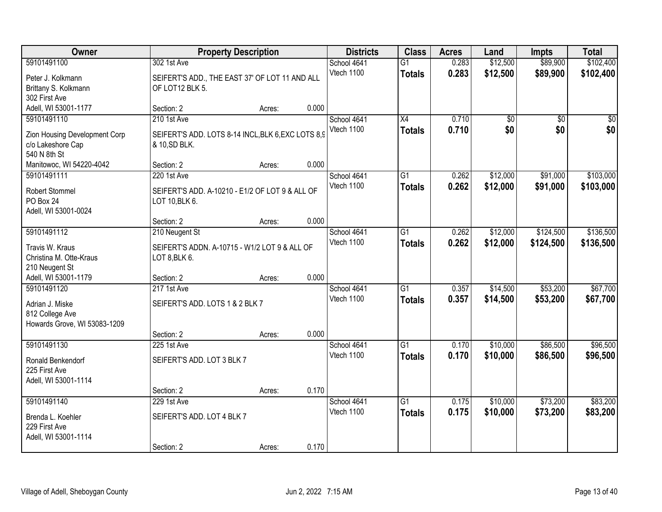| Owner                                                                             |                                                                                    | <b>Property Description</b> |       | <b>Districts</b>          | <b>Class</b>                     | <b>Acres</b>   | Land                 | <b>Impts</b>           | <b>Total</b>           |
|-----------------------------------------------------------------------------------|------------------------------------------------------------------------------------|-----------------------------|-------|---------------------------|----------------------------------|----------------|----------------------|------------------------|------------------------|
| 59101491100<br>Peter J. Kolkmann<br>Brittany S. Kolkmann                          | 302 1st Ave<br>SEIFERT'S ADD., THE EAST 37' OF LOT 11 AND ALL<br>OF LOT12 BLK 5.   |                             |       | School 4641<br>Vtech 1100 | $\overline{G1}$<br><b>Totals</b> | 0.283<br>0.283 | \$12,500<br>\$12,500 | \$89,900<br>\$89,900   | \$102,400<br>\$102,400 |
| 302 First Ave<br>Adell, WI 53001-1177                                             | Section: 2                                                                         | Acres:                      | 0.000 |                           |                                  |                |                      |                        |                        |
| 59101491110<br>Zion Housing Development Corp<br>c/o Lakeshore Cap<br>540 N 8th St | 210 1st Ave<br>SEIFERT'S ADD. LOTS 8-14 INCL, BLK 6, EXC LOTS 8,9<br>& 10, SD BLK. |                             |       | School 4641<br>Vtech 1100 | $\overline{X4}$<br><b>Totals</b> | 0.710<br>0.710 | \$0<br>\$0           | $\overline{50}$<br>\$0 | $\overline{50}$<br>\$0 |
| Manitowoc, WI 54220-4042                                                          | Section: 2                                                                         | Acres:                      | 0.000 |                           |                                  |                |                      |                        |                        |
| 59101491111<br>Robert Stommel<br>PO Box 24<br>Adell, WI 53001-0024                | 220 1st Ave<br>SEIFERT'S ADD. A-10210 - E1/2 OF LOT 9 & ALL OF<br>LOT 10, BLK 6.   |                             |       | School 4641<br>Vtech 1100 | $\overline{G1}$<br><b>Totals</b> | 0.262<br>0.262 | \$12,000<br>\$12,000 | \$91,000<br>\$91,000   | \$103,000<br>\$103,000 |
|                                                                                   | Section: 2                                                                         | Acres:                      | 0.000 |                           |                                  |                |                      |                        |                        |
| 59101491112<br>Travis W. Kraus<br>Christina M. Otte-Kraus<br>210 Neugent St       | 210 Neugent St<br>SEIFERT'S ADDN. A-10715 - W1/2 LOT 9 & ALL OF<br>LOT 8, BLK 6.   |                             |       | School 4641<br>Vtech 1100 | $\overline{G1}$<br><b>Totals</b> | 0.262<br>0.262 | \$12,000<br>\$12,000 | \$124,500<br>\$124,500 | \$136,500<br>\$136,500 |
| Adell, WI 53001-1179                                                              | Section: 2                                                                         | Acres:                      | 0.000 |                           |                                  |                |                      |                        |                        |
| 59101491120<br>Adrian J. Miske<br>812 College Ave<br>Howards Grove, WI 53083-1209 | 217 1st Ave<br>SEIFERT'S ADD. LOTS 1 & 2 BLK 7<br>Section: 2                       |                             | 0.000 | School 4641<br>Vtech 1100 | $\overline{G1}$<br><b>Totals</b> | 0.357<br>0.357 | \$14,500<br>\$14,500 | \$53,200<br>\$53,200   | \$67,700<br>\$67,700   |
| 59101491130                                                                       | 225 1st Ave                                                                        | Acres:                      |       | School 4641               | $\overline{G1}$                  | 0.170          | \$10,000             | \$86,500               | \$96,500               |
| Ronald Benkendorf<br>225 First Ave<br>Adell, WI 53001-1114                        | SEIFERT'S ADD. LOT 3 BLK 7                                                         |                             |       | Vtech 1100                | <b>Totals</b>                    | 0.170          | \$10,000             | \$86,500               | \$96,500               |
|                                                                                   | Section: 2                                                                         | Acres:                      | 0.170 |                           |                                  |                |                      |                        |                        |
| 59101491140<br>Brenda L. Koehler<br>229 First Ave<br>Adell, WI 53001-1114         | 229 1st Ave<br>SEIFERT'S ADD. LOT 4 BLK 7<br>Section: 2                            | Acres:                      | 0.170 | School 4641<br>Vtech 1100 | $\overline{G1}$<br><b>Totals</b> | 0.175<br>0.175 | \$10,000<br>\$10,000 | \$73,200<br>\$73,200   | \$83,200<br>\$83,200   |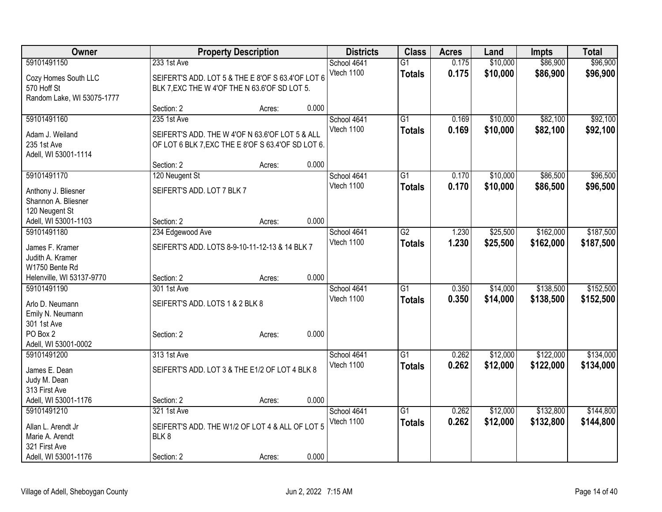| Owner                      |                                                    | <b>Property Description</b> |       | <b>Districts</b> | <b>Class</b>    | <b>Acres</b> | Land     | <b>Impts</b> | <b>Total</b> |
|----------------------------|----------------------------------------------------|-----------------------------|-------|------------------|-----------------|--------------|----------|--------------|--------------|
| 59101491150                | 233 1st Ave                                        |                             |       | School 4641      | $\overline{G1}$ | 0.175        | \$10,000 | \$86,900     | \$96,900     |
| Cozy Homes South LLC       | SEIFERT'S ADD. LOT 5 & THE E 8'OF S 63.4'OF LOT 6  |                             |       | Vtech 1100       | <b>Totals</b>   | 0.175        | \$10,000 | \$86,900     | \$96,900     |
| 570 Hoff St                | BLK 7, EXC THE W 4'OF THE N 63.6'OF SD LOT 5.      |                             |       |                  |                 |              |          |              |              |
| Random Lake, WI 53075-1777 |                                                    |                             |       |                  |                 |              |          |              |              |
|                            | Section: 2                                         | Acres:                      | 0.000 |                  |                 |              |          |              |              |
| 59101491160                | 235 1st Ave                                        |                             |       | School 4641      | $\overline{G1}$ | 0.169        | \$10,000 | \$82,100     | \$92,100     |
| Adam J. Weiland            | SEIFERT'S ADD. THE W 4'OF N 63.6'OF LOT 5 & ALL    |                             |       | Vtech 1100       | <b>Totals</b>   | 0.169        | \$10,000 | \$82,100     | \$92,100     |
| 235 1st Ave                | OF LOT 6 BLK 7, EXC THE E 8'OF S 63.4'OF SD LOT 6. |                             |       |                  |                 |              |          |              |              |
| Adell, WI 53001-1114       |                                                    |                             |       |                  |                 |              |          |              |              |
|                            | Section: 2                                         | Acres:                      | 0.000 |                  |                 |              |          |              |              |
| 59101491170                | 120 Neugent St                                     |                             |       | School 4641      | $\overline{G1}$ | 0.170        | \$10,000 | \$86,500     | \$96,500     |
| Anthony J. Bliesner        | SEIFERT'S ADD. LOT 7 BLK 7                         |                             |       | Vtech 1100       | <b>Totals</b>   | 0.170        | \$10,000 | \$86,500     | \$96,500     |
| Shannon A. Bliesner        |                                                    |                             |       |                  |                 |              |          |              |              |
| 120 Neugent St             |                                                    |                             |       |                  |                 |              |          |              |              |
| Adell, WI 53001-1103       | Section: 2                                         | Acres:                      | 0.000 |                  |                 |              |          |              |              |
| 59101491180                | 234 Edgewood Ave                                   |                             |       | School 4641      | $\overline{G2}$ | 1.230        | \$25,500 | \$162,000    | \$187,500    |
| James F. Kramer            | SEIFERT'S ADD. LOTS 8-9-10-11-12-13 & 14 BLK 7     |                             |       | Vtech 1100       | <b>Totals</b>   | 1.230        | \$25,500 | \$162,000    | \$187,500    |
| Judith A. Kramer           |                                                    |                             |       |                  |                 |              |          |              |              |
| W1750 Bente Rd             |                                                    |                             |       |                  |                 |              |          |              |              |
| Helenville, WI 53137-9770  | Section: 2                                         | Acres:                      | 0.000 |                  |                 |              |          |              |              |
| 59101491190                | 301 1st Ave                                        |                             |       | School 4641      | $\overline{G1}$ | 0.350        | \$14,000 | \$138,500    | \$152,500    |
| Arlo D. Neumann            | SEIFERT'S ADD. LOTS 1 & 2 BLK 8                    |                             |       | Vtech 1100       | <b>Totals</b>   | 0.350        | \$14,000 | \$138,500    | \$152,500    |
| Emily N. Neumann           |                                                    |                             |       |                  |                 |              |          |              |              |
| 301 1st Ave                |                                                    |                             |       |                  |                 |              |          |              |              |
| PO Box 2                   | Section: 2                                         | Acres:                      | 0.000 |                  |                 |              |          |              |              |
| Adell, WI 53001-0002       |                                                    |                             |       |                  |                 |              |          |              |              |
| 59101491200                | 313 1st Ave                                        |                             |       | School 4641      | $\overline{G1}$ | 0.262        | \$12,000 | \$122,000    | \$134,000    |
| James E. Dean              | SEIFERT'S ADD. LOT 3 & THE E1/2 OF LOT 4 BLK 8     |                             |       | Vtech 1100       | <b>Totals</b>   | 0.262        | \$12,000 | \$122,000    | \$134,000    |
| Judy M. Dean               |                                                    |                             |       |                  |                 |              |          |              |              |
| 313 First Ave              |                                                    |                             |       |                  |                 |              |          |              |              |
| Adell, WI 53001-1176       | Section: 2                                         | Acres:                      | 0.000 |                  |                 |              |          |              |              |
| 59101491210                | 321 1st Ave                                        |                             |       | School 4641      | $\overline{G1}$ | 0.262        | \$12,000 | \$132,800    | \$144,800    |
| Allan L. Arendt Jr         | SEIFERT'S ADD. THE W1/2 OF LOT 4 & ALL OF LOT 5    |                             |       | Vtech 1100       | <b>Totals</b>   | 0.262        | \$12,000 | \$132,800    | \$144,800    |
| Marie A. Arendt            | BLK8                                               |                             |       |                  |                 |              |          |              |              |
| 321 First Ave              |                                                    |                             |       |                  |                 |              |          |              |              |
| Adell, WI 53001-1176       | Section: 2                                         | Acres:                      | 0.000 |                  |                 |              |          |              |              |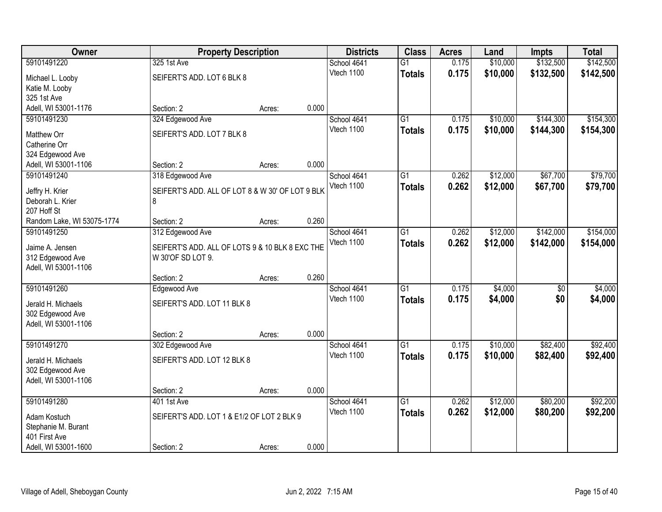| <b>Owner</b>                        | <b>Property Description</b>                           |        |       | <b>Districts</b> | <b>Class</b>    | <b>Acres</b> | Land     | <b>Impts</b>    | <b>Total</b> |
|-------------------------------------|-------------------------------------------------------|--------|-------|------------------|-----------------|--------------|----------|-----------------|--------------|
| 59101491220                         | 325 1st Ave                                           |        |       | School 4641      | $\overline{G1}$ | 0.175        | \$10,000 | \$132,500       | \$142,500    |
| Michael L. Looby                    | SEIFERT'S ADD. LOT 6 BLK 8                            |        |       | Vtech 1100       | <b>Totals</b>   | 0.175        | \$10,000 | \$132,500       | \$142,500    |
| Katie M. Looby                      |                                                       |        |       |                  |                 |              |          |                 |              |
| 325 1st Ave                         |                                                       |        |       |                  |                 |              |          |                 |              |
| Adell, WI 53001-1176                | Section: 2                                            | Acres: | 0.000 |                  |                 |              |          |                 |              |
| 59101491230                         | 324 Edgewood Ave                                      |        |       | School 4641      | $\overline{G1}$ | 0.175        | \$10,000 | \$144,300       | \$154,300    |
| Matthew Orr                         | SEIFERT'S ADD. LOT 7 BLK 8                            |        |       | Vtech 1100       | <b>Totals</b>   | 0.175        | \$10,000 | \$144,300       | \$154,300    |
| Catherine Orr                       |                                                       |        |       |                  |                 |              |          |                 |              |
| 324 Edgewood Ave                    |                                                       |        |       |                  |                 |              |          |                 |              |
| Adell, WI 53001-1106                | Section: 2                                            | Acres: | 0.000 |                  |                 |              |          |                 |              |
| 59101491240                         | 318 Edgewood Ave                                      |        |       | School 4641      | $\overline{G1}$ | 0.262        | \$12,000 | \$67,700        | \$79,700     |
|                                     |                                                       |        |       | Vtech 1100       | <b>Totals</b>   | 0.262        | \$12,000 | \$67,700        | \$79,700     |
| Jeffry H. Krier<br>Deborah L. Krier | SEIFERT'S ADD. ALL OF LOT 8 & W 30' OF LOT 9 BLK<br>8 |        |       |                  |                 |              |          |                 |              |
| 207 Hoff St                         |                                                       |        |       |                  |                 |              |          |                 |              |
| Random Lake, WI 53075-1774          | Section: 2                                            | Acres: | 0.260 |                  |                 |              |          |                 |              |
| 59101491250                         | 312 Edgewood Ave                                      |        |       | School 4641      | $\overline{G1}$ | 0.262        | \$12,000 | \$142,000       | \$154,000    |
|                                     |                                                       |        |       | Vtech 1100       | <b>Totals</b>   | 0.262        | \$12,000 | \$142,000       | \$154,000    |
| Jaime A. Jensen                     | SEIFERT'S ADD. ALL OF LOTS 9 & 10 BLK 8 EXC THE       |        |       |                  |                 |              |          |                 |              |
| 312 Edgewood Ave                    | W 30'OF SD LOT 9.                                     |        |       |                  |                 |              |          |                 |              |
| Adell, WI 53001-1106                | Section: 2                                            |        | 0.260 |                  |                 |              |          |                 |              |
| 59101491260                         | Edgewood Ave                                          | Acres: |       | School 4641      | $\overline{G1}$ | 0.175        | \$4,000  | $\overline{50}$ | \$4,000      |
|                                     |                                                       |        |       | Vtech 1100       |                 | 0.175        |          | \$0             |              |
| Jerald H. Michaels                  | SEIFERT'S ADD. LOT 11 BLK 8                           |        |       |                  | <b>Totals</b>   |              | \$4,000  |                 | \$4,000      |
| 302 Edgewood Ave                    |                                                       |        |       |                  |                 |              |          |                 |              |
| Adell, WI 53001-1106                |                                                       |        |       |                  |                 |              |          |                 |              |
|                                     | Section: 2                                            | Acres: | 0.000 |                  |                 |              |          |                 |              |
| 59101491270                         | 302 Edgewood Ave                                      |        |       | School 4641      | $\overline{G1}$ | 0.175        | \$10,000 | \$82,400        | \$92,400     |
| Jerald H. Michaels                  | SEIFERT'S ADD. LOT 12 BLK 8                           |        |       | Vtech 1100       | <b>Totals</b>   | 0.175        | \$10,000 | \$82,400        | \$92,400     |
| 302 Edgewood Ave                    |                                                       |        |       |                  |                 |              |          |                 |              |
| Adell, WI 53001-1106                |                                                       |        |       |                  |                 |              |          |                 |              |
|                                     | Section: 2                                            | Acres: | 0.000 |                  |                 |              |          |                 |              |
| 59101491280                         | 401 1st Ave                                           |        |       | School 4641      | $\overline{G1}$ | 0.262        | \$12,000 | \$80,200        | \$92,200     |
| Adam Kostuch                        | SEIFERT'S ADD. LOT 1 & E1/2 OF LOT 2 BLK 9            |        |       | Vtech 1100       | <b>Totals</b>   | 0.262        | \$12,000 | \$80,200        | \$92,200     |
| Stephanie M. Burant                 |                                                       |        |       |                  |                 |              |          |                 |              |
| 401 First Ave                       |                                                       |        |       |                  |                 |              |          |                 |              |
| Adell, WI 53001-1600                | Section: 2                                            | Acres: | 0.000 |                  |                 |              |          |                 |              |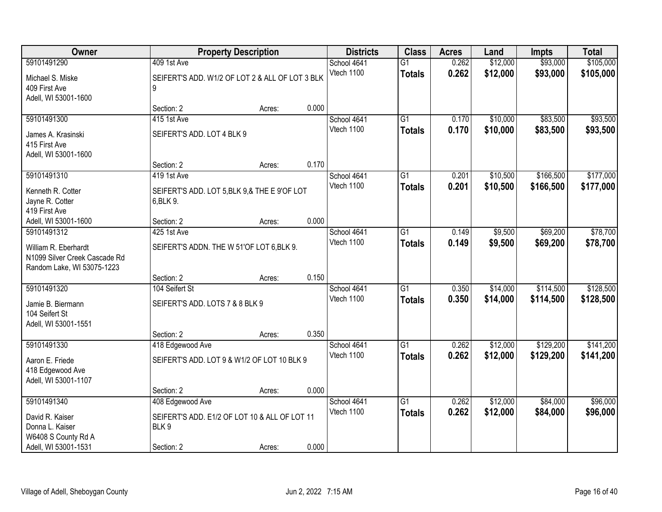| <b>Owner</b>                  |                                                 | <b>Property Description</b> |       | <b>Districts</b> | <b>Class</b>    | <b>Acres</b> | Land     | <b>Impts</b> | <b>Total</b> |
|-------------------------------|-------------------------------------------------|-----------------------------|-------|------------------|-----------------|--------------|----------|--------------|--------------|
| 59101491290                   | 409 1st Ave                                     |                             |       | School 4641      | $\overline{G1}$ | 0.262        | \$12,000 | \$93,000     | \$105,000    |
| Michael S. Miske              | SEIFERT'S ADD. W1/2 OF LOT 2 & ALL OF LOT 3 BLK |                             |       | Vtech 1100       | <b>Totals</b>   | 0.262        | \$12,000 | \$93,000     | \$105,000    |
| 409 First Ave                 | 9                                               |                             |       |                  |                 |              |          |              |              |
| Adell, WI 53001-1600          |                                                 |                             |       |                  |                 |              |          |              |              |
|                               | Section: 2                                      | Acres:                      | 0.000 |                  |                 |              |          |              |              |
| 59101491300                   | 415 1st Ave                                     |                             |       | School 4641      | G1              | 0.170        | \$10,000 | \$83,500     | \$93,500     |
| James A. Krasinski            | SEIFERT'S ADD. LOT 4 BLK 9                      |                             |       | Vtech 1100       | <b>Totals</b>   | 0.170        | \$10,000 | \$83,500     | \$93,500     |
| 415 First Ave                 |                                                 |                             |       |                  |                 |              |          |              |              |
| Adell, WI 53001-1600          |                                                 |                             |       |                  |                 |              |          |              |              |
|                               | Section: 2                                      | Acres:                      | 0.170 |                  |                 |              |          |              |              |
| 59101491310                   | 419 1st Ave                                     |                             |       | School 4641      | $\overline{G1}$ | 0.201        | \$10,500 | \$166,500    | \$177,000    |
| Kenneth R. Cotter             | SEIFERT'S ADD. LOT 5, BLK 9, & THE E 9'OF LOT   |                             |       | Vtech 1100       | <b>Totals</b>   | 0.201        | \$10,500 | \$166,500    | \$177,000    |
| Jayne R. Cotter               | 6, BLK 9.                                       |                             |       |                  |                 |              |          |              |              |
| 419 First Ave                 |                                                 |                             |       |                  |                 |              |          |              |              |
| Adell, WI 53001-1600          | Section: 2                                      | Acres:                      | 0.000 |                  |                 |              |          |              |              |
| 59101491312                   | 425 1st Ave                                     |                             |       | School 4641      | $\overline{G1}$ | 0.149        | \$9,500  | \$69,200     | \$78,700     |
| William R. Eberhardt          | SEIFERT'S ADDN. THE W 51'OF LOT 6, BLK 9.       |                             |       | Vtech 1100       | <b>Totals</b>   | 0.149        | \$9,500  | \$69,200     | \$78,700     |
| N1099 Silver Creek Cascade Rd |                                                 |                             |       |                  |                 |              |          |              |              |
| Random Lake, WI 53075-1223    |                                                 |                             |       |                  |                 |              |          |              |              |
|                               | Section: 2                                      | Acres:                      | 0.150 |                  |                 |              |          |              |              |
| 59101491320                   | 104 Seifert St                                  |                             |       | School 4641      | $\overline{G1}$ | 0.350        | \$14,000 | \$114,500    | \$128,500    |
| Jamie B. Biermann             | SEIFERT'S ADD. LOTS 7 & 8 BLK 9                 |                             |       | Vtech 1100       | <b>Totals</b>   | 0.350        | \$14,000 | \$114,500    | \$128,500    |
| 104 Seifert St                |                                                 |                             |       |                  |                 |              |          |              |              |
| Adell, WI 53001-1551          |                                                 |                             |       |                  |                 |              |          |              |              |
|                               | Section: 2                                      | Acres:                      | 0.350 |                  |                 |              |          |              |              |
| 59101491330                   | 418 Edgewood Ave                                |                             |       | School 4641      | $\overline{G1}$ | 0.262        | \$12,000 | \$129,200    | \$141,200    |
| Aaron E. Friede               | SEIFERT'S ADD. LOT 9 & W1/2 OF LOT 10 BLK 9     |                             |       | Vtech 1100       | <b>Totals</b>   | 0.262        | \$12,000 | \$129,200    | \$141,200    |
| 418 Edgewood Ave              |                                                 |                             |       |                  |                 |              |          |              |              |
| Adell, WI 53001-1107          |                                                 |                             |       |                  |                 |              |          |              |              |
|                               | Section: 2                                      | Acres:                      | 0.000 |                  |                 |              |          |              |              |
| 59101491340                   | 408 Edgewood Ave                                |                             |       | School 4641      | $\overline{G1}$ | 0.262        | \$12,000 | \$84,000     | \$96,000     |
| David R. Kaiser               | SEIFERT'S ADD. E1/2 OF LOT 10 & ALL OF LOT 11   |                             |       | Vtech 1100       | <b>Totals</b>   | 0.262        | \$12,000 | \$84,000     | \$96,000     |
| Donna L. Kaiser               | BLK 9                                           |                             |       |                  |                 |              |          |              |              |
| W6408 S County Rd A           |                                                 |                             |       |                  |                 |              |          |              |              |
| Adell, WI 53001-1531          | Section: 2                                      | Acres:                      | 0.000 |                  |                 |              |          |              |              |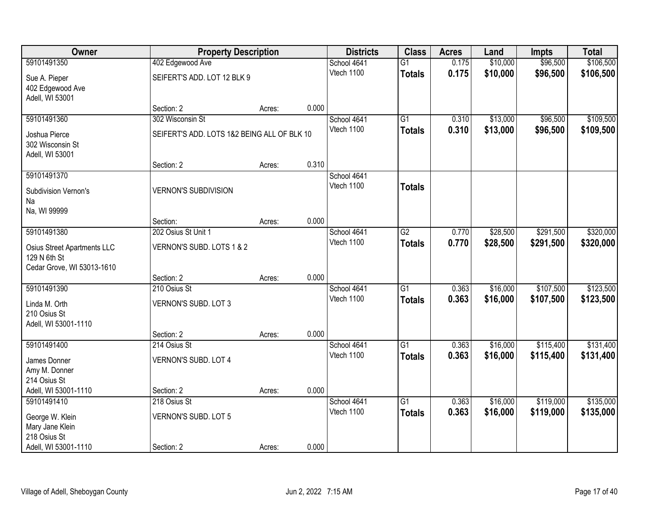| Owner                                      |                                             | <b>Property Description</b> |       | <b>Districts</b>          | <b>Class</b>    | <b>Acres</b> | Land     | <b>Impts</b> | <b>Total</b> |
|--------------------------------------------|---------------------------------------------|-----------------------------|-------|---------------------------|-----------------|--------------|----------|--------------|--------------|
| 59101491350                                | 402 Edgewood Ave                            |                             |       | School 4641               | $\overline{G1}$ | 0.175        | \$10,000 | \$96,500     | \$106,500    |
| Sue A. Pieper                              | SEIFERT'S ADD. LOT 12 BLK 9                 |                             |       | Vtech 1100                | <b>Totals</b>   | 0.175        | \$10,000 | \$96,500     | \$106,500    |
| 402 Edgewood Ave                           |                                             |                             |       |                           |                 |              |          |              |              |
| Adell, WI 53001                            |                                             |                             |       |                           |                 |              |          |              |              |
|                                            | Section: 2                                  | Acres:                      | 0.000 |                           |                 |              |          |              |              |
| 59101491360                                | 302 Wisconsin St                            |                             |       | School 4641               | $\overline{G1}$ | 0.310        | \$13,000 | \$96,500     | \$109,500    |
| Joshua Pierce                              | SEIFERT'S ADD. LOTS 1&2 BEING ALL OF BLK 10 |                             |       | Vtech 1100                | <b>Totals</b>   | 0.310        | \$13,000 | \$96,500     | \$109,500    |
| 302 Wisconsin St                           |                                             |                             |       |                           |                 |              |          |              |              |
| Adell, WI 53001                            |                                             |                             |       |                           |                 |              |          |              |              |
|                                            | Section: 2                                  | Acres:                      | 0.310 |                           |                 |              |          |              |              |
| 59101491370                                |                                             |                             |       | School 4641<br>Vtech 1100 |                 |              |          |              |              |
| Subdivision Vernon's                       | <b>VERNON'S SUBDIVISION</b>                 |                             |       |                           | <b>Totals</b>   |              |          |              |              |
| Na                                         |                                             |                             |       |                           |                 |              |          |              |              |
| Na, WI 99999                               |                                             |                             | 0.000 |                           |                 |              |          |              |              |
| 59101491380                                | Section:<br>202 Osius St Unit 1             | Acres:                      |       | School 4641               | $\overline{G2}$ | 0.770        | \$28,500 | \$291,500    | \$320,000    |
|                                            |                                             |                             |       | Vtech 1100                | <b>Totals</b>   | 0.770        | \$28,500 | \$291,500    | \$320,000    |
| Osius Street Apartments LLC                | VERNON'S SUBD. LOTS 1 & 2                   |                             |       |                           |                 |              |          |              |              |
| 129 N 6th St<br>Cedar Grove, WI 53013-1610 |                                             |                             |       |                           |                 |              |          |              |              |
|                                            | Section: 2                                  | Acres:                      | 0.000 |                           |                 |              |          |              |              |
| 59101491390                                | 210 Osius St                                |                             |       | School 4641               | $\overline{G1}$ | 0.363        | \$16,000 | \$107,500    | \$123,500    |
|                                            |                                             |                             |       | Vtech 1100                | <b>Totals</b>   | 0.363        | \$16,000 | \$107,500    | \$123,500    |
| Linda M. Orth<br>210 Osius St              | VERNON'S SUBD. LOT 3                        |                             |       |                           |                 |              |          |              |              |
| Adell, WI 53001-1110                       |                                             |                             |       |                           |                 |              |          |              |              |
|                                            | Section: 2                                  | Acres:                      | 0.000 |                           |                 |              |          |              |              |
| 59101491400                                | 214 Osius St                                |                             |       | School 4641               | $\overline{G1}$ | 0.363        | \$16,000 | \$115,400    | \$131,400    |
| James Donner                               | VERNON'S SUBD. LOT 4                        |                             |       | Vtech 1100                | <b>Totals</b>   | 0.363        | \$16,000 | \$115,400    | \$131,400    |
| Amy M. Donner                              |                                             |                             |       |                           |                 |              |          |              |              |
| 214 Osius St                               |                                             |                             |       |                           |                 |              |          |              |              |
| Adell, WI 53001-1110                       | Section: 2                                  | Acres:                      | 0.000 |                           |                 |              |          |              |              |
| 59101491410                                | 218 Osius St                                |                             |       | School 4641               | $\overline{G1}$ | 0.363        | \$16,000 | \$119,000    | \$135,000    |
| George W. Klein                            | VERNON'S SUBD. LOT 5                        |                             |       | Vtech 1100                | <b>Totals</b>   | 0.363        | \$16,000 | \$119,000    | \$135,000    |
| Mary Jane Klein                            |                                             |                             |       |                           |                 |              |          |              |              |
| 218 Osius St                               |                                             |                             |       |                           |                 |              |          |              |              |
| Adell, WI 53001-1110                       | Section: 2                                  | Acres:                      | 0.000 |                           |                 |              |          |              |              |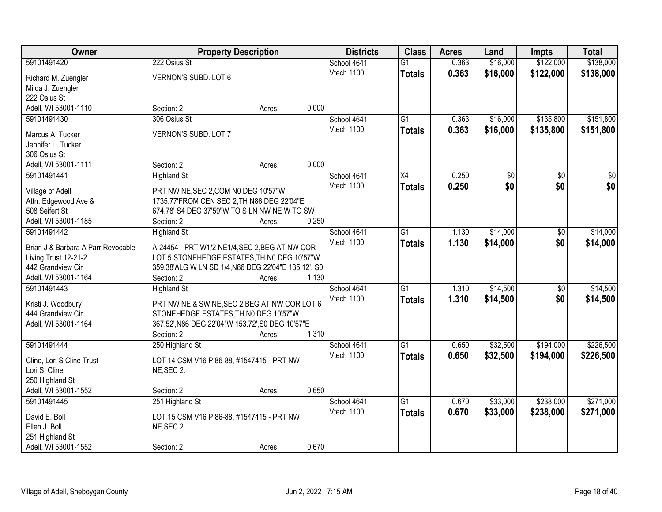| Owner                                     | <b>Property Description</b>                                                                   |        |       | <b>Districts</b> | <b>Class</b>    | <b>Acres</b> | Land     | <b>Impts</b> | <b>Total</b>     |
|-------------------------------------------|-----------------------------------------------------------------------------------------------|--------|-------|------------------|-----------------|--------------|----------|--------------|------------------|
| 59101491420                               | 222 Osius St                                                                                  |        |       | School 4641      | $\overline{G1}$ | 0.363        | \$16,000 | \$122,000    | \$138,000        |
| Richard M. Zuengler                       | VERNON'S SUBD. LOT 6                                                                          |        |       | Vtech 1100       | <b>Totals</b>   | 0.363        | \$16,000 | \$122,000    | \$138,000        |
| Milda J. Zuengler                         |                                                                                               |        |       |                  |                 |              |          |              |                  |
| 222 Osius St                              |                                                                                               |        |       |                  |                 |              |          |              |                  |
| Adell, WI 53001-1110                      | Section: 2                                                                                    | Acres: | 0.000 |                  |                 |              |          |              |                  |
| 59101491430                               | 306 Osius St                                                                                  |        |       | School 4641      | $\overline{G1}$ | 0.363        | \$16,000 | \$135,800    | \$151,800        |
|                                           |                                                                                               |        |       | Vtech 1100       | <b>Totals</b>   | 0.363        | \$16,000 | \$135,800    | \$151,800        |
| Marcus A. Tucker                          | VERNON'S SUBD. LOT 7                                                                          |        |       |                  |                 |              |          |              |                  |
| Jennifer L. Tucker                        |                                                                                               |        |       |                  |                 |              |          |              |                  |
| 306 Osius St                              |                                                                                               |        |       |                  |                 |              |          |              |                  |
| Adell, WI 53001-1111                      | Section: 2                                                                                    | Acres: | 0.000 |                  |                 |              |          |              |                  |
| 59101491441                               | <b>Highland St</b>                                                                            |        |       | School 4641      | X4              | 0.250        | \$0      | \$0          | $\overline{\$0}$ |
| Village of Adell                          | PRT NW NE, SEC 2, COM N0 DEG 10'57"W                                                          |        |       | Vtech 1100       | <b>Totals</b>   | 0.250        | \$0      | \$0          | \$0              |
| Attn: Edgewood Ave &                      | 1735.77'FROM CEN SEC 2, TH N86 DEG 22'04"E                                                    |        |       |                  |                 |              |          |              |                  |
| 508 Seifert St                            | 674.78' S4 DEG 37'59"W TO S LN NW NE W TO SW                                                  |        |       |                  |                 |              |          |              |                  |
| Adell, WI 53001-1185                      | Section: 2                                                                                    | Acres: | 0.250 |                  |                 |              |          |              |                  |
| 59101491442                               | <b>Highland St</b>                                                                            |        |       | School 4641      | $\overline{G1}$ | 1.130        | \$14,000 | \$0          | \$14,000         |
|                                           |                                                                                               |        |       | Vtech 1100       | <b>Totals</b>   | 1.130        | \$14,000 | \$0          | \$14,000         |
| Brian J & Barbara A Parr Revocable        | A-24454 - PRT W1/2 NE1/4, SEC 2, BEG AT NW COR<br>LOT 5 STONEHEDGE ESTATES, TH N0 DEG 10'57"W |        |       |                  |                 |              |          |              |                  |
| Living Trust 12-21-2<br>442 Grandview Cir | 359.38'ALG W LN SD 1/4, N86 DEG 22'04"E 135.12', S0                                           |        |       |                  |                 |              |          |              |                  |
| Adell, WI 53001-1164                      | Section: 2                                                                                    | Acres: | 1.130 |                  |                 |              |          |              |                  |
| 59101491443                               | <b>Highland St</b>                                                                            |        |       | School 4641      | $\overline{G1}$ | 1.310        | \$14,500 | \$0          | \$14,500         |
|                                           |                                                                                               |        |       | Vtech 1100       |                 | 1.310        | \$14,500 | \$0          | \$14,500         |
| Kristi J. Woodbury                        | PRT NW NE & SW NE, SEC 2, BEG AT NW COR LOT 6                                                 |        |       |                  | <b>Totals</b>   |              |          |              |                  |
| 444 Grandview Cir                         | STONEHEDGE ESTATES, TH NO DEG 10'57"W                                                         |        |       |                  |                 |              |          |              |                  |
| Adell, WI 53001-1164                      | 367.52', N86 DEG 22'04"W 153.72', S0 DEG 10'57"E                                              |        |       |                  |                 |              |          |              |                  |
|                                           | Section: 2                                                                                    | Acres: | 1.310 |                  |                 |              |          |              |                  |
| 59101491444                               | 250 Highland St                                                                               |        |       | School 4641      | $\overline{G1}$ | 0.650        | \$32,500 | \$194,000    | \$226,500        |
| Cline, Lori S Cline Trust                 | LOT 14 CSM V16 P 86-88, #1547415 - PRT NW                                                     |        |       | Vtech 1100       | <b>Totals</b>   | 0.650        | \$32,500 | \$194,000    | \$226,500        |
| Lori S. Cline                             | NE, SEC 2.                                                                                    |        |       |                  |                 |              |          |              |                  |
| 250 Highland St                           |                                                                                               |        |       |                  |                 |              |          |              |                  |
| Adell, WI 53001-1552                      | Section: 2                                                                                    | Acres: | 0.650 |                  |                 |              |          |              |                  |
| 59101491445                               | 251 Highland St                                                                               |        |       | School 4641      | $\overline{G1}$ | 0.670        | \$33,000 | \$238,000    | \$271,000        |
|                                           |                                                                                               |        |       | Vtech 1100       | <b>Totals</b>   | 0.670        | \$33,000 | \$238,000    | \$271,000        |
| David E. Boll                             | LOT 15 CSM V16 P 86-88, #1547415 - PRT NW                                                     |        |       |                  |                 |              |          |              |                  |
| Ellen J. Boll                             | NE, SEC 2.                                                                                    |        |       |                  |                 |              |          |              |                  |
| 251 Highland St                           |                                                                                               |        |       |                  |                 |              |          |              |                  |
| Adell, WI 53001-1552                      | Section: 2                                                                                    | Acres: | 0.670 |                  |                 |              |          |              |                  |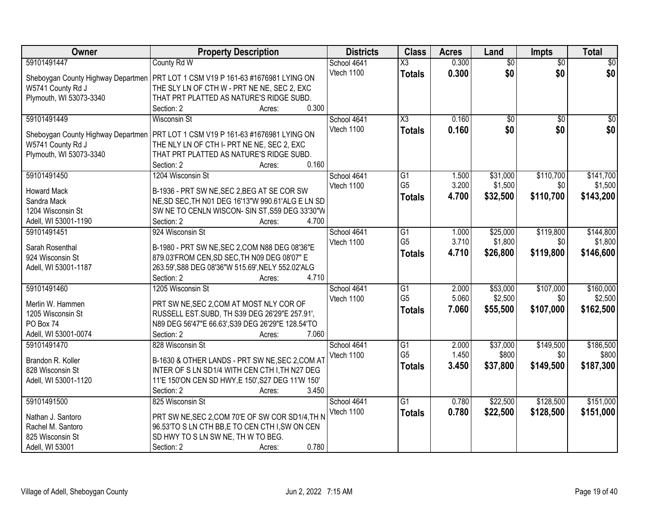| Owner                               | <b>Property Description</b>                                                                    | <b>Districts</b> | <b>Class</b>                      | <b>Acres</b> | Land            | <b>Impts</b>    | <b>Total</b> |
|-------------------------------------|------------------------------------------------------------------------------------------------|------------------|-----------------------------------|--------------|-----------------|-----------------|--------------|
| 59101491447                         | County Rd W                                                                                    | School 4641      | $\overline{\text{X3}}$            | 0.300        | $\overline{50}$ | $\overline{50}$ | $\sqrt{30}$  |
| Sheboygan County Highway Departmen  | PRT LOT 1 CSM V19 P 161-63 #1676981 LYING ON                                                   | Vtech 1100       | <b>Totals</b>                     | 0.300        | \$0             | \$0             | \$0          |
| W5741 County Rd J                   | THE SLY LN OF CTH W - PRT NE NE, SEC 2, EXC                                                    |                  |                                   |              |                 |                 |              |
| Plymouth, WI 53073-3340             | THAT PRT PLATTED AS NATURE'S RIDGE SUBD.                                                       |                  |                                   |              |                 |                 |              |
|                                     | 0.300<br>Section: 2<br>Acres:                                                                  |                  |                                   |              |                 |                 |              |
| 59101491449                         | <b>Wisconsin St</b>                                                                            | School 4641      | $\overline{\text{X3}}$            | 0.160        | $\overline{50}$ | $\overline{50}$ | $\sqrt{50}$  |
|                                     |                                                                                                | Vtech 1100       | <b>Totals</b>                     | 0.160        | \$0             | \$0             | \$0          |
| Sheboygan County Highway Departmen  | PRT LOT 1 CSM V19 P 161-63 #1676981 LYING ON                                                   |                  |                                   |              |                 |                 |              |
| W5741 County Rd J                   | THE NLY LN OF CTH I- PRT NE NE, SEC 2, EXC                                                     |                  |                                   |              |                 |                 |              |
| Plymouth, WI 53073-3340             | THAT PRT PLATTED AS NATURE'S RIDGE SUBD.<br>0.160                                              |                  |                                   |              |                 |                 |              |
|                                     | Section: 2<br>Acres:                                                                           |                  |                                   |              |                 |                 |              |
| 59101491450                         | 1204 Wisconsin St                                                                              | School 4641      | $\overline{G1}$<br>G <sub>5</sub> | 1.500        | \$31,000        | \$110,700       | \$141,700    |
| <b>Howard Mack</b>                  | B-1936 - PRT SW NE, SEC 2, BEG AT SE COR SW                                                    | Vtech 1100       |                                   | 3.200        | \$1,500         | \$0             | \$1,500      |
| Sandra Mack                         | NE, SD SEC, TH N01 DEG 16'13"W 990.61'ALG E LN SD                                              |                  | <b>Totals</b>                     | 4.700        | \$32,500        | \$110,700       | \$143,200    |
| 1204 Wisconsin St                   | SW NE TO CENLN WISCON- SIN ST, S59 DEG 33'30"W                                                 |                  |                                   |              |                 |                 |              |
| Adell, WI 53001-1190                | 4.700<br>Section: 2<br>Acres:                                                                  |                  |                                   |              |                 |                 |              |
| 59101491451                         | 924 Wisconsin St                                                                               | School 4641      | G1                                | 1.000        | \$25,000        | \$119,800       | \$144,800    |
|                                     |                                                                                                | Vtech 1100       | G <sub>5</sub>                    | 3.710        | \$1,800         | \$0             | \$1,800      |
| Sarah Rosenthal<br>924 Wisconsin St | B-1980 - PRT SW NE, SEC 2, COM N88 DEG 08'36"E<br>879.03'FROM CEN, SD SEC, TH N09 DEG 08'07" E |                  | <b>Totals</b>                     | 4.710        | \$26,800        | \$119,800       | \$146,600    |
| Adell, WI 53001-1187                | 263.59', S88 DEG 08'36"W 515.69', NELY 552.02'ALG                                              |                  |                                   |              |                 |                 |              |
|                                     | 4.710<br>Section: 2<br>Acres:                                                                  |                  |                                   |              |                 |                 |              |
| 59101491460                         | 1205 Wisconsin St                                                                              | School 4641      | $\overline{G1}$                   | 2.000        | \$53,000        | \$107,000       | \$160,000    |
|                                     |                                                                                                | Vtech 1100       | G <sub>5</sub>                    | 5.060        | \$2,500         | \$0             | \$2,500      |
| Merlin W. Hammen                    | PRT SW NE, SEC 2, COM AT MOST NLY COR OF                                                       |                  |                                   | 7.060        |                 | \$107,000       |              |
| 1205 Wisconsin St                   | RUSSELL EST.SUBD, TH S39 DEG 26'29"E 257.91',                                                  |                  | <b>Totals</b>                     |              | \$55,500        |                 | \$162,500    |
| PO Box 74                           | N89 DEG 56'47"E 66.63', S39 DEG 26'29"E 128.54'TO                                              |                  |                                   |              |                 |                 |              |
| Adell, WI 53001-0074                | 7.060<br>Section: 2<br>Acres:                                                                  |                  |                                   |              |                 |                 |              |
| 59101491470                         | 828 Wisconsin St                                                                               | School 4641      | G1                                | 2.000        | \$37,000        | \$149,500       | \$186,500    |
| Brandon R. Koller                   | B-1630 & OTHER LANDS - PRT SW NE, SEC 2, COM AT                                                | Vtech 1100       | G <sub>5</sub>                    | 1.450        | \$800           | \$0             | \$800        |
| 828 Wisconsin St                    | INTER OF S LN SD1/4 WITH CEN CTH I, TH N27 DEG                                                 |                  | <b>Totals</b>                     | 3.450        | \$37,800        | \$149,500       | \$187,300    |
| Adell, WI 53001-1120                | 11'E 150'ON CEN SD HWY, E 150', S27 DEG 11'W 150'                                              |                  |                                   |              |                 |                 |              |
|                                     | 3.450<br>Section: 2<br>Acres:                                                                  |                  |                                   |              |                 |                 |              |
| 59101491500                         | 825 Wisconsin St                                                                               | School 4641      | $\overline{G1}$                   | 0.780        | \$22,500        | \$128,500       | \$151,000    |
|                                     |                                                                                                | Vtech 1100       | <b>Totals</b>                     | 0.780        | \$22,500        | \$128,500       | \$151,000    |
| Nathan J. Santoro                   | PRT SW NE, SEC 2, COM 70'E OF SW COR SD1/4, TH N                                               |                  |                                   |              |                 |                 |              |
| Rachel M. Santoro                   | 96.53'TO S LN CTH BB,E TO CEN CTH I, SW ON CEN                                                 |                  |                                   |              |                 |                 |              |
| 825 Wisconsin St                    | SD HWY TO S LN SW NE, TH W TO BEG.                                                             |                  |                                   |              |                 |                 |              |
| Adell, WI 53001                     | 0.780<br>Section: 2<br>Acres:                                                                  |                  |                                   |              |                 |                 |              |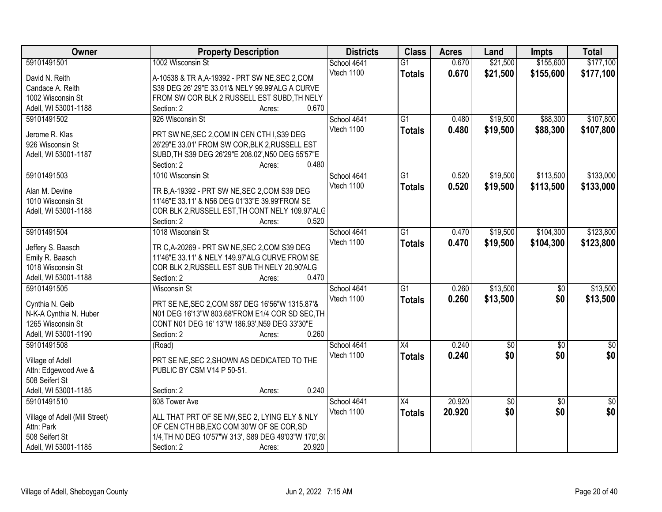| Owner                                        | <b>Property Description</b>                           | <b>Districts</b> | <b>Class</b>    | <b>Acres</b> | Land            | <b>Impts</b>    | <b>Total</b>    |
|----------------------------------------------|-------------------------------------------------------|------------------|-----------------|--------------|-----------------|-----------------|-----------------|
| 59101491501                                  | 1002 Wisconsin St                                     | School 4641      | $\overline{G1}$ | 0.670        | \$21,500        | \$155,600       | \$177,100       |
| David N. Reith                               | A-10538 & TR A, A-19392 - PRT SW NE, SEC 2, COM       | Vtech 1100       | <b>Totals</b>   | 0.670        | \$21,500        | \$155,600       | \$177,100       |
| Candace A. Reith                             | S39 DEG 26' 29"E 33.01'& NELY 99.99'ALG A CURVE       |                  |                 |              |                 |                 |                 |
| 1002 Wisconsin St                            | FROM SW COR BLK 2 RUSSELL EST SUBD, TH NELY           |                  |                 |              |                 |                 |                 |
| Adell, WI 53001-1188                         | 0.670<br>Section: 2<br>Acres:                         |                  |                 |              |                 |                 |                 |
| 59101491502                                  | 926 Wisconsin St                                      | School 4641      | $\overline{G1}$ | 0.480        | \$19,500        | \$88,300        | \$107,800       |
|                                              |                                                       | Vtech 1100       | <b>Totals</b>   | 0.480        | \$19,500        | \$88,300        | \$107,800       |
| Jerome R. Klas                               | PRT SW NE, SEC 2, COM IN CEN CTH I, S39 DEG           |                  |                 |              |                 |                 |                 |
| 926 Wisconsin St                             | 26'29"E 33.01' FROM SW COR, BLK 2, RUSSELL EST        |                  |                 |              |                 |                 |                 |
| Adell, WI 53001-1187                         | SUBD, TH S39 DEG 26'29"E 208.02', N50 DEG 55'57"E     |                  |                 |              |                 |                 |                 |
|                                              | 0.480<br>Section: 2<br>Acres:                         |                  |                 |              |                 |                 |                 |
| 59101491503                                  | 1010 Wisconsin St                                     | School 4641      | $\overline{G1}$ | 0.520        | \$19,500        | \$113,500       | \$133,000       |
| Alan M. Devine                               | TR B, A-19392 - PRT SW NE, SEC 2, COM S39 DEG         | Vtech 1100       | <b>Totals</b>   | 0.520        | \$19,500        | \$113,500       | \$133,000       |
| 1010 Wisconsin St                            | 11'46"E 33.11' & N56 DEG 01'33"E 39.99'FROM SE        |                  |                 |              |                 |                 |                 |
| Adell, WI 53001-1188                         | COR BLK 2, RUSSELL EST, TH CONT NELY 109.97'ALC       |                  |                 |              |                 |                 |                 |
|                                              | 0.520<br>Section: 2<br>Acres:                         |                  |                 |              |                 |                 |                 |
| 59101491504                                  | 1018 Wisconsin St                                     | School 4641      | $\overline{G1}$ | 0.470        | \$19,500        | \$104,300       | \$123,800       |
|                                              |                                                       | Vtech 1100       | <b>Totals</b>   | 0.470        | \$19,500        | \$104,300       | \$123,800       |
| Jeffery S. Baasch                            | TR C, A-20269 - PRT SW NE, SEC 2, COM S39 DEG         |                  |                 |              |                 |                 |                 |
| Emily R. Baasch                              | 11'46"E 33.11' & NELY 149.97'ALG CURVE FROM SE        |                  |                 |              |                 |                 |                 |
| 1018 Wisconsin St                            | COR BLK 2, RUSSELL EST SUB TH NELY 20.90'ALG          |                  |                 |              |                 |                 |                 |
| Adell, WI 53001-1188                         | Section: 2<br>0.470<br>Acres:                         |                  |                 |              |                 |                 |                 |
| 59101491505                                  | <b>Wisconsin St</b>                                   | School 4641      | $\overline{G1}$ | 0.260        | \$13,500        | $\overline{50}$ | \$13,500        |
| Cynthia N. Geib                              | PRT SE NE, SEC 2, COM S87 DEG 16'56"W 1315.87'&       | Vtech 1100       | <b>Totals</b>   | 0.260        | \$13,500        | \$0             | \$13,500        |
| N-K-A Cynthia N. Huber                       | N01 DEG 16'13"W 803.68'FROM E1/4 COR SD SEC, TH       |                  |                 |              |                 |                 |                 |
| 1265 Wisconsin St                            | CONT N01 DEG 16' 13"W 186.93', N59 DEG 33'30"E        |                  |                 |              |                 |                 |                 |
| Adell, WI 53001-1190                         | 0.260<br>Section: 2<br>Acres:                         |                  |                 |              |                 |                 |                 |
| 59101491508                                  | (Road)                                                | School 4641      | $\overline{X4}$ | 0.240        | $\overline{50}$ | $\overline{50}$ | $\overline{30}$ |
|                                              |                                                       | Vtech 1100       |                 | 0.240        | \$0             | \$0             | \$0             |
| Village of Adell                             | PRT SE NE, SEC 2, SHOWN AS DEDICATED TO THE           |                  | <b>Totals</b>   |              |                 |                 |                 |
| Attn: Edgewood Ave &                         | PUBLIC BY CSM V14 P 50-51.                            |                  |                 |              |                 |                 |                 |
| 508 Seifert St                               |                                                       |                  |                 |              |                 |                 |                 |
| Adell, WI 53001-1185                         | 0.240<br>Section: 2<br>Acres:                         |                  |                 |              |                 |                 |                 |
| 59101491510                                  | 608 Tower Ave                                         | School 4641      | X4              | 20.920       | \$0             | $\overline{50}$ | $\sqrt{50}$     |
|                                              | ALL THAT PRT OF SE NW, SEC 2, LYING ELY & NLY         | Vtech 1100       | <b>Totals</b>   | 20.920       | \$0             | \$0             | \$0             |
| Village of Adell (Mill Street)<br>Attn: Park | OF CEN CTH BB, EXC COM 30'W OF SE COR, SD             |                  |                 |              |                 |                 |                 |
| 508 Seifert St                               | 1/4, TH NO DEG 10'57"W 313', S89 DEG 49'03"W 170', SI |                  |                 |              |                 |                 |                 |
| Adell, WI 53001-1185                         | Section: 2<br>20.920<br>Acres:                        |                  |                 |              |                 |                 |                 |
|                                              |                                                       |                  |                 |              |                 |                 |                 |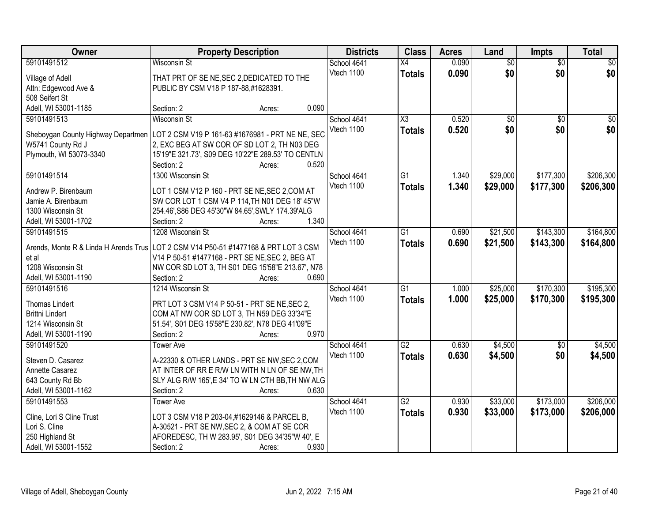| Owner                                 | <b>Property Description</b>                        |       | <b>Districts</b> | <b>Class</b>           | <b>Acres</b> | Land            | <b>Impts</b>    | <b>Total</b>    |
|---------------------------------------|----------------------------------------------------|-------|------------------|------------------------|--------------|-----------------|-----------------|-----------------|
| 59101491512                           | <b>Wisconsin St</b>                                |       | School 4641      | $\overline{X4}$        | 0.090        | $\overline{50}$ | $\overline{50}$ | $\overline{30}$ |
| Village of Adell                      | THAT PRT OF SE NE, SEC 2, DEDICATED TO THE         |       | Vtech 1100       | <b>Totals</b>          | 0.090        | \$0             | \$0             | \$0             |
| Attn: Edgewood Ave &                  | PUBLIC BY CSM V18 P 187-88,#1628391.               |       |                  |                        |              |                 |                 |                 |
| 508 Seifert St                        |                                                    |       |                  |                        |              |                 |                 |                 |
| Adell, WI 53001-1185                  | Section: 2<br>Acres:                               | 0.090 |                  |                        |              |                 |                 |                 |
| 59101491513                           | <b>Wisconsin St</b>                                |       | School 4641      | $\overline{\text{X3}}$ | 0.520        | $\overline{50}$ | $\overline{30}$ | $\sqrt{50}$     |
|                                       |                                                    |       | Vtech 1100       | <b>Totals</b>          | 0.520        | \$0             | \$0             | \$0             |
| Sheboygan County Highway Departmen    | LOT 2 CSM V19 P 161-63 #1676981 - PRT NE NE, SEC   |       |                  |                        |              |                 |                 |                 |
| W5741 County Rd J                     | 2, EXC BEG AT SW COR OF SD LOT 2, TH N03 DEG       |       |                  |                        |              |                 |                 |                 |
| Plymouth, WI 53073-3340               | 15'19"E 321.73', S09 DEG 10'22"E 289.53' TO CENTLN |       |                  |                        |              |                 |                 |                 |
|                                       | Section: 2<br>Acres:                               | 0.520 |                  |                        |              |                 |                 |                 |
| 59101491514                           | 1300 Wisconsin St                                  |       | School 4641      | G1                     | 1.340        | \$29,000        | \$177,300       | \$206,300       |
| Andrew P. Birenbaum                   | LOT 1 CSM V12 P 160 - PRT SE NE, SEC 2, COM AT     |       | Vtech 1100       | <b>Totals</b>          | 1.340        | \$29,000        | \$177,300       | \$206,300       |
| Jamie A. Birenbaum                    | SW COR LOT 1 CSM V4 P 114, TH N01 DEG 18' 45"W     |       |                  |                        |              |                 |                 |                 |
| 1300 Wisconsin St                     | 254.46', S86 DEG 45'30"W 84.65', SWLY 174.39'ALG   |       |                  |                        |              |                 |                 |                 |
| Adell, WI 53001-1702                  | Section: 2<br>Acres:                               | 1.340 |                  |                        |              |                 |                 |                 |
| 59101491515                           | 1208 Wisconsin St                                  |       | School 4641      | G1                     | 0.690        | \$21,500        | \$143,300       | \$164,800       |
|                                       |                                                    |       | Vtech 1100       | <b>Totals</b>          | 0.690        | \$21,500        | \$143,300       | \$164,800       |
| Arends, Monte R & Linda H Arends Trus | LOT 2 CSM V14 P50-51 #1477168 & PRT LOT 3 CSM      |       |                  |                        |              |                 |                 |                 |
| et al                                 | V14 P 50-51 #1477168 - PRT SE NE, SEC 2, BEG AT    |       |                  |                        |              |                 |                 |                 |
| 1208 Wisconsin St                     | NW COR SD LOT 3, TH S01 DEG 15'58"E 213.67', N78   |       |                  |                        |              |                 |                 |                 |
| Adell, WI 53001-1190                  | Section: 2<br>Acres:                               | 0.690 |                  | $\overline{G1}$        |              |                 | \$170,300       | \$195,300       |
| 59101491516                           | 1214 Wisconsin St                                  |       | School 4641      |                        | 1.000        | \$25,000        |                 |                 |
| <b>Thomas Lindert</b>                 | PRT LOT 3 CSM V14 P 50-51 - PRT SE NE, SEC 2,      |       | Vtech 1100       | <b>Totals</b>          | 1.000        | \$25,000        | \$170,300       | \$195,300       |
| <b>Brittni Lindert</b>                | COM AT NW COR SD LOT 3, TH N59 DEG 33'34"E         |       |                  |                        |              |                 |                 |                 |
| 1214 Wisconsin St                     | 51.54', S01 DEG 15'58"E 230.82', N78 DEG 41'09"E   |       |                  |                        |              |                 |                 |                 |
| Adell, WI 53001-1190                  | Section: 2<br>Acres:                               | 0.970 |                  |                        |              |                 |                 |                 |
| 59101491520                           | <b>Tower Ave</b>                                   |       | School 4641      | $\overline{G2}$        | 0.630        | \$4,500         | \$0             | \$4,500         |
| Steven D. Casarez                     | A-22330 & OTHER LANDS - PRT SE NW, SEC 2, COM      |       | Vtech 1100       | <b>Totals</b>          | 0.630        | \$4,500         | \$0             | \$4,500         |
| Annette Casarez                       | AT INTER OF RR E R/W LN WITH N LN OF SE NW, TH     |       |                  |                        |              |                 |                 |                 |
| 643 County Rd Bb                      | SLY ALG R/W 165',E 34' TO W LN CTH BB, TH NW ALG   |       |                  |                        |              |                 |                 |                 |
| Adell, WI 53001-1162                  | Section: 2<br>Acres:                               | 0.630 |                  |                        |              |                 |                 |                 |
| 59101491553                           | <b>Tower Ave</b>                                   |       | School 4641      | $\overline{G2}$        | 0.930        | \$33,000        | \$173,000       | \$206,000       |
|                                       |                                                    |       | Vtech 1100       |                        | 0.930        | \$33,000        | \$173,000       | \$206,000       |
| Cline, Lori S Cline Trust             | LOT 3 CSM V18 P 203-04,#1629146 & PARCEL B,        |       |                  | <b>Totals</b>          |              |                 |                 |                 |
| Lori S. Cline                         | A-30521 - PRT SE NW, SEC 2, & COM AT SE COR        |       |                  |                        |              |                 |                 |                 |
| 250 Highland St                       | AFOREDESC, TH W 283.95', S01 DEG 34'35"W 40', E    |       |                  |                        |              |                 |                 |                 |
| Adell, WI 53001-1552                  | Section: 2<br>Acres:                               | 0.930 |                  |                        |              |                 |                 |                 |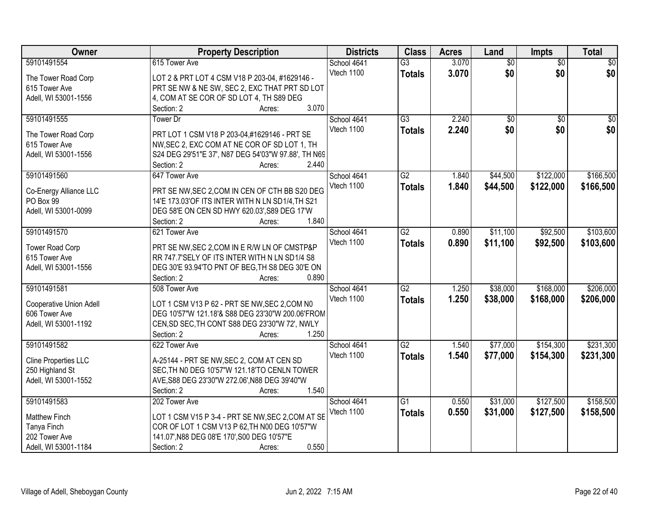| Owner                          | <b>Property Description</b>                         | <b>Districts</b> | <b>Class</b>    | <b>Acres</b> | Land            | Impts           | <b>Total</b>    |
|--------------------------------|-----------------------------------------------------|------------------|-----------------|--------------|-----------------|-----------------|-----------------|
| 59101491554                    | 615 Tower Ave                                       | School 4641      | $\overline{G3}$ | 3.070        | $\overline{50}$ | $\overline{30}$ | $\overline{50}$ |
| The Tower Road Corp            | LOT 2 & PRT LOT 4 CSM V18 P 203-04, #1629146 -      | Vtech 1100       | <b>Totals</b>   | 3.070        | \$0             | \$0             | \$0             |
| 615 Tower Ave                  | PRT SE NW & NE SW, SEC 2, EXC THAT PRT SD LOT       |                  |                 |              |                 |                 |                 |
| Adell, WI 53001-1556           | 4, COM AT SE COR OF SD LOT 4, TH S89 DEG            |                  |                 |              |                 |                 |                 |
|                                | 3.070<br>Section: 2<br>Acres:                       |                  |                 |              |                 |                 |                 |
| 59101491555                    | Tower Dr                                            | School 4641      | $\overline{G3}$ | 2.240        | $\overline{50}$ | $\overline{30}$ | $\overline{50}$ |
|                                |                                                     | Vtech 1100       |                 | 2.240        | \$0             | \$0             | \$0             |
| The Tower Road Corp            | PRT LOT 1 CSM V18 P 203-04.#1629146 - PRT SE        |                  | <b>Totals</b>   |              |                 |                 |                 |
| 615 Tower Ave                  | NW, SEC 2, EXC COM AT NE COR OF SD LOT 1, TH        |                  |                 |              |                 |                 |                 |
| Adell, WI 53001-1556           | S24 DEG 29'51"E 37', N87 DEG 54'03"W 97.88', TH N69 |                  |                 |              |                 |                 |                 |
|                                | 2.440<br>Section: 2<br>Acres:                       |                  |                 |              |                 |                 |                 |
| 59101491560                    | 647 Tower Ave                                       | School 4641      | $\overline{G2}$ | 1.840        | \$44,500        | \$122,000       | \$166,500       |
|                                |                                                     | Vtech 1100       | <b>Totals</b>   | 1.840        | \$44,500        | \$122,000       | \$166,500       |
| Co-Energy Alliance LLC         | PRT SE NW, SEC 2, COM IN CEN OF CTH BB S20 DEG      |                  |                 |              |                 |                 |                 |
| PO Box 99                      | 14'E 173.03'OF ITS INTER WITH N LN SD1/4, TH S21    |                  |                 |              |                 |                 |                 |
| Adell, WI 53001-0099           | DEG 58'E ON CEN SD HWY 620.03', S89 DEG 17'W        |                  |                 |              |                 |                 |                 |
|                                | 1.840<br>Section: 2<br>Acres:                       |                  |                 |              |                 |                 |                 |
| 59101491570                    | 621 Tower Ave                                       | School 4641      | $\overline{G2}$ | 0.890        | \$11,100        | \$92,500        | \$103,600       |
| <b>Tower Road Corp</b>         | PRT SE NW, SEC 2, COM IN E R/W LN OF CMSTP&P        | Vtech 1100       | <b>Totals</b>   | 0.890        | \$11,100        | \$92,500        | \$103,600       |
| 615 Tower Ave                  | RR 747.7'SELY OF ITS INTER WITH N LN SD1/4 S8       |                  |                 |              |                 |                 |                 |
| Adell, WI 53001-1556           | DEG 30'E 93.94'TO PNT OF BEG, TH S8 DEG 30'E ON     |                  |                 |              |                 |                 |                 |
|                                | 0.890<br>Section: 2<br>Acres:                       |                  |                 |              |                 |                 |                 |
| 59101491581                    | 508 Tower Ave                                       | School 4641      | $\overline{G2}$ | 1.250        | \$38,000        | \$168,000       | \$206,000       |
|                                |                                                     | Vtech 1100       | <b>Totals</b>   | 1.250        | \$38,000        | \$168,000       | \$206,000       |
| <b>Cooperative Union Adell</b> | LOT 1 CSM V13 P 62 - PRT SE NW, SEC 2, COM N0       |                  |                 |              |                 |                 |                 |
| 606 Tower Ave                  | DEG 10'57"W 121.18'& S88 DEG 23'30"W 200.06'FROM    |                  |                 |              |                 |                 |                 |
| Adell, WI 53001-1192           | CEN, SD SEC, TH CONT S88 DEG 23'30"W 72', NWLY      |                  |                 |              |                 |                 |                 |
|                                | 1.250<br>Section: 2<br>Acres:                       |                  |                 |              |                 |                 |                 |
| 59101491582                    | 622 Tower Ave                                       | School 4641      | $\overline{G2}$ | 1.540        | \$77,000        | \$154,300       | \$231,300       |
|                                |                                                     | Vtech 1100       | <b>Totals</b>   | 1.540        | \$77,000        | \$154,300       | \$231,300       |
| Cline Properties LLC           | A-25144 - PRT SE NW, SEC 2, COM AT CEN SD           |                  |                 |              |                 |                 |                 |
| 250 Highland St                | SEC, TH NO DEG 10'57"W 121.18'TO CENLN TOWER        |                  |                 |              |                 |                 |                 |
| Adell, WI 53001-1552           | AVE, S88 DEG 23'30"W 272.06', N88 DEG 39'40"W       |                  |                 |              |                 |                 |                 |
|                                | 1.540<br>Section: 2<br>Acres:                       |                  |                 |              |                 |                 |                 |
| 59101491583                    | 202 Tower Ave                                       | School 4641      | $\overline{G1}$ | 0.550        | \$31,000        | \$127,500       | \$158,500       |
| <b>Matthew Finch</b>           | LOT 1 CSM V15 P 3-4 - PRT SE NW, SEC 2, COM AT SE   | Vtech 1100       | <b>Totals</b>   | 0.550        | \$31,000        | \$127,500       | \$158,500       |
| Tanya Finch                    | COR OF LOT 1 CSM V13 P 62, TH N00 DEG 10'57"W       |                  |                 |              |                 |                 |                 |
| 202 Tower Ave                  | 141.07', N88 DEG 08'E 170', S00 DEG 10'57"E         |                  |                 |              |                 |                 |                 |
| Adell, WI 53001-1184           | 0.550<br>Section: 2<br>Acres:                       |                  |                 |              |                 |                 |                 |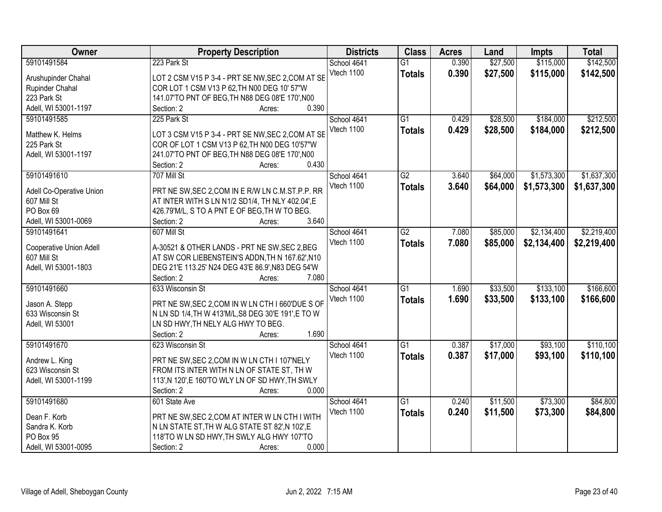| Owner                    | <b>Property Description</b>                                                                      | <b>Districts</b> | <b>Class</b>    | <b>Acres</b> | Land     | <b>Impts</b> | <b>Total</b> |
|--------------------------|--------------------------------------------------------------------------------------------------|------------------|-----------------|--------------|----------|--------------|--------------|
| 59101491584              | 223 Park St                                                                                      | School 4641      | $\overline{G1}$ | 0.390        | \$27,500 | \$115,000    | \$142,500    |
| Arushupinder Chahal      | LOT 2 CSM V15 P 3-4 - PRT SE NW, SEC 2, COM AT SE                                                | Vtech 1100       | <b>Totals</b>   | 0.390        | \$27,500 | \$115,000    | \$142,500    |
| Rupinder Chahal          | COR LOT 1 CSM V13 P 62, TH N00 DEG 10' 57"W                                                      |                  |                 |              |          |              |              |
| 223 Park St              | 141.07'TO PNT OF BEG, TH N88 DEG 08'E 170', N00                                                  |                  |                 |              |          |              |              |
| Adell, WI 53001-1197     | 0.390<br>Section: 2<br>Acres:                                                                    |                  |                 |              |          |              |              |
| 59101491585              | 225 Park St                                                                                      | School 4641      | $\overline{G1}$ | 0.429        | \$28,500 | \$184,000    | \$212,500    |
|                          |                                                                                                  | Vtech 1100       | <b>Totals</b>   | 0.429        | \$28,500 | \$184,000    | \$212,500    |
| Matthew K. Helms         | LOT 3 CSM V15 P 3-4 - PRT SE NW, SEC 2, COM AT SE                                                |                  |                 |              |          |              |              |
| 225 Park St              | COR OF LOT 1 CSM V13 P 62, TH N00 DEG 10'57"W<br>241.07'TO PNT OF BEG, TH N88 DEG 08'E 170', N00 |                  |                 |              |          |              |              |
| Adell, WI 53001-1197     | 0.430                                                                                            |                  |                 |              |          |              |              |
| 59101491610              | Section: 2<br>Acres:                                                                             |                  | $\overline{G2}$ |              |          |              | \$1,637,300  |
|                          | 707 Mill St                                                                                      | School 4641      |                 | 3.640        | \$64,000 | \$1,573,300  |              |
| Adell Co-Operative Union | PRT NE SW, SEC 2, COM IN E R/W LN C.M.ST.P.P. RR                                                 | Vtech 1100       | <b>Totals</b>   | 3.640        | \$64,000 | \$1,573,300  | \$1,637,300  |
| 607 Mill St              | AT INTER WITH S LN N1/2 SD1/4, TH NLY 402.04', E                                                 |                  |                 |              |          |              |              |
| PO Box 69                | 426.79'M/L, S TO A PNT E OF BEG, TH W TO BEG.                                                    |                  |                 |              |          |              |              |
| Adell, WI 53001-0069     | Section: 2<br>3.640<br>Acres:                                                                    |                  |                 |              |          |              |              |
| 59101491641              | 607 Mill St                                                                                      | School 4641      | $\overline{G2}$ | 7.080        | \$85,000 | \$2,134,400  | \$2,219,400  |
|                          |                                                                                                  | Vtech 1100       | <b>Totals</b>   | 7.080        | \$85,000 | \$2,134,400  | \$2,219,400  |
| Cooperative Union Adell  | A-30521 & OTHER LANDS - PRT NE SW, SEC 2, BEG                                                    |                  |                 |              |          |              |              |
| 607 Mill St              | AT SW COR LIEBENSTEIN'S ADDN, TH N 167.62', N10                                                  |                  |                 |              |          |              |              |
| Adell, WI 53001-1803     | DEG 21'E 113.25' N24 DEG 43'E 86.9', N83 DEG 54'W                                                |                  |                 |              |          |              |              |
|                          | Section: 2<br>7.080<br>Acres:                                                                    |                  |                 |              |          |              |              |
| 59101491660              | 633 Wisconsin St                                                                                 | School 4641      | $\overline{G1}$ | 1.690        | \$33,500 | \$133,100    | \$166,600    |
| Jason A. Stepp           | PRT NE SW, SEC 2, COM IN W LN CTH I 660'DUE S OF                                                 | Vtech 1100       | <b>Totals</b>   | 1.690        | \$33,500 | \$133,100    | \$166,600    |
| 633 Wisconsin St         | N LN SD 1/4, TH W 413'M/L, S8 DEG 30'E 191', E TO W                                              |                  |                 |              |          |              |              |
| Adell, WI 53001          | LN SD HWY, TH NELY ALG HWY TO BEG.                                                               |                  |                 |              |          |              |              |
|                          | Section: 2<br>1.690<br>Acres:                                                                    |                  |                 |              |          |              |              |
| 59101491670              | 623 Wisconsin St                                                                                 | School 4641      | $\overline{G1}$ | 0.387        | \$17,000 | \$93,100     | \$110,100    |
|                          |                                                                                                  | Vtech 1100       | <b>Totals</b>   | 0.387        | \$17,000 | \$93,100     | \$110,100    |
| Andrew L. King           | PRT NE SW, SEC 2, COM IN W LN CTH I 107'NELY                                                     |                  |                 |              |          |              |              |
| 623 Wisconsin St         | FROM ITS INTER WITH N LN OF STATE ST, TH W                                                       |                  |                 |              |          |              |              |
| Adell, WI 53001-1199     | 113', N 120', E 160'TO WLY LN OF SD HWY, TH SWLY                                                 |                  |                 |              |          |              |              |
|                          | Section: 2<br>0.000<br>Acres:                                                                    |                  |                 |              |          |              |              |
| 59101491680              | 601 State Ave                                                                                    | School 4641      | $\overline{G1}$ | 0.240        | \$11,500 | \$73,300     | \$84,800     |
| Dean F. Korb             | PRT NE SW, SEC 2, COM AT INTER W LN CTH I WITH                                                   | Vtech 1100       | <b>Totals</b>   | 0.240        | \$11,500 | \$73,300     | \$84,800     |
| Sandra K. Korb           | N LN STATE ST, TH W ALG STATE ST 82', N 102', E                                                  |                  |                 |              |          |              |              |
| PO Box 95                | 118'TO W LN SD HWY, TH SWLY ALG HWY 107'TO                                                       |                  |                 |              |          |              |              |
| Adell, WI 53001-0095     | 0.000<br>Section: 2<br>Acres:                                                                    |                  |                 |              |          |              |              |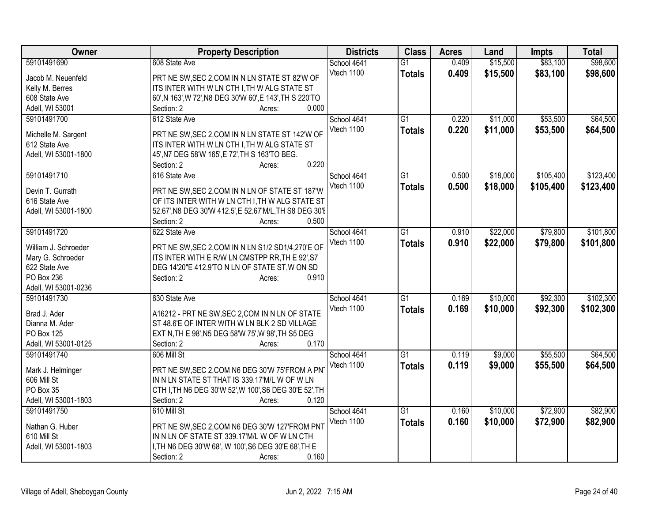| Owner                | <b>Property Description</b>                              | <b>Districts</b> | <b>Class</b>    | <b>Acres</b> | Land     | <b>Impts</b> | <b>Total</b> |
|----------------------|----------------------------------------------------------|------------------|-----------------|--------------|----------|--------------|--------------|
| 59101491690          | 608 State Ave                                            | School 4641      | $\overline{G1}$ | 0.409        | \$15,500 | \$83,100     | \$98,600     |
| Jacob M. Neuenfeld   | PRT NE SW, SEC 2, COM IN N LN STATE ST 82'W OF           | Vtech 1100       | <b>Totals</b>   | 0.409        | \$15,500 | \$83,100     | \$98,600     |
| Kelly M. Berres      | ITS INTER WITH W LN CTH I, TH W ALG STATE ST             |                  |                 |              |          |              |              |
| 608 State Ave        | 60', N 163', W 72', N8 DEG 30'W 60', E 143', TH S 220'TO |                  |                 |              |          |              |              |
| Adell, WI 53001      | 0.000<br>Section: 2<br>Acres:                            |                  |                 |              |          |              |              |
| 59101491700          | 612 State Ave                                            | School 4641      | G1              | 0.220        | \$11,000 | \$53,500     | \$64,500     |
|                      |                                                          | Vtech 1100       | <b>Totals</b>   | 0.220        | \$11,000 | \$53,500     | \$64,500     |
| Michelle M. Sargent  | PRT NE SW, SEC 2, COM IN N LN STATE ST 142'W OF          |                  |                 |              |          |              |              |
| 612 State Ave        | ITS INTER WITH W LN CTH I, TH W ALG STATE ST             |                  |                 |              |          |              |              |
| Adell, WI 53001-1800 | 45', N7 DEG 58'W 165', E 72', TH S 163'TO BEG.           |                  |                 |              |          |              |              |
|                      | 0.220<br>Section: 2<br>Acres:                            |                  |                 |              |          |              |              |
| 59101491710          | 616 State Ave                                            | School 4641      | $\overline{G1}$ | 0.500        | \$18,000 | \$105,400    | \$123,400    |
| Devin T. Gurrath     | PRT NE SW, SEC 2, COM IN N LN OF STATE ST 187'W          | Vtech 1100       | <b>Totals</b>   | 0.500        | \$18,000 | \$105,400    | \$123,400    |
| 616 State Ave        | OF ITS INTER WITH W LN CTH I, TH W ALG STATE ST          |                  |                 |              |          |              |              |
| Adell, WI 53001-1800 | 52.67', N8 DEG 30'W 412.5', E 52.67'M/L, TH S8 DEG 30'I  |                  |                 |              |          |              |              |
|                      | 0.500<br>Section: 2<br>Acres:                            |                  |                 |              |          |              |              |
| 59101491720          | 622 State Ave                                            | School 4641      | $\overline{G1}$ | 0.910        | \$22,000 | \$79,800     | \$101,800    |
|                      |                                                          | Vtech 1100       | <b>Totals</b>   | 0.910        | \$22,000 | \$79,800     | \$101,800    |
| William J. Schroeder | PRT NE SW, SEC 2, COM IN N LN S1/2 SD1/4, 270'E OF       |                  |                 |              |          |              |              |
| Mary G. Schroeder    | ITS INTER WITH E R/W LN CMSTPP RR, TH E 92', S7          |                  |                 |              |          |              |              |
| 622 State Ave        | DEG 14'20"E 412.9'TO N LN OF STATE ST, W ON SD           |                  |                 |              |          |              |              |
| PO Box 236           | 0.910<br>Section: 2<br>Acres:                            |                  |                 |              |          |              |              |
| Adell, WI 53001-0236 |                                                          |                  |                 |              |          |              |              |
| 59101491730          | 630 State Ave                                            | School 4641      | $\overline{G1}$ | 0.169        | \$10,000 | \$92,300     | \$102,300    |
| Brad J. Ader         | A16212 - PRT NE SW, SEC 2, COM IN N LN OF STATE          | Vtech 1100       | <b>Totals</b>   | 0.169        | \$10,000 | \$92,300     | \$102,300    |
| Dianna M. Ader       | ST 48.6'E OF INTER WITH W LN BLK 2 SD VILLAGE            |                  |                 |              |          |              |              |
| PO Box 125           | EXT N, TH E 98', N5 DEG 58'W 75', W 98', TH S5 DEG       |                  |                 |              |          |              |              |
| Adell, WI 53001-0125 | 0.170<br>Section: 2<br>Acres:                            |                  |                 |              |          |              |              |
| 59101491740          | 606 Mill St                                              | School 4641      | $\overline{G1}$ | 0.119        | \$9,000  | \$55,500     | \$64,500     |
|                      |                                                          | Vtech 1100       | <b>Totals</b>   | 0.119        | \$9,000  | \$55,500     | \$64,500     |
| Mark J. Helminger    | PRT NE SW, SEC 2, COM N6 DEG 30'W 75'FROM A PN           |                  |                 |              |          |              |              |
| 606 Mill St          | IN N LN STATE ST THAT IS 339.17'M/L W OF W LN            |                  |                 |              |          |              |              |
| PO Box 35            | CTH I, TH N6 DEG 30'W 52', W 100', S6 DEG 30'E 52', TH   |                  |                 |              |          |              |              |
| Adell, WI 53001-1803 | 0.120<br>Section: 2<br>Acres:                            |                  |                 |              |          |              |              |
| 59101491750          | 610 Mill St                                              | School 4641      | $\overline{G1}$ | 0.160        | \$10,000 | \$72,900     | \$82,900     |
| Nathan G. Huber      | PRT NE SW, SEC 2, COM N6 DEG 30'W 127'FROM PNT           | Vtech 1100       | <b>Totals</b>   | 0.160        | \$10,000 | \$72,900     | \$82,900     |
| 610 Mill St          | IN N LN OF STATE ST 339.17'M/L W OF W LN CTH             |                  |                 |              |          |              |              |
| Adell, WI 53001-1803 | I, TH N6 DEG 30'W 68', W 100', S6 DEG 30'E 68', TH E     |                  |                 |              |          |              |              |
|                      | 0.160<br>Section: 2<br>Acres:                            |                  |                 |              |          |              |              |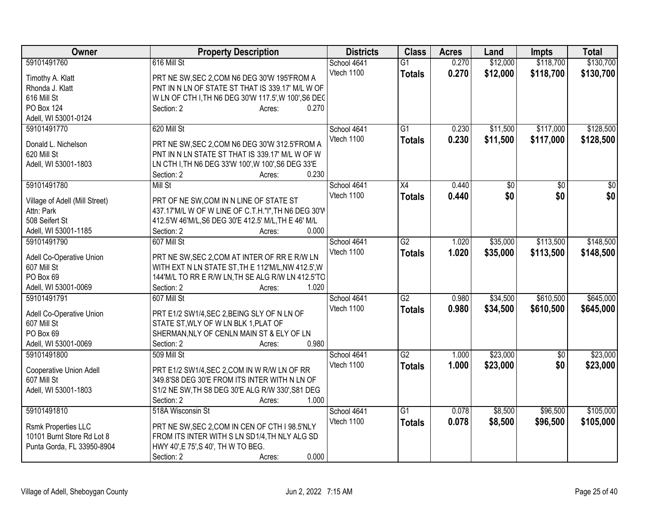| Owner                                                    | <b>Property Description</b>                          | <b>Districts</b> | <b>Class</b>    | <b>Acres</b> | Land     | <b>Impts</b>    | <b>Total</b>    |
|----------------------------------------------------------|------------------------------------------------------|------------------|-----------------|--------------|----------|-----------------|-----------------|
| 59101491760                                              | 616 Mill St                                          | School 4641      | $\overline{G1}$ | 0.270        | \$12,000 | \$118,700       | \$130,700       |
| Timothy A. Klatt                                         | PRT NE SW, SEC 2, COM N6 DEG 30'W 195'FROM A         | Vtech 1100       | <b>Totals</b>   | 0.270        | \$12,000 | \$118,700       | \$130,700       |
| Rhonda J. Klatt                                          | PNT IN N LN OF STATE ST THAT IS 339.17' M/L W OF     |                  |                 |              |          |                 |                 |
| 616 Mill St                                              | W LN OF CTH I, TH N6 DEG 30'W 117.5', W 100', S6 DEC |                  |                 |              |          |                 |                 |
| PO Box 124                                               | 0.270<br>Section: 2<br>Acres:                        |                  |                 |              |          |                 |                 |
| Adell, WI 53001-0124                                     |                                                      |                  |                 |              |          |                 |                 |
| 59101491770                                              | 620 Mill St                                          | School 4641      | G1              | 0.230        | \$11,500 | \$117,000       | \$128,500       |
|                                                          |                                                      | Vtech 1100       | <b>Totals</b>   | 0.230        | \$11,500 | \$117,000       | \$128,500       |
| Donald L. Nichelson                                      | PRT NE SW, SEC 2, COM N6 DEG 30'W 312.5'FROM A       |                  |                 |              |          |                 |                 |
| 620 Mill St                                              | PNT IN N LN STATE ST THAT IS 339.17' M/L W OF W      |                  |                 |              |          |                 |                 |
| Adell, WI 53001-1803                                     | LN CTH I, TH N6 DEG 33'W 100', W 100', S6 DEG 33'E   |                  |                 |              |          |                 |                 |
|                                                          | 0.230<br>Section: 2<br>Acres:                        |                  |                 |              |          |                 |                 |
| 59101491780                                              | Mill St                                              | School 4641      | X4              | 0.440        | \$0      | $\overline{50}$ | $\overline{30}$ |
| Village of Adell (Mill Street)                           | PRT OF NE SW, COM IN N LINE OF STATE ST              | Vtech 1100       | <b>Totals</b>   | 0.440        | \$0      | \$0             | \$0             |
| Attn: Park                                               | 437.17'M/L W OF W LINE OF C.T.H."I", TH N6 DEG 30'W  |                  |                 |              |          |                 |                 |
| 508 Seifert St                                           | 412.5'W 46'M/L, S6 DEG 30'E 412.5' M/L, TH E 46' M/L |                  |                 |              |          |                 |                 |
| Adell, WI 53001-1185                                     | 0.000<br>Section: 2<br>Acres:                        |                  |                 |              |          |                 |                 |
| 59101491790                                              | 607 Mill St                                          | School 4641      | G2              | 1.020        | \$35,000 | \$113,500       | \$148,500       |
|                                                          |                                                      | Vtech 1100       | <b>Totals</b>   | 1.020        | \$35,000 | \$113,500       | \$148,500       |
| Adell Co-Operative Union                                 | PRT NE SW, SEC 2, COM AT INTER OF RR E R/W LN        |                  |                 |              |          |                 |                 |
| 607 Mill St                                              | WITH EXT N LN STATE ST, TH E 112'M/L, NW 412.5', W   |                  |                 |              |          |                 |                 |
| PO Box 69                                                | 144'M/L TO RR E R/W LN, TH SE ALG R/W LN 412.5'TO    |                  |                 |              |          |                 |                 |
| Adell, WI 53001-0069                                     | 1.020<br>Section: 2<br>Acres:                        |                  |                 |              |          |                 |                 |
| 59101491791                                              | 607 Mill St                                          | School 4641      | $\overline{G2}$ | 0.980        | \$34,500 | \$610,500       | \$645,000       |
| Adell Co-Operative Union                                 | PRT E1/2 SW1/4, SEC 2, BEING SLY OF N LN OF          | Vtech 1100       | <b>Totals</b>   | 0.980        | \$34,500 | \$610,500       | \$645,000       |
| 607 Mill St                                              | STATE ST, WLY OF W LN BLK 1, PLAT OF                 |                  |                 |              |          |                 |                 |
| PO Box 69                                                | SHERMAN, NLY OF CENLN MAIN ST & ELY OF LN            |                  |                 |              |          |                 |                 |
| Adell, WI 53001-0069                                     | 0.980<br>Section: 2<br>Acres:                        |                  |                 |              |          |                 |                 |
| 59101491800                                              | 509 Mill St                                          | School 4641      | $\overline{G2}$ | 1.000        | \$23,000 | \$0             | \$23,000        |
|                                                          |                                                      | Vtech 1100       |                 |              |          | \$0             |                 |
| Cooperative Union Adell                                  | PRT E1/2 SW1/4, SEC 2, COM IN W R/W LN OF RR         |                  | <b>Totals</b>   | 1.000        | \$23,000 |                 | \$23,000        |
| 607 Mill St                                              | 349.8'S8 DEG 30'E FROM ITS INTER WITH N LN OF        |                  |                 |              |          |                 |                 |
| Adell, WI 53001-1803                                     | S1/2 NE SW, TH S8 DEG 30'E ALG R/W 330', S81 DEG     |                  |                 |              |          |                 |                 |
|                                                          | 1.000<br>Section: 2<br>Acres:                        |                  |                 |              |          |                 |                 |
| 59101491810                                              | 518A Wisconsin St                                    | School 4641      | $\overline{G1}$ | 0.078        | \$8,500  | \$96,500        | \$105,000       |
|                                                          |                                                      | Vtech 1100       | <b>Totals</b>   | 0.078        | \$8,500  | \$96,500        | \$105,000       |
| <b>Rsmk Properties LLC</b><br>10101 Burnt Store Rd Lot 8 | PRT NE SW, SEC 2, COM IN CEN OF CTH I 98.5'NLY       |                  |                 |              |          |                 |                 |
|                                                          | FROM ITS INTER WITH S LN SD1/4, TH NLY ALG SD        |                  |                 |              |          |                 |                 |
| Punta Gorda, FL 33950-8904                               | HWY 40', E 75', S 40', TH W TO BEG.                  |                  |                 |              |          |                 |                 |
|                                                          | 0.000<br>Section: 2<br>Acres:                        |                  |                 |              |          |                 |                 |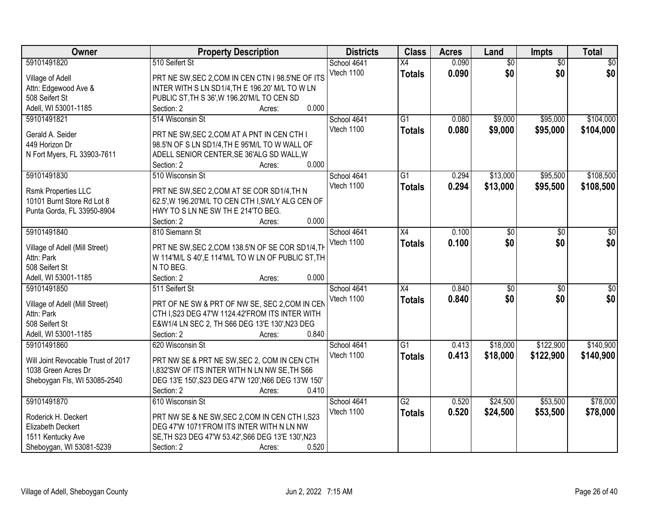| Owner                              | <b>Property Description</b>                         | <b>Districts</b> | <b>Class</b>    | <b>Acres</b> | Land            | Impts           | <b>Total</b>    |
|------------------------------------|-----------------------------------------------------|------------------|-----------------|--------------|-----------------|-----------------|-----------------|
| 59101491820                        | 510 Seifert St                                      | School 4641      | $\overline{X4}$ | 0.090        | $\overline{60}$ | $\overline{30}$ | $\overline{50}$ |
| Village of Adell                   | PRT NE SW, SEC 2, COM IN CEN CTN I 98.5'NE OF ITS   | Vtech 1100       | <b>Totals</b>   | 0.090        | \$0             | \$0             | \$0             |
| Attn: Edgewood Ave &               | INTER WITH S LN SD1/4, TH E 196.20' M/L TO W LN     |                  |                 |              |                 |                 |                 |
| 508 Seifert St                     | PUBLIC ST, TH S 36', W 196.20'M/L TO CEN SD         |                  |                 |              |                 |                 |                 |
| Adell, WI 53001-1185               | 0.000<br>Section: 2<br>Acres:                       |                  |                 |              |                 |                 |                 |
| 59101491821                        | 514 Wisconsin St                                    | School 4641      | $\overline{G1}$ | 0.080        | \$9,000         | \$95,000        | \$104,000       |
|                                    |                                                     | Vtech 1100       | <b>Totals</b>   | 0.080        | \$9,000         | \$95,000        | \$104,000       |
| Gerald A. Seider                   | PRT NE SW, SEC 2, COM AT A PNT IN CEN CTH I         |                  |                 |              |                 |                 |                 |
| 449 Horizon Dr                     | 98.5'N OF S LN SD1/4, TH E 95'M/L TO W WALL OF      |                  |                 |              |                 |                 |                 |
| N Fort Myers, FL 33903-7611        | ADELL SENIOR CENTER, SE 36'ALG SD WALL, W           |                  |                 |              |                 |                 |                 |
|                                    | 0.000<br>Section: 2<br>Acres:                       |                  |                 |              |                 |                 |                 |
| 59101491830                        | 510 Wisconsin St                                    | School 4641      | G1              | 0.294        | \$13,000        | \$95,500        | \$108,500       |
| <b>Rsmk Properties LLC</b>         | PRT NE SW, SEC 2, COM AT SE COR SD1/4, TH N         | Vtech 1100       | <b>Totals</b>   | 0.294        | \$13,000        | \$95,500        | \$108,500       |
| 10101 Burnt Store Rd Lot 8         | 62.5', W 196.20'M/L TO CEN CTH I, SWLY ALG CEN OF   |                  |                 |              |                 |                 |                 |
| Punta Gorda, FL 33950-8904         | HWY TO S LN NE SW TH E 214'TO BEG.                  |                  |                 |              |                 |                 |                 |
|                                    | 0.000<br>Section: 2<br>Acres:                       |                  |                 |              |                 |                 |                 |
| 59101491840                        | 810 Siemann St                                      | School 4641      | X4              | 0.100        | \$0             | \$0             | \$0             |
|                                    |                                                     | Vtech 1100       | <b>Totals</b>   | 0.100        | \$0             | \$0             | \$0             |
| Village of Adell (Mill Street)     | PRT NE SW, SEC 2, COM 138.5'N OF SE COR SD1/4, TH   |                  |                 |              |                 |                 |                 |
| Attn: Park                         | W 114'M/L S 40', E 114'M/L TO W LN OF PUBLIC ST, TH |                  |                 |              |                 |                 |                 |
| 508 Seifert St                     | N TO BEG.                                           |                  |                 |              |                 |                 |                 |
| Adell, WI 53001-1185               | 0.000<br>Section: 2<br>Acres:                       |                  |                 |              |                 |                 |                 |
| 59101491850                        | 511 Seifert St                                      | School 4641      | $\overline{X4}$ | 0.840        | \$0             | $\overline{30}$ | \$0             |
| Village of Adell (Mill Street)     | PRT OF NE SW & PRT OF NW SE, SEC 2, COM IN CEN      | Vtech 1100       | <b>Totals</b>   | 0.840        | \$0             | \$0             | \$0             |
| Attn: Park                         | CTH I, S23 DEG 47'W 1124.42'FROM ITS INTER WITH     |                  |                 |              |                 |                 |                 |
| 508 Seifert St                     | E&W1/4 LN SEC 2, TH S66 DEG 13'E 130', N23 DEG      |                  |                 |              |                 |                 |                 |
| Adell, WI 53001-1185               | 0.840<br>Section: 2<br>Acres:                       |                  |                 |              |                 |                 |                 |
| 59101491860                        | 620 Wisconsin St                                    | School 4641      | $\overline{G1}$ | 0.413        | \$18,000        | \$122,900       | \$140,900       |
|                                    |                                                     | Vtech 1100       | <b>Totals</b>   | 0.413        | \$18,000        | \$122,900       | \$140,900       |
| Will Joint Revocable Trust of 2017 | PRT NW SE & PRT NE SW, SEC 2, COM IN CEN CTH        |                  |                 |              |                 |                 |                 |
| 1038 Green Acres Dr                | 1,832'SW OF ITS INTER WITH N LN NW SE, TH S66       |                  |                 |              |                 |                 |                 |
| Sheboygan Fls, WI 53085-2540       | DEG 13'E 150', S23 DEG 47'W 120', N66 DEG 13'W 150' |                  |                 |              |                 |                 |                 |
|                                    | Section: 2<br>0.410<br>Acres:                       |                  |                 |              |                 |                 |                 |
| 59101491870                        | 610 Wisconsin St                                    | School 4641      | $\overline{G2}$ | 0.520        | \$24,500        | \$53,500        | \$78,000        |
| Roderick H. Deckert                | PRT NW SE & NE SW, SEC 2, COM IN CEN CTH I, S23     | Vtech 1100       | <b>Totals</b>   | 0.520        | \$24,500        | \$53,500        | \$78,000        |
| Elizabeth Deckert                  | DEG 47'W 1071'FROM ITS INTER WITH N LN NW           |                  |                 |              |                 |                 |                 |
| 1511 Kentucky Ave                  | SE, TH S23 DEG 47'W 53.42', S66 DEG 13'E 130', N23  |                  |                 |              |                 |                 |                 |
| Sheboygan, WI 53081-5239           | 0.520<br>Section: 2<br>Acres:                       |                  |                 |              |                 |                 |                 |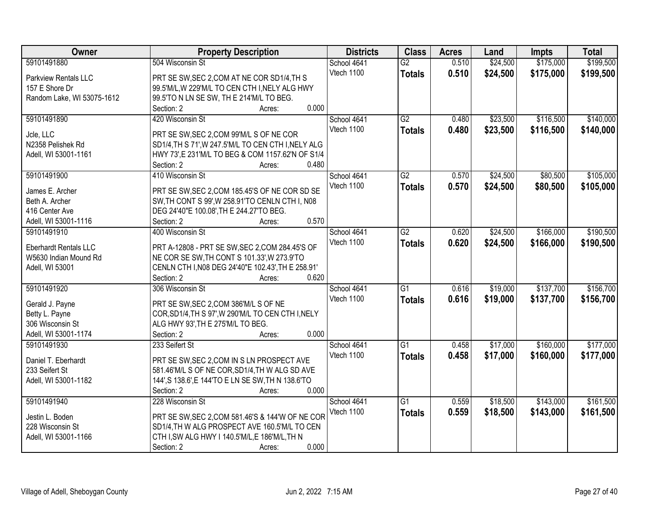| Owner                        | <b>Property Description</b>                                 | <b>Districts</b> | <b>Class</b>    | <b>Acres</b> | Land     | <b>Impts</b> | <b>Total</b> |
|------------------------------|-------------------------------------------------------------|------------------|-----------------|--------------|----------|--------------|--------------|
| 59101491880                  | 504 Wisconsin St                                            | School 4641      | $\overline{G2}$ | 0.510        | \$24,500 | \$175,000    | \$199,500    |
| Parkview Rentals LLC         | PRT SE SW, SEC 2, COM AT NE COR SD1/4, TH S                 | Vtech 1100       | <b>Totals</b>   | 0.510        | \$24,500 | \$175,000    | \$199,500    |
| 157 E Shore Dr               | 99.5'M/L, W 229'M/L TO CEN CTH I, NELY ALG HWY              |                  |                 |              |          |              |              |
| Random Lake, WI 53075-1612   | 99.5'TO N LN SE SW, TH E 214'M/L TO BEG.                    |                  |                 |              |          |              |              |
|                              | 0.000<br>Section: 2<br>Acres:                               |                  |                 |              |          |              |              |
| 59101491890                  | 420 Wisconsin St                                            | School 4641      | $\overline{G2}$ | 0.480        | \$23,500 | \$116,500    | \$140,000    |
|                              |                                                             | Vtech 1100       | <b>Totals</b>   | 0.480        | \$23,500 | \$116,500    | \$140,000    |
| Jcle, LLC                    | PRT SE SW, SEC 2, COM 99'M/L S OF NE COR                    |                  |                 |              |          |              |              |
| N2358 Pelishek Rd            | SD1/4, TH S 71', W 247.5'M/L TO CEN CTH I, NELY ALG         |                  |                 |              |          |              |              |
| Adell, WI 53001-1161         | HWY 73', E 231'M/L TO BEG & COM 1157.62'N OF S1/4           |                  |                 |              |          |              |              |
|                              | 0.480<br>Section: 2<br>Acres:                               |                  |                 |              |          |              |              |
| 59101491900                  | 410 Wisconsin St                                            | School 4641      | $\overline{G2}$ | 0.570        | \$24,500 | \$80,500     | \$105,000    |
| James E. Archer              | PRT SE SW, SEC 2, COM 185.45'S OF NE COR SD SE              | Vtech 1100       | <b>Totals</b>   | 0.570        | \$24,500 | \$80,500     | \$105,000    |
| Beth A. Archer               | SW, TH CONT S 99', W 258.91'TO CENLN CTH I, N08             |                  |                 |              |          |              |              |
| 416 Center Ave               | DEG 24'40"E 100.08', TH E 244.27'TO BEG.                    |                  |                 |              |          |              |              |
| Adell, WI 53001-1116         | 0.570<br>Section: 2<br>Acres:                               |                  |                 |              |          |              |              |
| 59101491910                  | 400 Wisconsin St                                            | School 4641      | $\overline{G2}$ | 0.620        | \$24,500 | \$166,000    | \$190,500    |
|                              |                                                             | Vtech 1100       | <b>Totals</b>   | 0.620        | \$24,500 | \$166,000    | \$190,500    |
| <b>Eberhardt Rentals LLC</b> | PRT A-12808 - PRT SE SW, SEC 2, COM 284.45'S OF             |                  |                 |              |          |              |              |
| W5630 Indian Mound Rd        | NE COR SE SW, TH CONT S 101.33', W 273.9'TO                 |                  |                 |              |          |              |              |
| Adell, WI 53001              | CENLN CTH I, N08 DEG 24'40"E 102.43', TH E 258.91'<br>0.620 |                  |                 |              |          |              |              |
|                              | Section: 2<br>Acres:                                        |                  | $\overline{G1}$ | 0.616        |          | \$137,700    | \$156,700    |
| 59101491920                  | 306 Wisconsin St                                            | School 4641      |                 |              | \$19,000 |              |              |
| Gerald J. Payne              | PRT SE SW, SEC 2, COM 386'M/L S OF NE                       | Vtech 1100       | <b>Totals</b>   | 0.616        | \$19,000 | \$137,700    | \$156,700    |
| Betty L. Payne               | COR, SD1/4, TH S 97', W 290'M/L TO CEN CTH I, NELY          |                  |                 |              |          |              |              |
| 306 Wisconsin St             | ALG HWY 93', TH E 275'M/L TO BEG.                           |                  |                 |              |          |              |              |
| Adell, WI 53001-1174         | Section: 2<br>0.000<br>Acres:                               |                  |                 |              |          |              |              |
| 59101491930                  | 233 Seifert St                                              | School 4641      | $\overline{G1}$ | 0.458        | \$17,000 | \$160,000    | \$177,000    |
| Daniel T. Eberhardt          | PRT SE SW, SEC 2, COM IN S LN PROSPECT AVE                  | Vtech 1100       | <b>Totals</b>   | 0.458        | \$17,000 | \$160,000    | \$177,000    |
| 233 Seifert St               | 581.46'M/L S OF NE COR, SD1/4, TH W ALG SD AVE              |                  |                 |              |          |              |              |
| Adell, WI 53001-1182         | 144', S 138.6', E 144'TO E LN SE SW, TH N 138.6'TO          |                  |                 |              |          |              |              |
|                              | Section: 2<br>0.000<br>Acres:                               |                  |                 |              |          |              |              |
| 59101491940                  | 228 Wisconsin St                                            | School 4641      | $\overline{G1}$ | 0.559        | \$18,500 | \$143,000    | \$161,500    |
|                              |                                                             | Vtech 1100       |                 | 0.559        |          | \$143,000    | \$161,500    |
| Jestin L. Boden              | PRT SE SW, SEC 2, COM 581.46'S & 144'W OF NE COR            |                  | <b>Totals</b>   |              | \$18,500 |              |              |
| 228 Wisconsin St             | SD1/4, TH W ALG PROSPECT AVE 160.5'M/L TO CEN               |                  |                 |              |          |              |              |
| Adell, WI 53001-1166         | CTH I, SW ALG HWY I 140.5'M/L, E 186'M/L, TH N              |                  |                 |              |          |              |              |
|                              | 0.000<br>Section: 2<br>Acres:                               |                  |                 |              |          |              |              |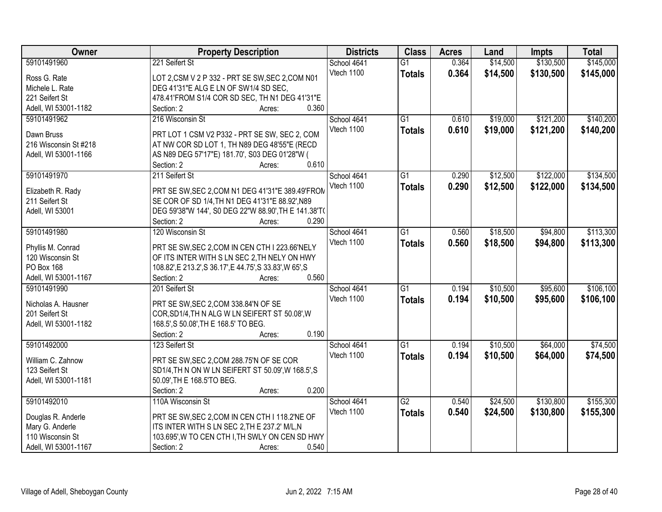| Owner                               | <b>Property Description</b>                               | <b>Districts</b> | <b>Class</b>    | <b>Acres</b> | Land     | <b>Impts</b> | <b>Total</b> |
|-------------------------------------|-----------------------------------------------------------|------------------|-----------------|--------------|----------|--------------|--------------|
| 59101491960                         | 221 Seifert St                                            | School 4641      | $\overline{G1}$ | 0.364        | \$14,500 | \$130,500    | \$145,000    |
| Ross G. Rate                        | LOT 2,CSM V 2 P 332 - PRT SE SW, SEC 2,COM N01            | Vtech 1100       | <b>Totals</b>   | 0.364        | \$14,500 | \$130,500    | \$145,000    |
| Michele L. Rate                     | DEG 41'31"E ALG E LN OF SW1/4 SD SEC,                     |                  |                 |              |          |              |              |
| 221 Seifert St                      | 478.41'FROM S1/4 COR SD SEC, TH N1 DEG 41'31"E            |                  |                 |              |          |              |              |
| Adell, WI 53001-1182                | 0.360<br>Section: 2<br>Acres:                             |                  |                 |              |          |              |              |
| 59101491962                         | 216 Wisconsin St                                          | School 4641      | $\overline{G1}$ | 0.610        | \$19,000 | \$121,200    | \$140,200    |
|                                     |                                                           | Vtech 1100       |                 | 0.610        | \$19,000 | \$121,200    | \$140,200    |
| Dawn Bruss                          | PRT LOT 1 CSM V2 P332 - PRT SE SW, SEC 2, COM             |                  | <b>Totals</b>   |              |          |              |              |
| 216 Wisconsin St #218               | AT NW COR SD LOT 1, TH N89 DEG 48'55"E (RECD              |                  |                 |              |          |              |              |
| Adell, WI 53001-1166                | AS N89 DEG 57'17"E) 181.70', S03 DEG 01'28"W (            |                  |                 |              |          |              |              |
|                                     | 0.610<br>Section: 2<br>Acres:                             |                  |                 |              |          |              |              |
| 59101491970                         | 211 Seifert St                                            | School 4641      | $\overline{G1}$ | 0.290        | \$12,500 | \$122,000    | \$134,500    |
|                                     | PRT SE SW, SEC 2, COM N1 DEG 41'31"E 389.49'FROM          | Vtech 1100       | <b>Totals</b>   | 0.290        | \$12,500 | \$122,000    | \$134,500    |
| Elizabeth R. Rady<br>211 Seifert St | SE COR OF SD 1/4, TH N1 DEG 41'31"E 88.92', N89           |                  |                 |              |          |              |              |
|                                     | DEG 59'38"W 144', S0 DEG 22"W 88.90', TH E 141.38'T(      |                  |                 |              |          |              |              |
| Adell, WI 53001                     | Section: 2<br>0.290                                       |                  |                 |              |          |              |              |
|                                     | Acres:<br>120 Wisconsin St                                |                  |                 |              |          |              |              |
| 59101491980                         |                                                           | School 4641      | G1              | 0.560        | \$18,500 | \$94,800     | \$113,300    |
| Phyllis M. Conrad                   | PRT SE SW, SEC 2, COM IN CEN CTH I 223.66'NELY            | Vtech 1100       | <b>Totals</b>   | 0.560        | \$18,500 | \$94,800     | \$113,300    |
| 120 Wisconsin St                    | OF ITS INTER WITH S LN SEC 2, TH NELY ON HWY              |                  |                 |              |          |              |              |
| PO Box 168                          | 108.82', E 213.2', S 36.17', E 44.75', S 33.83', W 65', S |                  |                 |              |          |              |              |
| Adell, WI 53001-1167                | 0.560<br>Section: 2<br>Acres:                             |                  |                 |              |          |              |              |
| 59101491990                         | 201 Seifert St                                            | School 4641      | $\overline{G1}$ | 0.194        | \$10,500 | \$95,600     | \$106,100    |
|                                     |                                                           | Vtech 1100       | <b>Totals</b>   | 0.194        | \$10,500 | \$95,600     | \$106,100    |
| Nicholas A. Hausner                 | PRT SE SW, SEC 2, COM 338.84'N OF SE                      |                  |                 |              |          |              |              |
| 201 Seifert St                      | COR, SD1/4, TH N ALG W LN SEIFERT ST 50.08', W            |                  |                 |              |          |              |              |
| Adell, WI 53001-1182                | 168.5', S 50.08', TH E 168.5' TO BEG.                     |                  |                 |              |          |              |              |
|                                     | 0.190<br>Section: 2<br>Acres:                             |                  |                 |              |          |              |              |
| 59101492000                         | 123 Seifert St                                            | School 4641      | $\overline{G1}$ | 0.194        | \$10,500 | \$64,000     | \$74,500     |
| William C. Zahnow                   | PRT SE SW, SEC 2, COM 288.75'N OF SE COR                  | Vtech 1100       | <b>Totals</b>   | 0.194        | \$10,500 | \$64,000     | \$74,500     |
| 123 Seifert St                      | SD1/4, TH N ON W LN SEIFERT ST 50.09', W 168.5', S        |                  |                 |              |          |              |              |
| Adell, WI 53001-1181                | 50.09', TH E 168.5'TO BEG.                                |                  |                 |              |          |              |              |
|                                     | 0.200<br>Section: 2<br>Acres:                             |                  |                 |              |          |              |              |
| 59101492010                         | 110A Wisconsin St                                         | School 4641      | $\overline{G2}$ | 0.540        | \$24,500 | \$130,800    | \$155,300    |
|                                     |                                                           | Vtech 1100       | <b>Totals</b>   | 0.540        | \$24,500 | \$130,800    | \$155,300    |
| Douglas R. Anderle                  | PRT SE SW, SEC 2, COM IN CEN CTH I 118.2'NE OF            |                  |                 |              |          |              |              |
| Mary G. Anderle                     | ITS INTER WITH S LN SEC 2, TH E 237.2' M/L, N             |                  |                 |              |          |              |              |
| 110 Wisconsin St                    | 103.695', W TO CEN CTH I, TH SWLY ON CEN SD HWY           |                  |                 |              |          |              |              |
| Adell, WI 53001-1167                | 0.540<br>Section: 2<br>Acres:                             |                  |                 |              |          |              |              |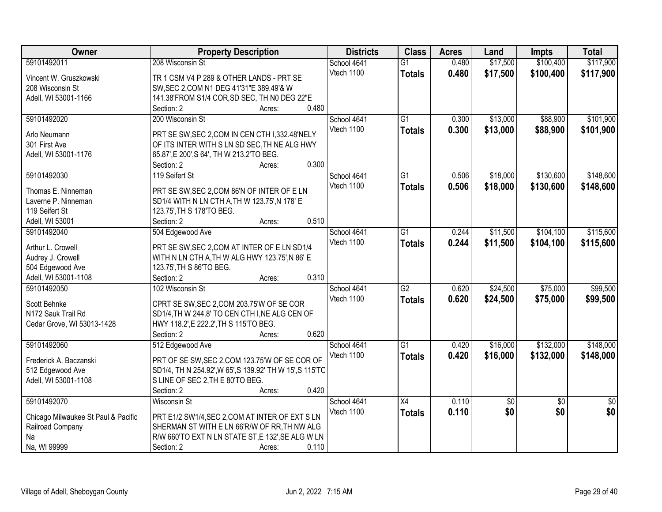| Owner                               | <b>Property Description</b>                              | <b>Districts</b> | <b>Class</b>    | <b>Acres</b> | Land     | <b>Impts</b>    | <b>Total</b>    |
|-------------------------------------|----------------------------------------------------------|------------------|-----------------|--------------|----------|-----------------|-----------------|
| 59101492011                         | 208 Wisconsin St                                         | School 4641      | $\overline{G1}$ | 0.480        | \$17,500 | \$100,400       | \$117,900       |
| Vincent W. Gruszkowski              | TR 1 CSM V4 P 289 & OTHER LANDS - PRT SE                 | Vtech 1100       | <b>Totals</b>   | 0.480        | \$17,500 | \$100,400       | \$117,900       |
| 208 Wisconsin St                    | SW, SEC 2, COM N1 DEG 41'31"E 389.49'& W                 |                  |                 |              |          |                 |                 |
| Adell, WI 53001-1166                | 141.38'FROM S1/4 COR, SD SEC, TH N0 DEG 22"E             |                  |                 |              |          |                 |                 |
|                                     | 0.480<br>Section: 2<br>Acres:                            |                  |                 |              |          |                 |                 |
| 59101492020                         | 200 Wisconsin St                                         | School 4641      | $\overline{G1}$ | 0.300        | \$13,000 | \$88,900        | \$101,900       |
|                                     |                                                          | Vtech 1100       | <b>Totals</b>   | 0.300        | \$13,000 | \$88,900        | \$101,900       |
| Arlo Neumann                        | PRT SE SW, SEC 2, COM IN CEN CTH 1,332.48'NELY           |                  |                 |              |          |                 |                 |
| 301 First Ave                       | OF ITS INTER WITH S LN SD SEC, TH NE ALG HWY             |                  |                 |              |          |                 |                 |
| Adell, WI 53001-1176                | 65.87', E 200', S 64', TH W 213.2'TO BEG.                |                  |                 |              |          |                 |                 |
|                                     | 0.300<br>Section: 2<br>Acres:                            |                  |                 |              |          |                 |                 |
| 59101492030                         | 119 Seifert St                                           | School 4641      | $\overline{G1}$ | 0.506        | \$18,000 | \$130,600       | \$148,600       |
| Thomas E. Ninneman                  | PRT SE SW, SEC 2, COM 86'N OF INTER OF E LN              | Vtech 1100       | <b>Totals</b>   | 0.506        | \$18,000 | \$130,600       | \$148,600       |
| Laverne P. Ninneman                 | SD1/4 WITH N LN CTH A, TH W 123.75', N 178' E            |                  |                 |              |          |                 |                 |
| 119 Seifert St                      | 123.75', TH S 178'TO BEG.                                |                  |                 |              |          |                 |                 |
| Adell, WI 53001                     | 0.510<br>Section: 2<br>Acres:                            |                  |                 |              |          |                 |                 |
| 59101492040                         | 504 Edgewood Ave                                         | School 4641      | G1              | 0.244        | \$11,500 | \$104,100       | \$115,600       |
|                                     |                                                          | Vtech 1100       |                 | 0.244        | \$11,500 | \$104,100       |                 |
| Arthur L. Crowell                   | PRT SE SW, SEC 2, COM AT INTER OF E LN SD1/4             |                  | <b>Totals</b>   |              |          |                 | \$115,600       |
| Audrey J. Crowell                   | WITH N LN CTH A, TH W ALG HWY 123.75', N 86' E           |                  |                 |              |          |                 |                 |
| 504 Edgewood Ave                    | 123.75', TH S 86'TO BEG.                                 |                  |                 |              |          |                 |                 |
| Adell, WI 53001-1108                | 0.310<br>Section: 2<br>Acres:                            |                  |                 |              |          |                 |                 |
| 59101492050                         | 102 Wisconsin St                                         | School 4641      | $\overline{G2}$ | 0.620        | \$24,500 | \$75,000        | \$99,500        |
|                                     |                                                          | Vtech 1100       | <b>Totals</b>   | 0.620        | \$24,500 | \$75,000        | \$99,500        |
| Scott Behnke                        | CPRT SE SW, SEC 2, COM 203.75'W OF SE COR                |                  |                 |              |          |                 |                 |
| N172 Sauk Trail Rd                  | SD1/4, TH W 244.8' TO CEN CTH I, NE ALG CEN OF           |                  |                 |              |          |                 |                 |
| Cedar Grove, WI 53013-1428          | HWY 118.2', E 222.2', TH S 115'TO BEG.                   |                  |                 |              |          |                 |                 |
|                                     | 0.620<br>Section: 2<br>Acres:                            |                  |                 |              |          |                 |                 |
| 59101492060                         | 512 Edgewood Ave                                         | School 4641      | $\overline{G1}$ | 0.420        | \$16,000 | \$132,000       | \$148,000       |
| Frederick A. Baczanski              | PRT OF SE SW, SEC 2, COM 123.75'W OF SE COR OF           | Vtech 1100       | <b>Totals</b>   | 0.420        | \$16,000 | \$132,000       | \$148,000       |
| 512 Edgewood Ave                    | SD1/4, TH N 254.92', W 65', S 139.92' TH W 15', S 115'TC |                  |                 |              |          |                 |                 |
| Adell, WI 53001-1108                | S LINE OF SEC 2, TH E 80'TO BEG.                         |                  |                 |              |          |                 |                 |
|                                     | Section: 2<br>0.420<br>Acres:                            |                  |                 |              |          |                 |                 |
| 59101492070                         | <b>Wisconsin St</b>                                      | School 4641      | $\overline{X4}$ | 0.110        | \$0      | $\overline{50}$ | $\overline{50}$ |
|                                     |                                                          | Vtech 1100       | <b>Totals</b>   | 0.110        | \$0      | \$0             | \$0             |
| Chicago Milwaukee St Paul & Pacific | PRT E1/2 SW1/4, SEC 2, COM AT INTER OF EXT S LN          |                  |                 |              |          |                 |                 |
| Railroad Company                    | SHERMAN ST WITH E LN 66'R/W OF RR, TH NW ALG             |                  |                 |              |          |                 |                 |
| Na                                  | R/W 660'TO EXT N LN STATE ST, E 132', SE ALG W LN        |                  |                 |              |          |                 |                 |
| Na, WI 99999                        | 0.110<br>Section: 2<br>Acres:                            |                  |                 |              |          |                 |                 |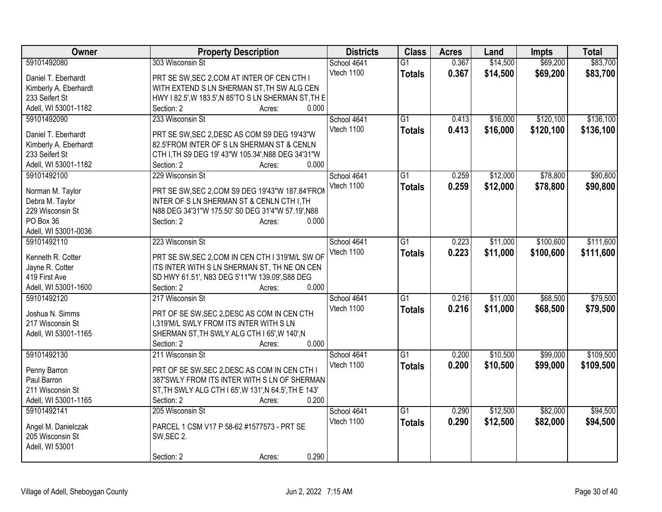| Owner                 | <b>Property Description</b>                           | <b>Districts</b> | <b>Class</b>    | <b>Acres</b> | Land     | <b>Impts</b> | <b>Total</b> |
|-----------------------|-------------------------------------------------------|------------------|-----------------|--------------|----------|--------------|--------------|
| 59101492080           | 303 Wisconsin St                                      | School 4641      | $\overline{G1}$ | 0.367        | \$14,500 | \$69,200     | \$83,700     |
| Daniel T. Eberhardt   | PRT SE SW, SEC 2, COM AT INTER OF CEN CTH I           | Vtech 1100       | <b>Totals</b>   | 0.367        | \$14,500 | \$69,200     | \$83,700     |
| Kimberly A. Eberhardt | WITH EXTEND S LN SHERMAN ST, TH SW ALG CEN            |                  |                 |              |          |              |              |
| 233 Seifert St        | HWY I 82.5', W 183.5', N 85'TO S LN SHERMAN ST, TH E  |                  |                 |              |          |              |              |
| Adell, WI 53001-1182  | Section: 2<br>0.000<br>Acres:                         |                  |                 |              |          |              |              |
| 59101492090           | 233 Wisconsin St                                      | School 4641      | G1              | 0.413        | \$16,000 | \$120,100    | \$136,100    |
|                       |                                                       | Vtech 1100       | <b>Totals</b>   | 0.413        | \$16,000 | \$120,100    | \$136,100    |
| Daniel T. Eberhardt   | PRT SE SW, SEC 2, DESC AS COM S9 DEG 19'43"W          |                  |                 |              |          |              |              |
| Kimberly A. Eberhardt | 82.5'FROM INTER OF S LN SHERMAN ST & CENLN            |                  |                 |              |          |              |              |
| 233 Seifert St        | CTH I, TH S9 DEG 19' 43"W 105.34', N88 DEG 34'31"W    |                  |                 |              |          |              |              |
| Adell, WI 53001-1182  | 0.000<br>Section: 2<br>Acres:                         |                  |                 |              |          |              |              |
| 59101492100           | 229 Wisconsin St                                      | School 4641      | $\overline{G1}$ | 0.259        | \$12,000 | \$78,800     | \$90,800     |
| Norman M. Taylor      | PRT SE SW, SEC 2, COM S9 DEG 19'43"W 187.84'FROM      | Vtech 1100       | <b>Totals</b>   | 0.259        | \$12,000 | \$78,800     | \$90,800     |
| Debra M. Taylor       | INTER OF S LN SHERMAN ST & CENLN CTH I, TH            |                  |                 |              |          |              |              |
| 229 Wisconsin St      | N88 DEG 34'31"W 175.50' S0 DEG 31'4"W 57.19', N88     |                  |                 |              |          |              |              |
| PO Box 36             | 0.000<br>Section: 2<br>Acres:                         |                  |                 |              |          |              |              |
| Adell, WI 53001-0036  |                                                       |                  |                 |              |          |              |              |
| 59101492110           | 223 Wisconsin St                                      | School 4641      | G1              | 0.223        | \$11,000 | \$100,600    | \$111,600    |
|                       |                                                       | Vtech 1100       | <b>Totals</b>   | 0.223        | \$11,000 | \$100,600    | \$111,600    |
| Kenneth R. Cotter     | PRT SE SW, SEC 2, COM IN CEN CTH I 319'M/L SW OF      |                  |                 |              |          |              |              |
| Jayne R. Cotter       | ITS INTER WITH S LN SHERMAN ST, TH NE ON CEN          |                  |                 |              |          |              |              |
| 419 First Ave         | SD HWY 61.51', N83 DEG 5'11"W 139.09', S88 DEG        |                  |                 |              |          |              |              |
| Adell, WI 53001-1600  | 0.000<br>Section: 2<br>Acres:                         |                  |                 |              |          |              |              |
| 59101492120           | 217 Wisconsin St                                      | School 4641      | G1              | 0.216        | \$11,000 | \$68,500     | \$79,500     |
| Joshua N. Simms       | PRT OF SE SW, SEC 2, DESC AS COM IN CEN CTH           | Vtech 1100       | <b>Totals</b>   | 0.216        | \$11,000 | \$68,500     | \$79,500     |
| 217 Wisconsin St      | I,319'M/L SWLY FROM ITS INTER WITH S LN               |                  |                 |              |          |              |              |
| Adell, WI 53001-1165  | SHERMAN ST, TH SWLY ALG CTH I 65', W 140', N          |                  |                 |              |          |              |              |
|                       | 0.000<br>Section: 2<br>Acres:                         |                  |                 |              |          |              |              |
| 59101492130           | 211 Wisconsin St                                      | School 4641      | $\overline{G1}$ | 0.200        | \$10,500 | \$99,000     | \$109,500    |
|                       |                                                       | Vtech 1100       | <b>Totals</b>   | 0.200        | \$10,500 | \$99,000     | \$109,500    |
| Penny Barron          | PRT OF SE SW, SEC 2, DESC AS COM IN CEN CTH I         |                  |                 |              |          |              |              |
| Paul Barron           | 387'SWLY FROM ITS INTER WITH S LN OF SHERMAN          |                  |                 |              |          |              |              |
| 211 Wisconsin St      | ST, TH SWLY ALG CTH I 65', W 131', N 64.5', TH E 143' |                  |                 |              |          |              |              |
| Adell, WI 53001-1165  | 0.200<br>Section: 2<br>Acres:                         |                  |                 |              |          |              |              |
| 59101492141           | 205 Wisconsin St                                      | School 4641      | $\overline{G1}$ | 0.290        | \$12,500 | \$82,000     | \$94,500     |
| Angel M. Danielczak   | PARCEL 1 CSM V17 P 58-62 #1577573 - PRT SE            | Vtech 1100       | <b>Totals</b>   | 0.290        | \$12,500 | \$82,000     | \$94,500     |
| 205 Wisconsin St      | SW, SEC 2.                                            |                  |                 |              |          |              |              |
| Adell, WI 53001       |                                                       |                  |                 |              |          |              |              |
|                       | 0.290<br>Section: 2<br>Acres:                         |                  |                 |              |          |              |              |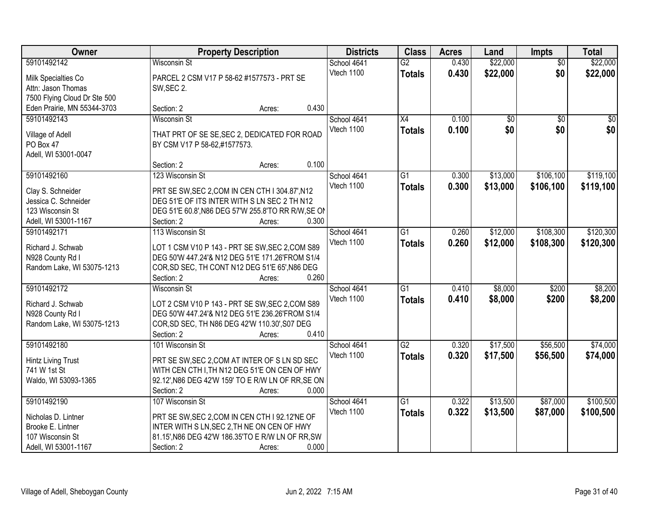| Owner                        |                                                              | <b>Property Description</b> |                           | <b>Districts</b> | <b>Class</b>    | <b>Acres</b> | Land            | <b>Impts</b>    | <b>Total</b> |
|------------------------------|--------------------------------------------------------------|-----------------------------|---------------------------|------------------|-----------------|--------------|-----------------|-----------------|--------------|
| 59101492142                  | <b>Wisconsin St</b>                                          |                             | School 4641               |                  | $\overline{G2}$ | 0.430        | \$22,000        | $\overline{50}$ | \$22,000     |
| Milk Specialties Co          | PARCEL 2 CSM V17 P 58-62 #1577573 - PRT SE                   |                             | Vtech 1100                |                  | <b>Totals</b>   | 0.430        | \$22,000        | \$0             | \$22,000     |
| Attn: Jason Thomas           | SW, SEC 2.                                                   |                             |                           |                  |                 |              |                 |                 |              |
| 7500 Flying Cloud Dr Ste 500 |                                                              |                             |                           |                  |                 |              |                 |                 |              |
| Eden Prairie, MN 55344-3703  | Section: 2                                                   | Acres:                      | 0.430                     |                  |                 |              |                 |                 |              |
| 59101492143                  | <b>Wisconsin St</b>                                          |                             | School 4641               |                  | $\overline{X4}$ | 0.100        | $\overline{50}$ | $\overline{50}$ | $\sqrt{50}$  |
|                              |                                                              |                             | Vtech 1100                |                  | <b>Totals</b>   | 0.100        | \$0             | \$0             | \$0          |
| Village of Adell             | THAT PRT OF SE SE, SEC 2, DEDICATED FOR ROAD                 |                             |                           |                  |                 |              |                 |                 |              |
| PO Box 47                    | BY CSM V17 P 58-62,#1577573.                                 |                             |                           |                  |                 |              |                 |                 |              |
| Adell, WI 53001-0047         |                                                              |                             | 0.100                     |                  |                 |              |                 |                 |              |
|                              | Section: 2                                                   | Acres:                      |                           |                  |                 |              |                 |                 |              |
| 59101492160                  | 123 Wisconsin St                                             |                             | School 4641               |                  | $\overline{G1}$ | 0.300        | \$13,000        | \$106,100       | \$119,100    |
| Clay S. Schneider            | PRT SE SW, SEC 2, COM IN CEN CTH I 304.87', N12              |                             | Vtech 1100                |                  | <b>Totals</b>   | 0.300        | \$13,000        | \$106,100       | \$119,100    |
| Jessica C. Schneider         | DEG 51'E OF ITS INTER WITH S LN SEC 2 TH N12                 |                             |                           |                  |                 |              |                 |                 |              |
| 123 Wisconsin St             | DEG 51'E 60.8', N86 DEG 57'W 255.8'TO RR R/W, SE ON          |                             |                           |                  |                 |              |                 |                 |              |
| Adell, WI 53001-1167         | Section: 2                                                   | Acres:                      | 0.300                     |                  |                 |              |                 |                 |              |
| 59101492171                  | 113 Wisconsin St                                             |                             | School 4641               |                  | G1              | 0.260        | \$12,000        | \$108,300       | \$120,300    |
|                              |                                                              |                             | Vtech 1100                |                  | <b>Totals</b>   | 0.260        | \$12,000        | \$108,300       | \$120,300    |
| Richard J. Schwab            | LOT 1 CSM V10 P 143 - PRT SE SW, SEC 2, COM S89              |                             |                           |                  |                 |              |                 |                 |              |
| N928 County Rd I             | DEG 50'W 447.24'& N12 DEG 51'E 171.26'FROM S1/4              |                             |                           |                  |                 |              |                 |                 |              |
| Random Lake, WI 53075-1213   | COR, SD SEC, TH CONT N12 DEG 51'E 65', N86 DEG<br>Section: 2 |                             | 0.260                     |                  |                 |              |                 |                 |              |
| 59101492172                  | <b>Wisconsin St</b>                                          | Acres:                      |                           |                  | $\overline{G1}$ | 0.410        | \$8,000         | \$200           | \$8,200      |
|                              |                                                              |                             | School 4641<br>Vtech 1100 |                  |                 |              |                 |                 |              |
| Richard J. Schwab            | LOT 2 CSM V10 P 143 - PRT SE SW, SEC 2, COM S89              |                             |                           |                  | <b>Totals</b>   | 0.410        | \$8,000         | \$200           | \$8,200      |
| N928 County Rd I             | DEG 50'W 447.24'& N12 DEG 51'E 236.26'FROM S1/4              |                             |                           |                  |                 |              |                 |                 |              |
| Random Lake, WI 53075-1213   | COR, SD SEC, TH N86 DEG 42'W 110.30', S07 DEG                |                             |                           |                  |                 |              |                 |                 |              |
|                              | Section: 2                                                   | Acres:                      | 0.410                     |                  |                 |              |                 |                 |              |
| 59101492180                  | 101 Wisconsin St                                             |                             | School 4641               |                  | $\overline{G2}$ | 0.320        | \$17,500        | \$56,500        | \$74,000     |
| Hintz Living Trust           | PRT SE SW, SEC 2, COM AT INTER OF S LN SD SEC                |                             | Vtech 1100                |                  | <b>Totals</b>   | 0.320        | \$17,500        | \$56,500        | \$74,000     |
| 741 W 1st St                 | WITH CEN CTH I, TH N12 DEG 51'E ON CEN OF HWY                |                             |                           |                  |                 |              |                 |                 |              |
| Waldo, WI 53093-1365         | 92.12', N86 DEG 42'W 159' TO E R/W LN OF RR, SE ON           |                             |                           |                  |                 |              |                 |                 |              |
|                              | Section: 2                                                   | Acres:                      | 0.000                     |                  |                 |              |                 |                 |              |
| 59101492190                  | 107 Wisconsin St                                             |                             | School 4641               |                  | G1              | 0.322        | \$13,500        | \$87,000        | \$100,500    |
|                              |                                                              |                             | Vtech 1100                |                  | <b>Totals</b>   | 0.322        | \$13,500        | \$87,000        | \$100,500    |
| Nicholas D. Lintner          | PRT SE SW, SEC 2, COM IN CEN CTH I 92.12'NE OF               |                             |                           |                  |                 |              |                 |                 |              |
| Brooke E. Lintner            | INTER WITH S LN, SEC 2, TH NE ON CEN OF HWY                  |                             |                           |                  |                 |              |                 |                 |              |
| 107 Wisconsin St             | 81.15', N86 DEG 42'W 186.35'TO E R/W LN OF RR, SW            |                             |                           |                  |                 |              |                 |                 |              |
| Adell, WI 53001-1167         | Section: 2                                                   | Acres:                      | 0.000                     |                  |                 |              |                 |                 |              |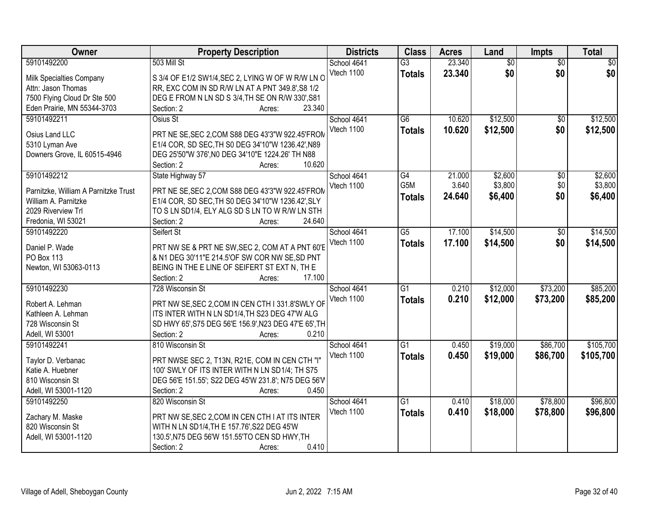| Owner                                | <b>Property Description</b>                             | <b>Districts</b> | <b>Class</b>    | <b>Acres</b> | Land            | <b>Impts</b>    | <b>Total</b> |
|--------------------------------------|---------------------------------------------------------|------------------|-----------------|--------------|-----------------|-----------------|--------------|
| 59101492200                          | 503 Mill St                                             | School 4641      | $\overline{G3}$ | 23.340       | $\overline{50}$ | $\overline{50}$ | $\sqrt{50}$  |
| Milk Specialties Company             | S 3/4 OF E1/2 SW1/4, SEC 2, LYING W OF W R/W LN O       | Vtech 1100       | <b>Totals</b>   | 23.340       | \$0             | \$0             | \$0          |
| Attn: Jason Thomas                   | RR, EXC COM IN SD R/W LN AT A PNT 349.8', S8 1/2        |                  |                 |              |                 |                 |              |
| 7500 Flying Cloud Dr Ste 500         | DEG E FROM N LN SD S 3/4, TH SE ON R/W 330', S81        |                  |                 |              |                 |                 |              |
| Eden Prairie, MN 55344-3703          | 23.340<br>Section: 2<br>Acres:                          |                  |                 |              |                 |                 |              |
| 59101492211                          | Osius St                                                | School 4641      | $\overline{G6}$ | 10.620       | \$12,500        | $\overline{50}$ | \$12,500     |
|                                      |                                                         | Vtech 1100       | <b>Totals</b>   | 10.620       | \$12,500        | \$0             | \$12,500     |
| Osius Land LLC                       | PRT NE SE, SEC 2, COM S88 DEG 43'3"W 922.45'FROM        |                  |                 |              |                 |                 |              |
| 5310 Lyman Ave                       | E1/4 COR, SD SEC, TH S0 DEG 34'10"W 1236.42', N89       |                  |                 |              |                 |                 |              |
| Downers Grove, IL 60515-4946         | DEG 25'50"W 376', NO DEG 34'10"E 1224.26' TH N88        |                  |                 |              |                 |                 |              |
|                                      | 10.620<br>Section: 2<br>Acres:                          |                  |                 |              |                 |                 |              |
| 59101492212                          | State Highway 57                                        | School 4641      | G4              | 21.000       | \$2,600         | \$0             | \$2,600      |
| Parnitzke, William A Parnitzke Trust | PRT NE SE, SEC 2, COM S88 DEG 43'3"W 922.45'FROM        | Vtech 1100       | G5M             | 3.640        | \$3,800         | \$0             | \$3,800      |
| William A. Parnitzke                 | E1/4 COR, SD SEC, TH S0 DEG 34'10"W 1236.42", SLY       |                  | <b>Totals</b>   | 24.640       | \$6,400         | \$0             | \$6,400      |
| 2029 Riverview Trl                   | TO S LN SD1/4, ELY ALG SD S LN TO W R/W LN STH          |                  |                 |              |                 |                 |              |
| Fredonia, WI 53021                   | 24.640<br>Section: 2<br>Acres:                          |                  |                 |              |                 |                 |              |
| 59101492220                          | Seifert St                                              | School 4641      | $\overline{G5}$ | 17.100       | \$14,500        | \$0             | \$14,500     |
|                                      |                                                         | Vtech 1100       | <b>Totals</b>   | 17.100       | \$14,500        | \$0             | \$14,500     |
| Daniel P. Wade                       | PRT NW SE & PRT NE SW, SEC 2, COM AT A PNT 60'E         |                  |                 |              |                 |                 |              |
| <b>PO Box 113</b>                    | & N1 DEG 30'11"E 214.5'OF SW COR NW SE, SD PNT          |                  |                 |              |                 |                 |              |
| Newton, WI 53063-0113                | BEING IN THE E LINE OF SEIFERT ST EXT N, TH E<br>17.100 |                  |                 |              |                 |                 |              |
| 59101492230                          | Section: 2<br>Acres:<br>728 Wisconsin St                |                  | $\overline{G1}$ | 0.210        | \$12,000        | \$73,200        | \$85,200     |
|                                      |                                                         | School 4641      |                 |              |                 |                 |              |
| Robert A. Lehman                     | PRT NW SE, SEC 2, COM IN CEN CTH I 331.8'SWLY OF        | Vtech 1100       | <b>Totals</b>   | 0.210        | \$12,000        | \$73,200        | \$85,200     |
| Kathleen A. Lehman                   | ITS INTER WITH N LN SD1/4, TH S23 DEG 47'W ALG          |                  |                 |              |                 |                 |              |
| 728 Wisconsin St                     | SD HWY 65', S75 DEG 56'E 156.9', N23 DEG 47'E 65', TH   |                  |                 |              |                 |                 |              |
| Adell, WI 53001                      | Section: 2<br>0.210<br>Acres:                           |                  |                 |              |                 |                 |              |
| 59101492241                          | 810 Wisconsin St                                        | School 4641      | $\overline{G1}$ | 0.450        | \$19,000        | \$86,700        | \$105,700    |
| Taylor D. Verbanac                   | PRT NWSE SEC 2, T13N, R21E, COM IN CEN CTH "I"          | Vtech 1100       | <b>Totals</b>   | 0.450        | \$19,000        | \$86,700        | \$105,700    |
| Katie A. Huebner                     | 100' SWLY OF ITS INTER WITH N LN SD1/4; TH S75          |                  |                 |              |                 |                 |              |
| 810 Wisconsin St                     | DEG 56'E 151.55'; S22 DEG 45'W 231.8'; N75 DEG 56'V     |                  |                 |              |                 |                 |              |
| Adell, WI 53001-1120                 | Section: 2<br>0.450<br>Acres:                           |                  |                 |              |                 |                 |              |
| 59101492250                          | 820 Wisconsin St                                        | School 4641      | G1              | 0.410        | \$18,000        | \$78,800        | \$96,800     |
|                                      |                                                         | Vtech 1100       |                 | 0.410        | \$18,000        | \$78,800        | \$96,800     |
| Zachary M. Maske                     | PRT NW SE, SEC 2, COM IN CEN CTH I AT ITS INTER         |                  | <b>Totals</b>   |              |                 |                 |              |
| 820 Wisconsin St                     | WITH N LN SD1/4, TH E 157.76', S22 DEG 45'W             |                  |                 |              |                 |                 |              |
| Adell, WI 53001-1120                 | 130.5', N75 DEG 56'W 151.55'TO CEN SD HWY, TH           |                  |                 |              |                 |                 |              |
|                                      | 0.410<br>Section: 2<br>Acres:                           |                  |                 |              |                 |                 |              |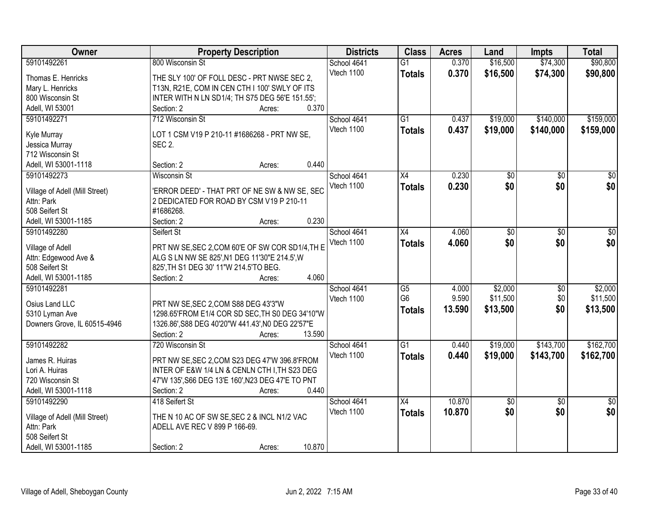| Owner                          | <b>Property Description</b>                       | <b>Districts</b> | <b>Class</b>    | <b>Acres</b> | Land     | <b>Impts</b>    | <b>Total</b>    |
|--------------------------------|---------------------------------------------------|------------------|-----------------|--------------|----------|-----------------|-----------------|
| 59101492261                    | 800 Wisconsin St                                  | School 4641      | $\overline{G1}$ | 0.370        | \$16,500 | \$74,300        | \$90,800        |
| Thomas E. Henricks             | THE SLY 100' OF FOLL DESC - PRT NWSE SEC 2,       | Vtech 1100       | <b>Totals</b>   | 0.370        | \$16,500 | \$74,300        | \$90,800        |
| Mary L. Henricks               | T13N, R21E, COM IN CEN CTH I 100' SWLY OF ITS     |                  |                 |              |          |                 |                 |
| 800 Wisconsin St               | INTER WITH N LN SD1/4; TH S75 DEG 56'E 151.55';   |                  |                 |              |          |                 |                 |
| Adell, WI 53001                | 0.370<br>Section: 2<br>Acres:                     |                  |                 |              |          |                 |                 |
| 59101492271                    | 712 Wisconsin St                                  | School 4641      | $\overline{G1}$ | 0.437        | \$19,000 | \$140,000       | \$159,000       |
|                                |                                                   | Vtech 1100       | <b>Totals</b>   | 0.437        | \$19,000 | \$140,000       | \$159,000       |
| Kyle Murray                    | LOT 1 CSM V19 P 210-11 #1686268 - PRT NW SE,      |                  |                 |              |          |                 |                 |
| Jessica Murray                 | <b>SEC 2.</b>                                     |                  |                 |              |          |                 |                 |
| 712 Wisconsin St               |                                                   |                  |                 |              |          |                 |                 |
| Adell, WI 53001-1118           | 0.440<br>Section: 2<br>Acres:                     |                  |                 |              |          |                 |                 |
| 59101492273                    | <b>Wisconsin St</b>                               | School 4641      | $\overline{X4}$ | 0.230        | \$0      | $\overline{50}$ | $\overline{50}$ |
| Village of Adell (Mill Street) | 'ERROR DEED' - THAT PRT OF NE SW & NW SE, SEC     | Vtech 1100       | <b>Totals</b>   | 0.230        | \$0      | \$0             | \$0             |
| Attn: Park                     | 2 DEDICATED FOR ROAD BY CSM V19 P 210-11          |                  |                 |              |          |                 |                 |
| 508 Seifert St                 | #1686268.                                         |                  |                 |              |          |                 |                 |
| Adell, WI 53001-1185           | 0.230<br>Section: 2<br>Acres:                     |                  |                 |              |          |                 |                 |
| 59101492280                    | Seifert St                                        | School 4641      | X4              | 4.060        | \$0      | \$0             | \$0             |
|                                |                                                   | Vtech 1100       | <b>Totals</b>   | 4.060        | \$0      | \$0             | \$0             |
| Village of Adell               | PRT NW SE, SEC 2, COM 60'E OF SW COR SD1/4, TH E  |                  |                 |              |          |                 |                 |
| Attn: Edgewood Ave &           | ALG S LN NW SE 825', N1 DEG 11'30"E 214.5', W     |                  |                 |              |          |                 |                 |
| 508 Seifert St                 | 825', TH S1 DEG 30' 11"W 214.5'TO BEG.            |                  |                 |              |          |                 |                 |
| Adell, WI 53001-1185           | 4.060<br>Section: 2<br>Acres:                     |                  |                 |              |          |                 |                 |
| 59101492281                    |                                                   | School 4641      | $\overline{G5}$ | 4.000        | \$2,000  | \$0             | \$2,000         |
| Osius Land LLC                 | PRT NW SE, SEC 2, COM S88 DEG 43'3"W              | Vtech 1100       | G <sub>6</sub>  | 9.590        | \$11,500 | \$0             | \$11,500        |
| 5310 Lyman Ave                 | 1298.65'FROM E1/4 COR SD SEC, TH S0 DEG 34'10"W   |                  | <b>Totals</b>   | 13.590       | \$13,500 | \$0             | \$13,500        |
| Downers Grove, IL 60515-4946   | 1326.86', S88 DEG 40'20"W 441.43', N0 DEG 22'57"E |                  |                 |              |          |                 |                 |
|                                | Section: 2<br>13.590<br>Acres:                    |                  |                 |              |          |                 |                 |
| 59101492282                    | 720 Wisconsin St                                  | School 4641      | $\overline{G1}$ | 0.440        | \$19,000 | \$143,700       | \$162,700       |
|                                |                                                   | Vtech 1100       | <b>Totals</b>   | 0.440        | \$19,000 | \$143,700       | \$162,700       |
| James R. Huiras                | PRT NW SE, SEC 2, COM S23 DEG 47'W 396.8'FROM     |                  |                 |              |          |                 |                 |
| Lori A. Huiras                 | INTER OF E&W 1/4 LN & CENLN CTH I, TH S23 DEG     |                  |                 |              |          |                 |                 |
| 720 Wisconsin St               | 47'W 135', S66 DEG 13'E 160', N23 DEG 47'E TO PNT |                  |                 |              |          |                 |                 |
| Adell, WI 53001-1118           | 0.440<br>Section: 2<br>Acres:                     |                  |                 |              |          |                 |                 |
| 59101492290                    | 418 Seifert St                                    | School 4641      | $\overline{X4}$ | 10.870       | \$0      | $\overline{50}$ | $\overline{50}$ |
| Village of Adell (Mill Street) | THE N 10 AC OF SW SE, SEC 2 & INCL N1/2 VAC       | Vtech 1100       | <b>Totals</b>   | 10.870       | \$0      | \$0             | \$0             |
| Attn: Park                     | ADELL AVE REC V 899 P 166-69.                     |                  |                 |              |          |                 |                 |
| 508 Seifert St                 |                                                   |                  |                 |              |          |                 |                 |
| Adell, WI 53001-1185           | 10.870<br>Section: 2<br>Acres:                    |                  |                 |              |          |                 |                 |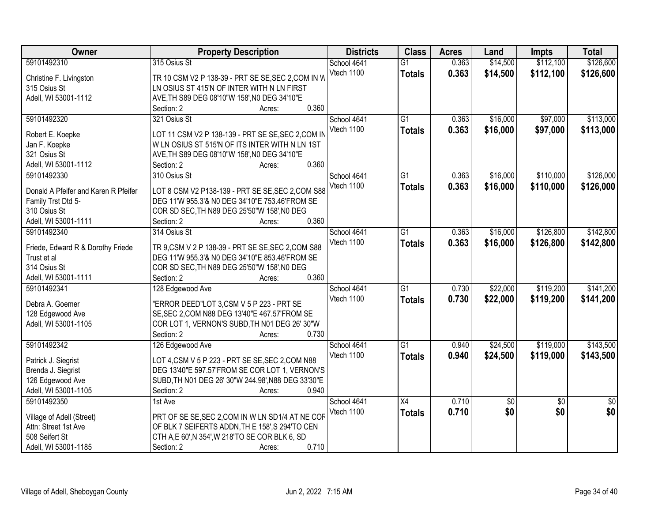| Owner                                | <b>Property Description</b>                        | <b>Districts</b> | <b>Class</b>    | <b>Acres</b> | Land            | <b>Impts</b>    | <b>Total</b>    |
|--------------------------------------|----------------------------------------------------|------------------|-----------------|--------------|-----------------|-----------------|-----------------|
| 59101492310                          | 315 Osius St                                       | School 4641      | $\overline{G1}$ | 0.363        | \$14,500        | \$112,100       | \$126,600       |
| Christine F. Livingston              | TR 10 CSM V2 P 138-39 - PRT SE SE, SEC 2, COM IN W | Vtech 1100       | <b>Totals</b>   | 0.363        | \$14,500        | \$112,100       | \$126,600       |
| 315 Osius St                         | LN OSIUS ST 415'N OF INTER WITH N LN FIRST         |                  |                 |              |                 |                 |                 |
| Adell, WI 53001-1112                 | AVE, TH S89 DEG 08'10"W 158', N0 DEG 34'10"E       |                  |                 |              |                 |                 |                 |
|                                      | 0.360<br>Section: 2<br>Acres:                      |                  |                 |              |                 |                 |                 |
| 59101492320                          | 321 Osius St                                       | School 4641      | $\overline{G1}$ | 0.363        | \$16,000        | \$97,000        | \$113,000       |
|                                      |                                                    | Vtech 1100       | <b>Totals</b>   | 0.363        | \$16,000        | \$97,000        | \$113,000       |
| Robert E. Koepke                     | LOT 11 CSM V2 P 138-139 - PRT SE SE, SEC 2, COM IN |                  |                 |              |                 |                 |                 |
| Jan F. Koepke                        | W LN OSIUS ST 515'N OF ITS INTER WITH N LN 1ST     |                  |                 |              |                 |                 |                 |
| 321 Osius St                         | AVE, TH S89 DEG 08'10"W 158', N0 DEG 34'10"E       |                  |                 |              |                 |                 |                 |
| Adell, WI 53001-1112                 | 0.360<br>Section: 2<br>Acres:                      |                  |                 |              |                 |                 |                 |
| 59101492330                          | 310 Osius St                                       | School 4641      | $\overline{G1}$ | 0.363        | \$16,000        | \$110,000       | \$126,000       |
| Donald A Pfeifer and Karen R Pfeifer | LOT 8 CSM V2 P138-139 - PRT SE SE, SEC 2, COM S88  | Vtech 1100       | <b>Totals</b>   | 0.363        | \$16,000        | \$110,000       | \$126,000       |
| Family Trst Dtd 5-                   | DEG 11'W 955.3'& N0 DEG 34'10"E 753.46'FROM SE     |                  |                 |              |                 |                 |                 |
| 310 Osius St                         | COR SD SEC, TH N89 DEG 25'50"W 158', N0 DEG        |                  |                 |              |                 |                 |                 |
| Adell, WI 53001-1111                 | 0.360<br>Section: 2<br>Acres:                      |                  |                 |              |                 |                 |                 |
| 59101492340                          | 314 Osius St                                       | School 4641      | $\overline{G1}$ | 0.363        | \$16,000        | \$126,800       | \$142,800       |
|                                      |                                                    | Vtech 1100       |                 |              |                 |                 |                 |
| Friede, Edward R & Dorothy Friede    | TR 9, CSM V 2 P 138-39 - PRT SE SE, SEC 2, COM S88 |                  | <b>Totals</b>   | 0.363        | \$16,000        | \$126,800       | \$142,800       |
| Trust et al                          | DEG 11'W 955.3'& N0 DEG 34'10"E 853.46'FROM SE     |                  |                 |              |                 |                 |                 |
| 314 Osius St                         | COR SD SEC, TH N89 DEG 25'50"W 158', N0 DEG        |                  |                 |              |                 |                 |                 |
| Adell, WI 53001-1111                 | 0.360<br>Section: 2<br>Acres:                      |                  |                 |              |                 |                 |                 |
| 59101492341                          | 128 Edgewood Ave                                   | School 4641      | $\overline{G1}$ | 0.730        | \$22,000        | \$119,200       | \$141,200       |
|                                      |                                                    | Vtech 1100       | <b>Totals</b>   | 0.730        | \$22,000        | \$119,200       | \$141,200       |
| Debra A. Goemer                      | "ERROR DEED"LOT 3,CSM V 5 P 223 - PRT SE           |                  |                 |              |                 |                 |                 |
| 128 Edgewood Ave                     | SE, SEC 2, COM N88 DEG 13'40"E 467.57'FROM SE      |                  |                 |              |                 |                 |                 |
| Adell, WI 53001-1105                 | COR LOT 1, VERNON'S SUBD, TH N01 DEG 26' 30"W      |                  |                 |              |                 |                 |                 |
|                                      | 0.730<br>Section: 2<br>Acres:                      |                  |                 |              |                 |                 |                 |
| 59101492342                          | 126 Edgewood Ave                                   | School 4641      | $\overline{G1}$ | 0.940        | \$24,500        | \$119,000       | \$143,500       |
| Patrick J. Siegrist                  | LOT 4, CSM V 5 P 223 - PRT SE SE, SEC 2, COM N88   | Vtech 1100       | <b>Totals</b>   | 0.940        | \$24,500        | \$119,000       | \$143,500       |
| Brenda J. Siegrist                   | DEG 13'40"E 597.57'FROM SE COR LOT 1, VERNON'S     |                  |                 |              |                 |                 |                 |
| 126 Edgewood Ave                     | SUBD, TH N01 DEG 26' 30"W 244.98', N88 DEG 33'30"E |                  |                 |              |                 |                 |                 |
| Adell, WI 53001-1105                 | 0.940<br>Section: 2<br>Acres:                      |                  |                 |              |                 |                 |                 |
| 59101492350                          | 1st Ave                                            | School 4641      | X4              | 0.710        | $\overline{50}$ | $\overline{50}$ | $\overline{50}$ |
|                                      |                                                    | Vtech 1100       | <b>Totals</b>   | 0.710        | \$0             | \$0             | \$0             |
| Village of Adell (Street)            | PRT OF SE SE, SEC 2, COM IN W LN SD1/4 AT NE COF   |                  |                 |              |                 |                 |                 |
| Attn: Street 1st Ave                 | OF BLK 7 SEIFERTS ADDN, TH E 158', S 294'TO CEN    |                  |                 |              |                 |                 |                 |
| 508 Seifert St                       | CTH A,E 60',N 354',W 218'TO SE COR BLK 6, SD       |                  |                 |              |                 |                 |                 |
| Adell, WI 53001-1185                 | 0.710<br>Section: 2<br>Acres:                      |                  |                 |              |                 |                 |                 |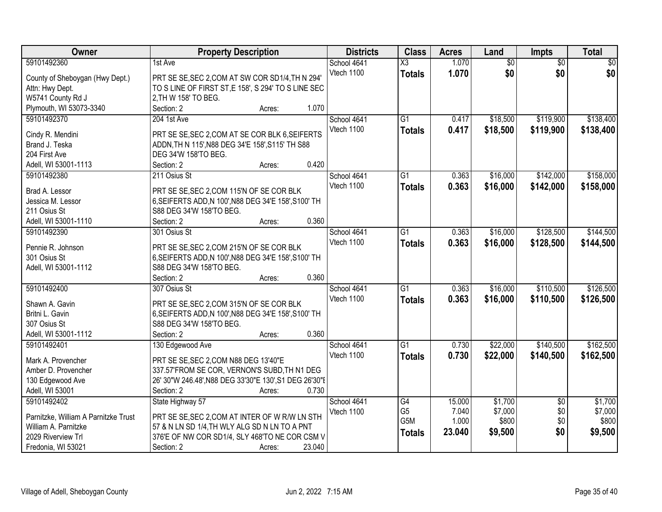| Owner                                | <b>Property Description</b>                            |        |        | <b>Districts</b> | <b>Class</b>           | <b>Acres</b> | Land            | <b>Impts</b>    | <b>Total</b>    |
|--------------------------------------|--------------------------------------------------------|--------|--------|------------------|------------------------|--------------|-----------------|-----------------|-----------------|
| 59101492360                          | 1st Ave                                                |        |        | School 4641      | $\overline{\text{X3}}$ | 1.070        | $\overline{50}$ | $\overline{50}$ | $\overline{50}$ |
| County of Sheboygan (Hwy Dept.)      | PRT SE SE, SEC 2, COM AT SW COR SD1/4, TH N 294'       |        |        | Vtech 1100       | <b>Totals</b>          | 1.070        | \$0             | \$0             | \$0             |
| Attn: Hwy Dept.                      | TO S LINE OF FIRST ST, E 158', S 294' TO S LINE SEC    |        |        |                  |                        |              |                 |                 |                 |
| W5741 County Rd J                    | 2, TH W 158' TO BEG.                                   |        |        |                  |                        |              |                 |                 |                 |
| Plymouth, WI 53073-3340              | Section: 2                                             | Acres: | 1.070  |                  |                        |              |                 |                 |                 |
| 59101492370                          | 204 1st Ave                                            |        |        | School 4641      | $\overline{G1}$        | 0.417        | \$18,500        | \$119,900       | \$138,400       |
|                                      |                                                        |        |        | Vtech 1100       | <b>Totals</b>          | 0.417        | \$18,500        | \$119,900       | \$138,400       |
| Cindy R. Mendini                     | PRT SE SE, SEC 2, COM AT SE COR BLK 6, SEIFERTS        |        |        |                  |                        |              |                 |                 |                 |
| Brand J. Teska                       | ADDN, TH N 115', N88 DEG 34'E 158', S115' TH S88       |        |        |                  |                        |              |                 |                 |                 |
| 204 First Ave                        | DEG 34'W 158'TO BEG.                                   |        |        |                  |                        |              |                 |                 |                 |
| Adell, WI 53001-1113                 | Section: 2                                             | Acres: | 0.420  |                  |                        |              |                 |                 |                 |
| 59101492380                          | 211 Osius St                                           |        |        | School 4641      | $\overline{G1}$        | 0.363        | \$16,000        | \$142,000       | \$158,000       |
| Brad A. Lessor                       | PRT SE SE, SEC 2, COM 115'N OF SE COR BLK              |        |        | Vtech 1100       | <b>Totals</b>          | 0.363        | \$16,000        | \$142,000       | \$158,000       |
| Jessica M. Lessor                    | 6, SEIFERTS ADD, N 100', N88 DEG 34'E 158', S100' TH   |        |        |                  |                        |              |                 |                 |                 |
| 211 Osius St                         | S88 DEG 34'W 158'TO BEG.                               |        |        |                  |                        |              |                 |                 |                 |
| Adell, WI 53001-1110                 | Section: 2                                             | Acres: | 0.360  |                  |                        |              |                 |                 |                 |
| 59101492390                          | 301 Osius St                                           |        |        | School 4641      | G1                     | 0.363        | \$16,000        | \$128,500       | \$144,500       |
|                                      |                                                        |        |        | Vtech 1100       | <b>Totals</b>          | 0.363        | \$16,000        | \$128,500       | \$144,500       |
| Pennie R. Johnson                    | PRT SE SE, SEC 2, COM 215'N OF SE COR BLK              |        |        |                  |                        |              |                 |                 |                 |
| 301 Osius St                         | 6, SEIFERTS ADD, N 100', N88 DEG 34'E 158', S100' TH   |        |        |                  |                        |              |                 |                 |                 |
| Adell, WI 53001-1112                 | S88 DEG 34'W 158'TO BEG.                               |        |        |                  |                        |              |                 |                 |                 |
|                                      | Section: 2                                             | Acres: | 0.360  |                  |                        |              |                 |                 |                 |
| 59101492400                          | 307 Osius St                                           |        |        | School 4641      | $\overline{G1}$        | 0.363        | \$16,000        | \$110,500       | \$126,500       |
| Shawn A. Gavin                       | PRT SE SE, SEC 2, COM 315'N OF SE COR BLK              |        |        | Vtech 1100       | <b>Totals</b>          | 0.363        | \$16,000        | \$110,500       | \$126,500       |
| Britni L. Gavin                      | 6, SEIFERTS ADD, N 100', N88 DEG 34'E 158', S100' TH   |        |        |                  |                        |              |                 |                 |                 |
| 307 Osius St                         | S88 DEG 34'W 158'TO BEG.                               |        |        |                  |                        |              |                 |                 |                 |
| Adell, WI 53001-1112                 | Section: 2                                             | Acres: | 0.360  |                  |                        |              |                 |                 |                 |
| 59101492401                          | 130 Edgewood Ave                                       |        |        | School 4641      | G1                     | 0.730        | \$22,000        | \$140,500       | \$162,500       |
|                                      |                                                        |        |        | Vtech 1100       | <b>Totals</b>          | 0.730        | \$22,000        | \$140,500       | \$162,500       |
| Mark A. Provencher                   | PRT SE SE, SEC 2, COM N88 DEG 13'40"E                  |        |        |                  |                        |              |                 |                 |                 |
| Amber D. Provencher                  | 337.57'FROM SE COR, VERNON'S SUBD, TH N1 DEG           |        |        |                  |                        |              |                 |                 |                 |
| 130 Edgewood Ave                     | 26' 30"W 246.48', N88 DEG 33'30"E 130', S1 DEG 26'30"E |        |        |                  |                        |              |                 |                 |                 |
| Adell, WI 53001                      | Section: 2                                             | Acres: | 0.730  |                  |                        |              |                 |                 |                 |
| 59101492402                          | State Highway 57                                       |        |        | School 4641      | G4                     | 15.000       | \$1,700         | $\overline{50}$ | \$1,700         |
| Parnitzke, William A Parnitzke Trust | PRT SE SE, SEC 2, COM AT INTER OF W R/W LN STH         |        |        | Vtech 1100       | G <sub>5</sub>         | 7.040        | \$7,000         | \$0             | \$7,000         |
| William A. Parnitzke                 | 57 & N LN SD 1/4, TH WLY ALG SD N LN TO A PNT          |        |        |                  | G5M                    | 1.000        | \$800           | \$0             | \$800           |
| 2029 Riverview Trl                   | 376'E OF NW COR SD1/4, SLY 468'TO NE COR CSM V         |        |        |                  | <b>Totals</b>          | 23.040       | \$9,500         | \$0             | \$9,500         |
| Fredonia, WI 53021                   | Section: 2                                             | Acres: | 23.040 |                  |                        |              |                 |                 |                 |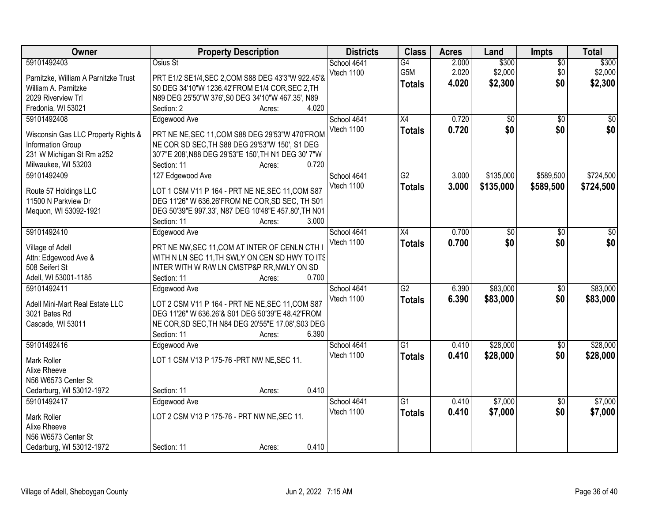| Owner                                | <b>Property Description</b>                          | <b>Districts</b> | <b>Class</b>    | <b>Acres</b> | Land            | <b>Impts</b>    | <b>Total</b> |
|--------------------------------------|------------------------------------------------------|------------------|-----------------|--------------|-----------------|-----------------|--------------|
| 59101492403                          | Osius St                                             | School 4641      | $\overline{G4}$ | 2.000        | \$300           | $\overline{50}$ | \$300        |
| Parnitzke, William A Parnitzke Trust | PRT E1/2 SE1/4, SEC 2, COM S88 DEG 43'3"W 922.45'&   | Vtech 1100       | G5M             | 2.020        | \$2,000         | \$0             | \$2,000      |
| William A. Parnitzke                 | S0 DEG 34'10"W 1236.42'FROM E1/4 COR, SEC 2, TH      |                  | <b>Totals</b>   | 4.020        | \$2,300         | \$0             | \$2,300      |
| 2029 Riverview Trl                   | N89 DEG 25'50"W 376', S0 DEG 34'10"W 467.35', N89    |                  |                 |              |                 |                 |              |
| Fredonia, WI 53021                   | 4.020<br>Section: 2<br>Acres:                        |                  |                 |              |                 |                 |              |
| 59101492408                          | Edgewood Ave                                         | School 4641      | X4              | 0.720        | $\overline{50}$ | $\overline{50}$ | $\sqrt{50}$  |
|                                      |                                                      | Vtech 1100       | <b>Totals</b>   | 0.720        | \$0             | \$0             | \$0          |
| Wisconsin Gas LLC Property Rights &  | PRT NE NE, SEC 11, COM S88 DEG 29'53"W 470'FROM      |                  |                 |              |                 |                 |              |
| Information Group                    | NE COR SD SEC, TH S88 DEG 29'53"W 150', S1 DEG       |                  |                 |              |                 |                 |              |
| 231 W Michigan St Rm a252            | 30'7"E 208', N88 DEG 29'53"E 150', TH N1 DEG 30' 7"W |                  |                 |              |                 |                 |              |
| Milwaukee, WI 53203                  | 0.720<br>Section: 11<br>Acres:                       |                  |                 |              |                 |                 |              |
| 59101492409                          | 127 Edgewood Ave                                     | School 4641      | G2              | 3.000        | \$135,000       | \$589,500       | \$724,500    |
| Route 57 Holdings LLC                | LOT 1 CSM V11 P 164 - PRT NE NE, SEC 11, COM S87     | Vtech 1100       | <b>Totals</b>   | 3.000        | \$135,000       | \$589,500       | \$724,500    |
| 11500 N Parkview Dr                  | DEG 11'26" W 636.26'FROM NE COR, SD SEC, TH S01      |                  |                 |              |                 |                 |              |
| Mequon, WI 53092-1921                | DEG 50'39"E 997.33', N87 DEG 10'48"E 457.80', TH N01 |                  |                 |              |                 |                 |              |
|                                      | Section: 11<br>3.000<br>Acres:                       |                  |                 |              |                 |                 |              |
| 59101492410                          | Edgewood Ave                                         | School 4641      | X4              | 0.700        | \$0             | \$0             | \$0          |
|                                      |                                                      | Vtech 1100       | <b>Totals</b>   | 0.700        | \$0             | \$0             | \$0          |
| Village of Adell                     | PRT NE NW, SEC 11, COM AT INTER OF CENLN CTH I       |                  |                 |              |                 |                 |              |
| Attn: Edgewood Ave &                 | WITH N LN SEC 11, TH SWLY ON CEN SD HWY TO ITS       |                  |                 |              |                 |                 |              |
| 508 Seifert St                       | INTER WITH W R/W LN CMSTP&P RR, NWLY ON SD           |                  |                 |              |                 |                 |              |
| Adell, WI 53001-1185                 | 0.700<br>Section: 11<br>Acres:                       |                  |                 |              |                 |                 |              |
| 59101492411                          | Edgewood Ave                                         | School 4641      | $\overline{G2}$ | 6.390        | \$83,000        | $\overline{50}$ | \$83,000     |
| Adell Mini-Mart Real Estate LLC      | LOT 2 CSM V11 P 164 - PRT NE NE, SEC 11, COM S87     | Vtech 1100       | <b>Totals</b>   | 6.390        | \$83,000        | \$0             | \$83,000     |
| 3021 Bates Rd                        | DEG 11'26" W 636.26'& S01 DEG 50'39"E 48.42'FROM     |                  |                 |              |                 |                 |              |
| Cascade, WI 53011                    | NE COR, SD SEC, TH N84 DEG 20'55"E 17.08', S03 DEG   |                  |                 |              |                 |                 |              |
|                                      | 6.390<br>Section: 11<br>Acres:                       |                  |                 |              |                 |                 |              |
| 59101492416                          | Edgewood Ave                                         | School 4641      | $\overline{G1}$ | 0.410        | \$28,000        | \$0             | \$28,000     |
|                                      |                                                      | Vtech 1100       | <b>Totals</b>   | 0.410        | \$28,000        | \$0             | \$28,000     |
| Mark Roller                          | LOT 1 CSM V13 P 175-76 - PRT NW NE, SEC 11.          |                  |                 |              |                 |                 |              |
| Alixe Rheeve                         |                                                      |                  |                 |              |                 |                 |              |
| N56 W6573 Center St                  |                                                      |                  |                 |              |                 |                 |              |
| Cedarburg, WI 53012-1972             | 0.410<br>Section: 11<br>Acres:                       |                  |                 |              |                 |                 |              |
| 59101492417                          | Edgewood Ave                                         | School 4641      | $\overline{G1}$ | 0.410        | \$7,000         | $\overline{30}$ | \$7,000      |
| Mark Roller                          | LOT 2 CSM V13 P 175-76 - PRT NW NE, SEC 11.          | Vtech 1100       | <b>Totals</b>   | 0.410        | \$7,000         | \$0             | \$7,000      |
| Alixe Rheeve                         |                                                      |                  |                 |              |                 |                 |              |
| N56 W6573 Center St                  |                                                      |                  |                 |              |                 |                 |              |
| Cedarburg, WI 53012-1972             | 0.410<br>Section: 11<br>Acres:                       |                  |                 |              |                 |                 |              |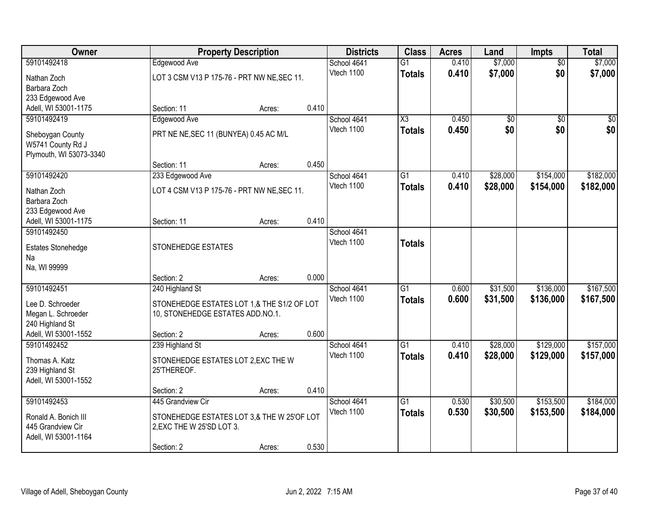| Owner                       |                                             | <b>Property Description</b> |       | <b>Class</b><br><b>Districts</b> | <b>Acres</b>    | Land           | <b>Impts</b> | <b>Total</b>    |           |
|-----------------------------|---------------------------------------------|-----------------------------|-------|----------------------------------|-----------------|----------------|--------------|-----------------|-----------|
| 59101492418                 | Edgewood Ave                                |                             |       | School 4641                      | $\overline{G1}$ | 0.410          | \$7,000      | $\overline{50}$ | \$7,000   |
| Nathan Zoch                 | LOT 3 CSM V13 P 175-76 - PRT NW NE, SEC 11. |                             |       | Vtech 1100                       | <b>Totals</b>   | 0.410          | \$7,000      | \$0             | \$7,000   |
| Barbara Zoch                |                                             |                             |       |                                  |                 |                |              |                 |           |
| 233 Edgewood Ave            |                                             |                             |       |                                  |                 |                |              |                 |           |
| Adell, WI 53001-1175        | Section: 11                                 | Acres:                      | 0.410 |                                  |                 |                |              |                 |           |
| 59101492419                 | Edgewood Ave                                |                             |       | School 4641                      | X3              | 0.450          | \$0          | $\overline{50}$ | \$0       |
| Sheboygan County            | PRT NE NE, SEC 11 (BUNYEA) 0.45 AC M/L      |                             |       | Vtech 1100                       | <b>Totals</b>   | 0.450          | \$0          | \$0             | \$0       |
| W5741 County Rd J           |                                             |                             |       |                                  |                 |                |              |                 |           |
| Plymouth, WI 53073-3340     |                                             |                             |       |                                  |                 |                |              |                 |           |
|                             | Section: 11                                 | Acres:                      | 0.450 |                                  |                 |                |              |                 |           |
| 59101492420                 | 233 Edgewood Ave                            |                             |       | School 4641                      | $\overline{G1}$ | 0.410          | \$28,000     | \$154,000       | \$182,000 |
|                             |                                             |                             |       | Vtech 1100                       | <b>Totals</b>   | 0.410          | \$28,000     | \$154,000       | \$182,000 |
| Nathan Zoch<br>Barbara Zoch | LOT 4 CSM V13 P 175-76 - PRT NW NE, SEC 11. |                             |       |                                  |                 |                |              |                 |           |
| 233 Edgewood Ave            |                                             |                             |       |                                  |                 |                |              |                 |           |
| Adell, WI 53001-1175        | Section: 11                                 | Acres:                      | 0.410 |                                  |                 |                |              |                 |           |
| 59101492450                 |                                             |                             |       | School 4641                      |                 |                |              |                 |           |
|                             |                                             |                             |       | Vtech 1100                       | <b>Totals</b>   |                |              |                 |           |
| <b>Estates Stonehedge</b>   | STONEHEDGE ESTATES                          |                             |       |                                  |                 |                |              |                 |           |
| Na<br>Na, WI 99999          |                                             |                             |       |                                  |                 |                |              |                 |           |
|                             | Section: 2                                  | Acres:                      | 0.000 |                                  |                 |                |              |                 |           |
| 59101492451                 | 240 Highland St                             |                             |       | School 4641                      | G1              | 0.600          | \$31,500     | \$136,000       | \$167,500 |
|                             |                                             |                             |       | Vtech 1100                       | <b>Totals</b>   | 0.600          | \$31,500     | \$136,000       | \$167,500 |
| Lee D. Schroeder            | STONEHEDGE ESTATES LOT 1,& THE S1/2 OF LOT  |                             |       |                                  |                 |                |              |                 |           |
| Megan L. Schroeder          | 10, STONEHEDGE ESTATES ADD.NO.1.            |                             |       |                                  |                 |                |              |                 |           |
| 240 Highland St             |                                             |                             |       |                                  |                 |                |              |                 |           |
| Adell, WI 53001-1552        | Section: 2                                  | Acres:                      | 0.600 |                                  | $\overline{G1}$ |                | \$28,000     |                 | \$157,000 |
| 59101492452                 | 239 Highland St                             |                             |       | School 4641<br>Vtech 1100        |                 | 0.410<br>0.410 |              | \$129,000       |           |
| Thomas A. Katz              | STONEHEDGE ESTATES LOT 2, EXC THE W         |                             |       |                                  | <b>Totals</b>   |                | \$28,000     | \$129,000       | \$157,000 |
| 239 Highland St             | 25'THEREOF.                                 |                             |       |                                  |                 |                |              |                 |           |
| Adell, WI 53001-1552        |                                             |                             |       |                                  |                 |                |              |                 |           |
|                             | Section: 2                                  | Acres:                      | 0.410 |                                  |                 |                |              |                 |           |
| 59101492453                 | 445 Grandview Cir                           |                             |       | School 4641                      | $\overline{G1}$ | 0.530          | \$30,500     | \$153,500       | \$184,000 |
| Ronald A. Bonich III        | STONEHEDGE ESTATES LOT 3,& THE W 25'OF LOT  |                             |       | Vtech 1100                       | <b>Totals</b>   | 0.530          | \$30,500     | \$153,500       | \$184,000 |
| 445 Grandview Cir           | 2, EXC THE W 25'SD LOT 3.                   |                             |       |                                  |                 |                |              |                 |           |
| Adell, WI 53001-1164        |                                             |                             |       |                                  |                 |                |              |                 |           |
|                             | Section: 2                                  | Acres:                      | 0.530 |                                  |                 |                |              |                 |           |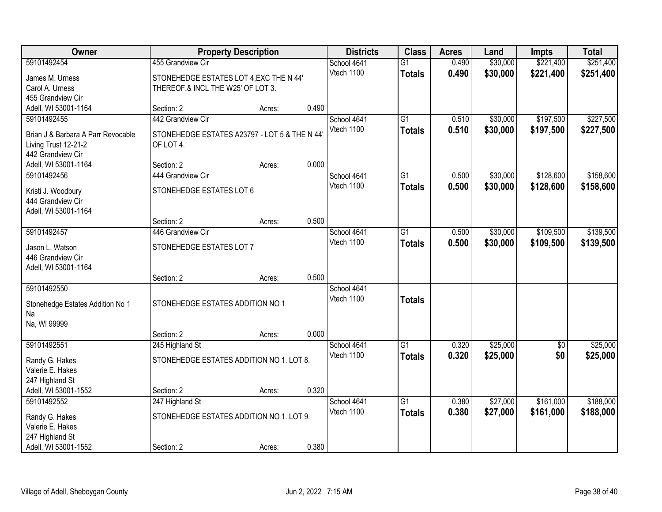| Owner                                   | <b>Property Description</b>                  |        |            | <b>Districts</b>            | <b>Class</b>    | <b>Acres</b> | Land      | <b>Impts</b> | <b>Total</b> |
|-----------------------------------------|----------------------------------------------|--------|------------|-----------------------------|-----------------|--------------|-----------|--------------|--------------|
| 59101492454                             | 455 Grandview Cir                            |        |            | School 4641                 | $\overline{G1}$ | 0.490        | \$30,000  | \$221,400    | \$251,400    |
| James M. Urness                         | STONEHEDGE ESTATES LOT 4, EXC THE N 44'      |        |            | Vtech 1100                  | <b>Totals</b>   | 0.490        | \$30,000  | \$221,400    | \$251,400    |
| Carol A. Urness                         | THEREOF, & INCL THE W25' OF LOT 3.           |        |            |                             |                 |              |           |              |              |
| 455 Grandview Cir                       |                                              |        |            |                             |                 |              |           |              |              |
| Adell, WI 53001-1164                    | Section: 2                                   | Acres: | 0.490      |                             |                 |              |           |              |              |
| 59101492455                             | 442 Grandview Cir                            |        |            | School 4641                 | $\overline{G1}$ | 0.510        | \$30,000  | \$197,500    | \$227,500    |
| Brian J & Barbara A Parr Revocable      | STONEHEDGE ESTATES A23797 - LOT 5 & THE N 44 |        |            | Vtech 1100                  | <b>Totals</b>   | 0.510        | \$30,000  | \$197,500    | \$227,500    |
| Living Trust 12-21-2                    | OF LOT 4.                                    |        |            |                             |                 |              |           |              |              |
| 442 Grandview Cir                       |                                              |        |            |                             |                 |              |           |              |              |
| Adell, WI 53001-1164                    | Section: 2                                   | Acres: | 0.000      |                             |                 |              |           |              |              |
| 59101492456                             | 444 Grandview Cir                            |        |            | School 4641                 | G1              | 0.500        | \$30,000  | \$128,600    | \$158,600    |
|                                         |                                              |        |            | Vtech 1100                  | <b>Totals</b>   | 0.500        | \$30,000  | \$128,600    | \$158,600    |
| Kristi J. Woodbury<br>444 Grandview Cir | STONEHEDGE ESTATES LOT 6                     |        |            |                             |                 |              |           |              |              |
| Adell, WI 53001-1164                    |                                              |        |            |                             |                 |              |           |              |              |
|                                         | Section: 2                                   | Acres: | 0.500      |                             |                 |              |           |              |              |
| 59101492457                             | 446 Grandview Cir                            |        |            | School 4641                 | G1              | 0.500        | \$30,000  | \$109,500    | \$139,500    |
|                                         |                                              |        |            | Vtech 1100<br><b>Totals</b> | 0.500           | \$30,000     | \$109,500 | \$139,500    |              |
| Jason L. Watson                         | STONEHEDGE ESTATES LOT 7                     |        |            |                             |                 |              |           |              |              |
| 446 Grandview Cir                       |                                              |        |            |                             |                 |              |           |              |              |
| Adell, WI 53001-1164                    | Section: 2                                   |        | 0.500      |                             |                 |              |           |              |              |
| 59101492550                             |                                              | Acres: |            | School 4641                 |                 |              |           |              |              |
|                                         |                                              |        |            | Vtech 1100                  | <b>Totals</b>   |              |           |              |              |
| Stonehedge Estates Addition No 1        | STONEHEDGE ESTATES ADDITION NO 1             |        |            |                             |                 |              |           |              |              |
| Na                                      |                                              |        |            |                             |                 |              |           |              |              |
| Na, WI 99999                            |                                              |        |            |                             |                 |              |           |              |              |
|                                         | Section: 2                                   | Acres: | 0.000      |                             |                 |              |           |              |              |
| 59101492551                             | 245 Highland St                              |        |            | School 4641                 | $\overline{G1}$ | 0.320        | \$25,000  | \$0          | \$25,000     |
| Randy G. Hakes                          | STONEHEDGE ESTATES ADDITION NO 1. LOT 8.     |        |            | Vtech 1100                  | <b>Totals</b>   | 0.320        | \$25,000  | \$0          | \$25,000     |
| Valerie E. Hakes                        |                                              |        |            |                             |                 |              |           |              |              |
| 247 Highland St                         |                                              |        |            |                             |                 |              |           |              |              |
| Adell, WI 53001-1552                    | Section: 2                                   | Acres: | 0.320      |                             |                 |              |           |              |              |
| 59101492552                             | 247 Highland St                              |        |            | School 4641                 | $\overline{G1}$ | 0.380        | \$27,000  | \$161,000    | \$188,000    |
| Randy G. Hakes                          | STONEHEDGE ESTATES ADDITION NO 1. LOT 9.     |        | Vtech 1100 | <b>Totals</b>               | 0.380           | \$27,000     | \$161,000 | \$188,000    |              |
| Valerie E. Hakes                        |                                              |        |            |                             |                 |              |           |              |              |
| 247 Highland St                         |                                              |        |            |                             |                 |              |           |              |              |
| Adell, WI 53001-1552                    | Section: 2                                   | Acres: | 0.380      |                             |                 |              |           |              |              |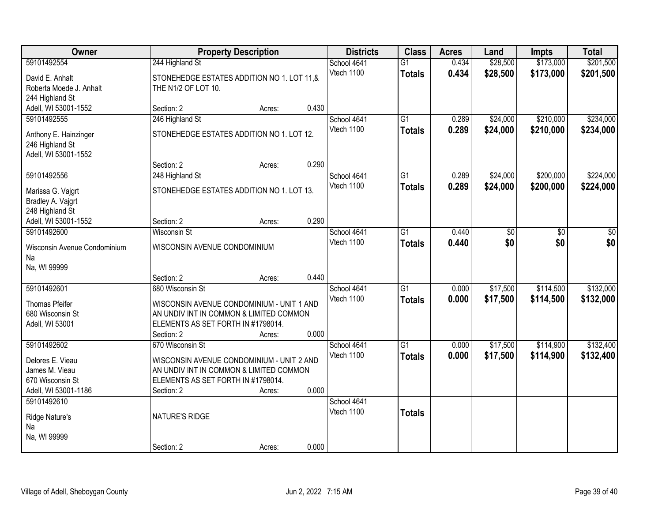| Owner                               | <b>Property Description</b>                                                   |        |       | <b>Districts</b><br><b>Class</b> |                 | <b>Acres</b> | Land     | <b>Impts</b> | <b>Total</b> |
|-------------------------------------|-------------------------------------------------------------------------------|--------|-------|----------------------------------|-----------------|--------------|----------|--------------|--------------|
| 59101492554                         | 244 Highland St                                                               |        |       | School 4641                      | $\overline{G1}$ | 0.434        | \$28,500 | \$173,000    | \$201,500    |
| David E. Anhalt                     | STONEHEDGE ESTATES ADDITION NO 1. LOT 11,&                                    |        |       | Vtech 1100                       | <b>Totals</b>   | 0.434        | \$28,500 | \$173,000    | \$201,500    |
| Roberta Moede J. Anhalt             | THE N1/2 OF LOT 10.                                                           |        |       |                                  |                 |              |          |              |              |
| 244 Highland St                     |                                                                               |        |       |                                  |                 |              |          |              |              |
| Adell, WI 53001-1552                | Section: 2                                                                    | Acres: | 0.430 |                                  |                 |              |          |              |              |
| 59101492555                         | 246 Highland St                                                               |        |       | School 4641                      | $\overline{G1}$ | 0.289        | \$24,000 | \$210,000    | \$234,000    |
| Anthony E. Hainzinger               | STONEHEDGE ESTATES ADDITION NO 1. LOT 12.                                     |        |       | Vtech 1100                       | <b>Totals</b>   | 0.289        | \$24,000 | \$210,000    | \$234,000    |
| 246 Highland St                     |                                                                               |        |       |                                  |                 |              |          |              |              |
| Adell, WI 53001-1552                |                                                                               |        |       |                                  |                 |              |          |              |              |
|                                     | Section: 2                                                                    | Acres: | 0.290 |                                  |                 |              |          |              |              |
| 59101492556                         | 248 Highland St                                                               |        |       | School 4641                      | $\overline{G1}$ | 0.289        | \$24,000 | \$200,000    | \$224,000    |
| Marissa G. Vajgrt                   | STONEHEDGE ESTATES ADDITION NO 1. LOT 13.                                     |        |       | Vtech 1100                       | <b>Totals</b>   | 0.289        | \$24,000 | \$200,000    | \$224,000    |
| Bradley A. Vajgrt                   |                                                                               |        |       |                                  |                 |              |          |              |              |
| 248 Highland St                     |                                                                               |        |       |                                  |                 |              |          |              |              |
| Adell, WI 53001-1552                | Section: 2                                                                    | Acres: | 0.290 |                                  |                 |              |          |              |              |
| 59101492600                         | <b>Wisconsin St</b>                                                           |        |       | School 4641                      | G1              | 0.440        | \$0      | \$0          | \$0          |
|                                     |                                                                               |        |       | Vtech 1100                       | <b>Totals</b>   | 0.440        | \$0      | \$0          | \$0          |
| Wisconsin Avenue Condominium<br>Na  | WISCONSIN AVENUE CONDOMINIUM                                                  |        |       |                                  |                 |              |          |              |              |
| Na, WI 99999                        |                                                                               |        |       |                                  |                 |              |          |              |              |
|                                     | Section: 2                                                                    | Acres: | 0.440 |                                  |                 |              |          |              |              |
| 59101492601                         | 680 Wisconsin St                                                              |        |       | School 4641                      | $\overline{G1}$ | 0.000        | \$17,500 | \$114,500    | \$132,000    |
|                                     |                                                                               |        |       | Vtech 1100                       | <b>Totals</b>   | 0.000        | \$17,500 | \$114,500    | \$132,000    |
| Thomas Pfeifer                      | WISCONSIN AVENUE CONDOMINIUM - UNIT 1 AND                                     |        |       |                                  |                 |              |          |              |              |
| 680 Wisconsin St<br>Adell, WI 53001 | AN UNDIV INT IN COMMON & LIMITED COMMON<br>ELEMENTS AS SET FORTH IN #1798014. |        |       |                                  |                 |              |          |              |              |
|                                     | Section: 2                                                                    | Acres: | 0.000 |                                  |                 |              |          |              |              |
| 59101492602                         | 670 Wisconsin St                                                              |        |       | School 4641                      | $\overline{G1}$ | 0.000        | \$17,500 | \$114,900    | \$132,400    |
|                                     |                                                                               |        |       | Vtech 1100                       | <b>Totals</b>   | 0.000        | \$17,500 | \$114,900    | \$132,400    |
| Delores E. Vieau                    | WISCONSIN AVENUE CONDOMINIUM - UNIT 2 AND                                     |        |       |                                  |                 |              |          |              |              |
| James M. Vieau<br>670 Wisconsin St  | AN UNDIV INT IN COMMON & LIMITED COMMON                                       |        |       |                                  |                 |              |          |              |              |
| Adell, WI 53001-1186                | ELEMENTS AS SET FORTH IN #1798014.<br>Section: 2                              | Acres: | 0.000 |                                  |                 |              |          |              |              |
| 59101492610                         |                                                                               |        |       | School 4641                      |                 |              |          |              |              |
|                                     |                                                                               |        |       | Vtech 1100                       | <b>Totals</b>   |              |          |              |              |
| Ridge Nature's                      | NATURE'S RIDGE                                                                |        |       |                                  |                 |              |          |              |              |
| Na                                  |                                                                               |        |       |                                  |                 |              |          |              |              |
| Na, WI 99999                        |                                                                               |        |       |                                  |                 |              |          |              |              |
|                                     | Section: 2                                                                    | Acres: | 0.000 |                                  |                 |              |          |              |              |